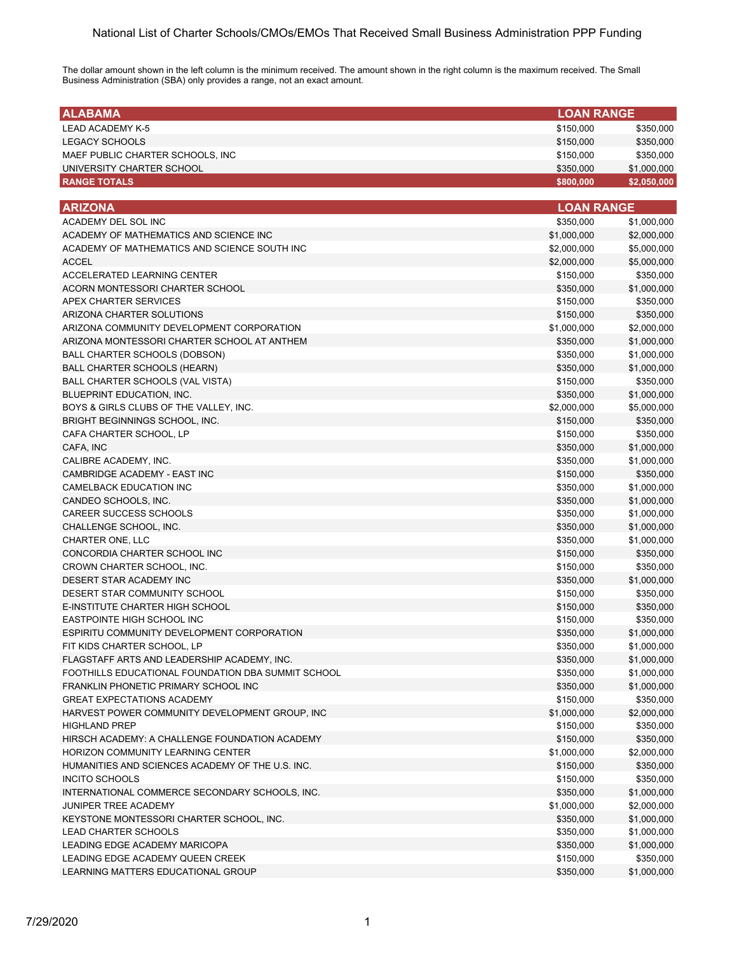The dollar amount shown in the left column is the minimum received. The amount shown in the right column is the maximum received. The Small Business Administration (SBA) only provides a range, not an exact amount.

| <b>ALABAMA</b>                                     | <b>LOAN RANGE</b> |             |
|----------------------------------------------------|-------------------|-------------|
| <b>LEAD ACADEMY K-5</b>                            | \$150,000         | \$350,000   |
| <b>LEGACY SCHOOLS</b>                              | \$150,000         | \$350,000   |
| MAEF PUBLIC CHARTER SCHOOLS, INC                   | \$150,000         | \$350,000   |
| UNIVERSITY CHARTER SCHOOL                          | \$350,000         | \$1,000,000 |
| <b>RANGE TOTALS</b>                                | \$800,000         | \$2,050,000 |
|                                                    |                   |             |
| <b>ARIZONA</b>                                     | <b>LOAN RANGE</b> |             |
| ACADEMY DEL SOL INC                                | \$350,000         | \$1,000,000 |
| ACADEMY OF MATHEMATICS AND SCIENCE INC             | \$1,000,000       | \$2,000,000 |
| ACADEMY OF MATHEMATICS AND SCIENCE SOUTH INC       | \$2,000,000       | \$5,000,000 |
| <b>ACCEL</b>                                       | \$2,000,000       | \$5,000,000 |
| ACCELERATED LEARNING CENTER                        | \$150,000         | \$350,000   |
| ACORN MONTESSORI CHARTER SCHOOL                    | \$350,000         | \$1,000,000 |
| APEX CHARTER SERVICES                              | \$150,000         | \$350,000   |
| ARIZONA CHARTER SOLUTIONS                          | \$150,000         | \$350,000   |
| ARIZONA COMMUNITY DEVELOPMENT CORPORATION          | \$1,000,000       | \$2,000,000 |
| ARIZONA MONTESSORI CHARTER SCHOOL AT ANTHEM        | \$350,000         | \$1,000,000 |
| BALL CHARTER SCHOOLS (DOBSON)                      | \$350,000         | \$1,000,000 |
| <b>BALL CHARTER SCHOOLS (HEARN)</b>                | \$350,000         | \$1,000,000 |
| BALL CHARTER SCHOOLS (VAL VISTA)                   | \$150,000         | \$350,000   |
| BLUEPRINT EDUCATION, INC.                          | \$350,000         | \$1,000,000 |
| BOYS & GIRLS CLUBS OF THE VALLEY, INC.             | \$2,000,000       | \$5,000,000 |
| BRIGHT BEGINNINGS SCHOOL, INC.                     | \$150,000         | \$350,000   |
| CAFA CHARTER SCHOOL, LP                            | \$150,000         | \$350,000   |
| CAFA, INC                                          | \$350,000         | \$1,000,000 |
| CALIBRE ACADEMY, INC.                              | \$350,000         | \$1,000,000 |
| CAMBRIDGE ACADEMY - EAST INC                       | \$150,000         | \$350,000   |
| CAMELBACK EDUCATION INC                            | \$350,000         | \$1,000,000 |
| CANDEO SCHOOLS, INC.                               | \$350,000         | \$1,000,000 |
| <b>CAREER SUCCESS SCHOOLS</b>                      | \$350,000         | \$1,000,000 |
| CHALLENGE SCHOOL, INC.                             | \$350,000         | \$1,000,000 |
| CHARTER ONE, LLC                                   | \$350,000         | \$1,000,000 |
| CONCORDIA CHARTER SCHOOL INC                       | \$150,000         | \$350,000   |
| CROWN CHARTER SCHOOL, INC.                         | \$150,000         | \$350,000   |
| DESERT STAR ACADEMY INC                            | \$350,000         | \$1,000,000 |
| DESERT STAR COMMUNITY SCHOOL                       | \$150,000         | \$350,000   |
| E-INSTITUTE CHARTER HIGH SCHOOL                    | \$150,000         | \$350,000   |
| <b>EASTPOINTE HIGH SCHOOL INC</b>                  | \$150,000         | \$350,000   |
| ESPIRITU COMMUNITY DEVELOPMENT CORPORATION         | \$350,000         | \$1,000,000 |
| FIT KIDS CHARTER SCHOOL, LP                        | \$350,000         | \$1,000,000 |
| FLAGSTAFF ARTS AND LEADERSHIP ACADEMY, INC.        | \$350,000         | \$1,000,000 |
| FOOTHILLS EDUCATIONAL FOUNDATION DBA SUMMIT SCHOOL | \$350,000         | \$1,000,000 |
| FRANKLIN PHONETIC PRIMARY SCHOOL INC               | \$350,000         | \$1,000,000 |
| <b>GREAT EXPECTATIONS ACADEMY</b>                  | \$150,000         | \$350,000   |
| HARVEST POWER COMMUNITY DEVELOPMENT GROUP, INC     | \$1,000,000       | \$2,000,000 |
| <b>HIGHLAND PREP</b>                               | \$150,000         | \$350,000   |
| HIRSCH ACADEMY: A CHALLENGE FOUNDATION ACADEMY     | \$150,000         | \$350,000   |
| <b>HORIZON COMMUNITY LEARNING CENTER</b>           | \$1,000,000       | \$2,000,000 |
| HUMANITIES AND SCIENCES ACADEMY OF THE U.S. INC.   | \$150,000         | \$350,000   |
| <b>INCITO SCHOOLS</b>                              | \$150,000         | \$350,000   |
| INTERNATIONAL COMMERCE SECONDARY SCHOOLS, INC.     | \$350,000         | \$1,000,000 |
| JUNIPER TREE ACADEMY                               | \$1,000,000       | \$2,000,000 |
| KEYSTONE MONTESSORI CHARTER SCHOOL, INC.           | \$350,000         | \$1,000,000 |
| <b>LEAD CHARTER SCHOOLS</b>                        | \$350,000         | \$1,000,000 |
| LEADING EDGE ACADEMY MARICOPA                      | \$350,000         | \$1,000,000 |
| LEADING EDGE ACADEMY QUEEN CREEK                   | \$150,000         | \$350,000   |
| LEARNING MATTERS EDUCATIONAL GROUP                 | \$350,000         | \$1,000,000 |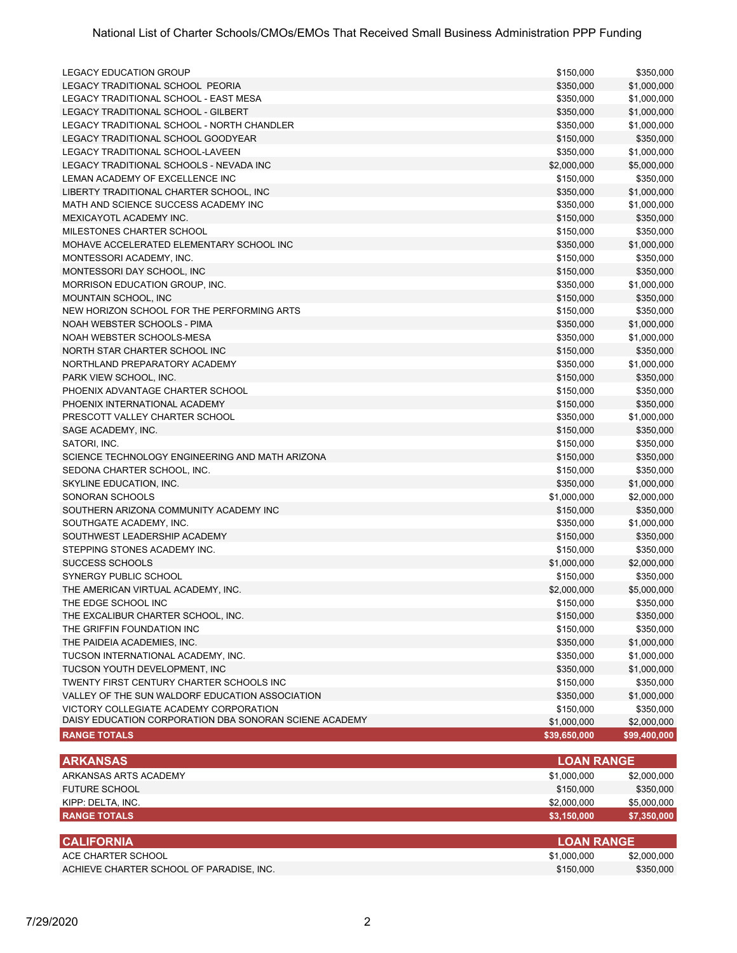| <b>LEGACY EDUCATION GROUP</b>                                              | \$150,000         | \$350,000    |
|----------------------------------------------------------------------------|-------------------|--------------|
| LEGACY TRADITIONAL SCHOOL PEORIA                                           | \$350,000         | \$1,000,000  |
| LEGACY TRADITIONAL SCHOOL - EAST MESA                                      | \$350,000         | \$1,000,000  |
| LEGACY TRADITIONAL SCHOOL - GILBERT                                        | \$350,000         | \$1,000,000  |
| LEGACY TRADITIONAL SCHOOL - NORTH CHANDLER                                 | \$350,000         | \$1,000,000  |
| LEGACY TRADITIONAL SCHOOL GOODYEAR                                         | \$150,000         | \$350,000    |
| LEGACY TRADITIONAL SCHOOL-LAVEEN                                           | \$350,000         | \$1,000,000  |
| LEGACY TRADITIONAL SCHOOLS - NEVADA INC                                    | \$2,000,000       | \$5,000,000  |
|                                                                            |                   |              |
| LEMAN ACADEMY OF EXCELLENCE INC<br>LIBERTY TRADITIONAL CHARTER SCHOOL, INC | \$150,000         | \$350,000    |
|                                                                            | \$350,000         | \$1,000,000  |
| MATH AND SCIENCE SUCCESS ACADEMY INC                                       | \$350,000         | \$1,000,000  |
| MEXICAYOTL ACADEMY INC.                                                    | \$150,000         | \$350,000    |
| MILESTONES CHARTER SCHOOL                                                  | \$150,000         | \$350,000    |
| MOHAVE ACCELERATED ELEMENTARY SCHOOL INC                                   | \$350,000         | \$1,000,000  |
| MONTESSORI ACADEMY, INC.                                                   | \$150,000         | \$350,000    |
| MONTESSORI DAY SCHOOL, INC                                                 | \$150,000         | \$350,000    |
| MORRISON EDUCATION GROUP, INC.                                             | \$350,000         | \$1,000,000  |
| MOUNTAIN SCHOOL, INC                                                       | \$150,000         | \$350,000    |
| NEW HORIZON SCHOOL FOR THE PERFORMING ARTS                                 | \$150,000         | \$350,000    |
| NOAH WEBSTER SCHOOLS - PIMA                                                | \$350,000         | \$1,000,000  |
| NOAH WEBSTER SCHOOLS-MESA                                                  | \$350,000         | \$1,000,000  |
| NORTH STAR CHARTER SCHOOL INC                                              | \$150,000         | \$350,000    |
| NORTHLAND PREPARATORY ACADEMY                                              | \$350,000         | \$1,000,000  |
| PARK VIEW SCHOOL, INC.                                                     | \$150,000         | \$350,000    |
| PHOENIX ADVANTAGE CHARTER SCHOOL                                           | \$150,000         | \$350,000    |
| PHOENIX INTERNATIONAL ACADEMY                                              | \$150,000         | \$350,000    |
| PRESCOTT VALLEY CHARTER SCHOOL                                             | \$350,000         | \$1,000,000  |
| SAGE ACADEMY, INC.                                                         | \$150,000         | \$350,000    |
| SATORI, INC.                                                               | \$150,000         | \$350,000    |
| SCIENCE TECHNOLOGY ENGINEERING AND MATH ARIZONA                            | \$150,000         | \$350,000    |
| SEDONA CHARTER SCHOOL, INC.                                                | \$150,000         | \$350,000    |
| SKYLINE EDUCATION, INC.                                                    | \$350,000         | \$1,000,000  |
| SONORAN SCHOOLS                                                            | \$1,000,000       | \$2,000,000  |
| SOUTHERN ARIZONA COMMUNITY ACADEMY INC                                     | \$150,000         | \$350,000    |
| SOUTHGATE ACADEMY, INC.                                                    | \$350,000         | \$1,000,000  |
| SOUTHWEST LEADERSHIP ACADEMY                                               | \$150,000         | \$350,000    |
| STEPPING STONES ACADEMY INC.                                               | \$150,000         | \$350,000    |
| <b>SUCCESS SCHOOLS</b>                                                     | \$1,000,000       | \$2,000,000  |
| SYNERGY PUBLIC SCHOOL                                                      | \$150,000         | \$350,000    |
| THE AMERICAN VIRTUAL ACADEMY, INC.                                         | \$2,000,000       | \$5,000,000  |
| THE EDGE SCHOOL INC                                                        | \$150,000         | \$350,000    |
| THE EXCALIBUR CHARTER SCHOOL, INC.                                         | \$150,000         | \$350,000    |
| THE GRIFFIN FOUNDATION INC                                                 | \$150,000         | \$350,000    |
| THE PAIDEIA ACADEMIES, INC.                                                | \$350,000         | \$1,000,000  |
| TUCSON INTERNATIONAL ACADEMY, INC.                                         | \$350,000         | \$1,000,000  |
| TUCSON YOUTH DEVELOPMENT, INC                                              | \$350,000         | \$1,000,000  |
| TWENTY FIRST CENTURY CHARTER SCHOOLS INC                                   | \$150,000         | \$350,000    |
| VALLEY OF THE SUN WALDORF EDUCATION ASSOCIATION                            | \$350,000         | \$1,000,000  |
| VICTORY COLLEGIATE ACADEMY CORPORATION                                     | \$150,000         | \$350,000    |
| DAISY EDUCATION CORPORATION DBA SONORAN SCIENE ACADEMY                     | \$1,000,000       | \$2,000,000  |
| <b>RANGE TOTALS</b>                                                        | \$39,650,000      | \$99,400,000 |
| <b>ARKANSAS</b>                                                            | <b>LOAN RANGE</b> |              |
| ARKANSAS ARTS ACADEMY                                                      | \$1,000,000       | \$2,000,000  |
| <b>FUTURE SCHOOL</b>                                                       | \$150,000         | \$350,000    |
| KIPP: DELTA, INC.                                                          | \$2,000,000       | \$5,000,000  |

| <b>CALIFORNIA</b>                        | <b>LOAN RANGE</b> |             |
|------------------------------------------|-------------------|-------------|
| ACE CHARTER SCHOOL                       | \$1,000,000       | \$2,000,000 |
| ACHIEVE CHARTER SCHOOL OF PARADISE. INC. | \$150,000         | \$350,000   |

**RANGE TOTALS \$3,150,000 \$7,350,000**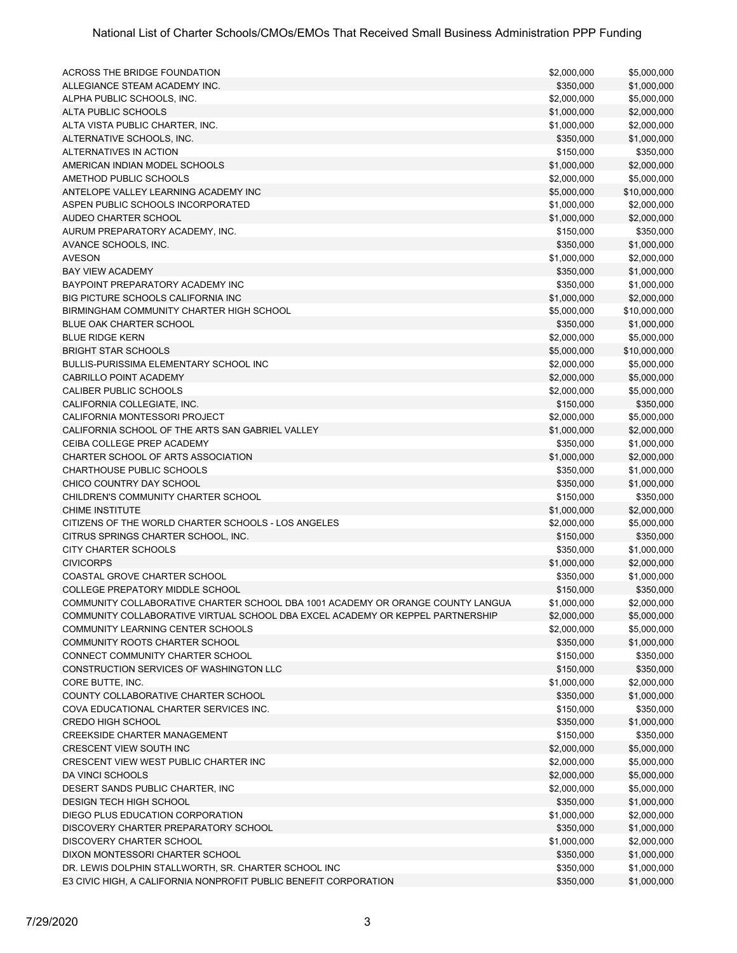| ACROSS THE BRIDGE FOUNDATION                                                    | \$2,000,000 | \$5,000,000            |
|---------------------------------------------------------------------------------|-------------|------------------------|
| ALLEGIANCE STEAM ACADEMY INC.                                                   | \$350,000   | \$1,000,000            |
| ALPHA PUBLIC SCHOOLS, INC.                                                      | \$2,000,000 | \$5,000,000            |
| ALTA PUBLIC SCHOOLS                                                             | \$1,000,000 | \$2,000,000            |
| ALTA VISTA PUBLIC CHARTER, INC.                                                 | \$1,000,000 | \$2,000,000            |
| ALTERNATIVE SCHOOLS, INC.                                                       | \$350,000   | \$1,000,000            |
| ALTERNATIVES IN ACTION                                                          | \$150,000   | \$350,000              |
| AMERICAN INDIAN MODEL SCHOOLS                                                   | \$1,000,000 | \$2,000,000            |
| AMETHOD PUBLIC SCHOOLS                                                          | \$2,000,000 | \$5,000,000            |
| ANTELOPE VALLEY LEARNING ACADEMY INC                                            |             |                        |
| ASPEN PUBLIC SCHOOLS INCORPORATED                                               | \$5,000,000 | \$10,000,000           |
|                                                                                 | \$1,000,000 | \$2,000,000            |
| AUDEO CHARTER SCHOOL                                                            | \$1,000,000 | \$2,000,000            |
| AURUM PREPARATORY ACADEMY, INC.                                                 | \$150,000   | \$350,000              |
| AVANCE SCHOOLS, INC.                                                            | \$350,000   | \$1,000,000            |
| <b>AVESON</b>                                                                   | \$1,000,000 | \$2,000,000            |
| <b>BAY VIEW ACADEMY</b>                                                         | \$350,000   | \$1,000,000            |
| BAYPOINT PREPARATORY ACADEMY INC                                                | \$350,000   | \$1,000,000            |
| BIG PICTURE SCHOOLS CALIFORNIA INC                                              | \$1,000,000 | \$2,000,000            |
| BIRMINGHAM COMMUNITY CHARTER HIGH SCHOOL                                        | \$5,000,000 | \$10,000,000           |
| BLUE OAK CHARTER SCHOOL                                                         | \$350,000   | \$1,000,000            |
| <b>BLUE RIDGE KERN</b>                                                          | \$2,000,000 | \$5,000,000            |
| <b>BRIGHT STAR SCHOOLS</b>                                                      | \$5,000,000 | \$10,000,000           |
| <b>BULLIS-PURISSIMA ELEMENTARY SCHOOL INC</b>                                   | \$2,000,000 | \$5,000,000            |
| <b>CABRILLO POINT ACADEMY</b>                                                   | \$2,000,000 | \$5,000,000            |
| <b>CALIBER PUBLIC SCHOOLS</b>                                                   | \$2,000,000 | \$5,000,000            |
| CALIFORNIA COLLEGIATE, INC.                                                     | \$150,000   | \$350,000              |
| CALIFORNIA MONTESSORI PROJECT                                                   | \$2,000,000 | \$5,000,000            |
| CALIFORNIA SCHOOL OF THE ARTS SAN GABRIEL VALLEY                                | \$1,000,000 | \$2,000,000            |
| CEIBA COLLEGE PREP ACADEMY                                                      | \$350,000   | \$1,000,000            |
| CHARTER SCHOOL OF ARTS ASSOCIATION                                              | \$1,000,000 | \$2,000,000            |
| CHARTHOUSE PUBLIC SCHOOLS                                                       | \$350,000   | \$1,000,000            |
| CHICO COUNTRY DAY SCHOOL                                                        | \$350,000   | \$1,000,000            |
| CHILDREN'S COMMUNITY CHARTER SCHOOL                                             | \$150,000   | \$350,000              |
| <b>CHIME INSTITUTE</b>                                                          | \$1,000,000 | \$2,000,000            |
| CITIZENS OF THE WORLD CHARTER SCHOOLS - LOS ANGELES                             | \$2,000,000 | \$5,000,000            |
| CITRUS SPRINGS CHARTER SCHOOL, INC.                                             | \$150,000   | \$350,000              |
| CITY CHARTER SCHOOLS                                                            | \$350,000   | \$1,000,000            |
| <b>CIVICORPS</b>                                                                | \$1,000,000 | \$2,000,000            |
| COASTAL GROVE CHARTER SCHOOL                                                    | \$350,000   | \$1,000,000            |
| <b>COLLEGE PREPATORY MIDDLE SCHOOL</b>                                          | \$150,000   | \$350,000              |
| COMMUNITY COLLABORATIVE CHARTER SCHOOL DBA 1001 ACADEMY OR ORANGE COUNTY LANGUA | \$1,000,000 | \$2,000,000            |
| COMMUNITY COLLABORATIVE VIRTUAL SCHOOL DBA EXCEL ACADEMY OR KEPPEL PARTNERSHIP  | \$2,000,000 | \$5,000,000            |
| COMMUNITY LEARNING CENTER SCHOOLS                                               | \$2,000,000 | \$5,000,000            |
| COMMUNITY ROOTS CHARTER SCHOOL                                                  | \$350,000   | \$1,000,000            |
| CONNECT COMMUNITY CHARTER SCHOOL                                                |             |                        |
| CONSTRUCTION SERVICES OF WASHINGTON LLC                                         | \$150,000   | \$350,000<br>\$350,000 |
|                                                                                 | \$150,000   |                        |
| CORE BUTTE, INC.                                                                | \$1,000,000 | \$2,000,000            |
| COUNTY COLLABORATIVE CHARTER SCHOOL                                             | \$350,000   | \$1,000,000            |
| COVA EDUCATIONAL CHARTER SERVICES INC.                                          | \$150,000   | \$350,000              |
| <b>CREDO HIGH SCHOOL</b>                                                        | \$350,000   | \$1,000,000            |
| <b>CREEKSIDE CHARTER MANAGEMENT</b>                                             | \$150,000   | \$350,000              |
| CRESCENT VIEW SOUTH INC                                                         | \$2,000,000 | \$5,000,000            |
| CRESCENT VIEW WEST PUBLIC CHARTER INC                                           | \$2,000,000 | \$5,000,000            |
| DA VINCI SCHOOLS                                                                | \$2,000,000 | \$5,000,000            |
| DESERT SANDS PUBLIC CHARTER, INC.                                               | \$2,000,000 | \$5,000,000            |
| <b>DESIGN TECH HIGH SCHOOL</b>                                                  | \$350,000   | \$1,000,000            |
| DIEGO PLUS EDUCATION CORPORATION                                                | \$1,000,000 | \$2,000,000            |
| DISCOVERY CHARTER PREPARATORY SCHOOL                                            | \$350,000   | \$1,000,000            |
| DISCOVERY CHARTER SCHOOL                                                        | \$1,000,000 | \$2,000,000            |
| DIXON MONTESSORI CHARTER SCHOOL                                                 | \$350,000   | \$1,000,000            |
| DR. LEWIS DOLPHIN STALLWORTH, SR. CHARTER SCHOOL INC                            | \$350,000   | \$1,000,000            |
| E3 CIVIC HIGH, A CALIFORNIA NONPROFIT PUBLIC BENEFIT CORPORATION                | \$350,000   | \$1,000,000            |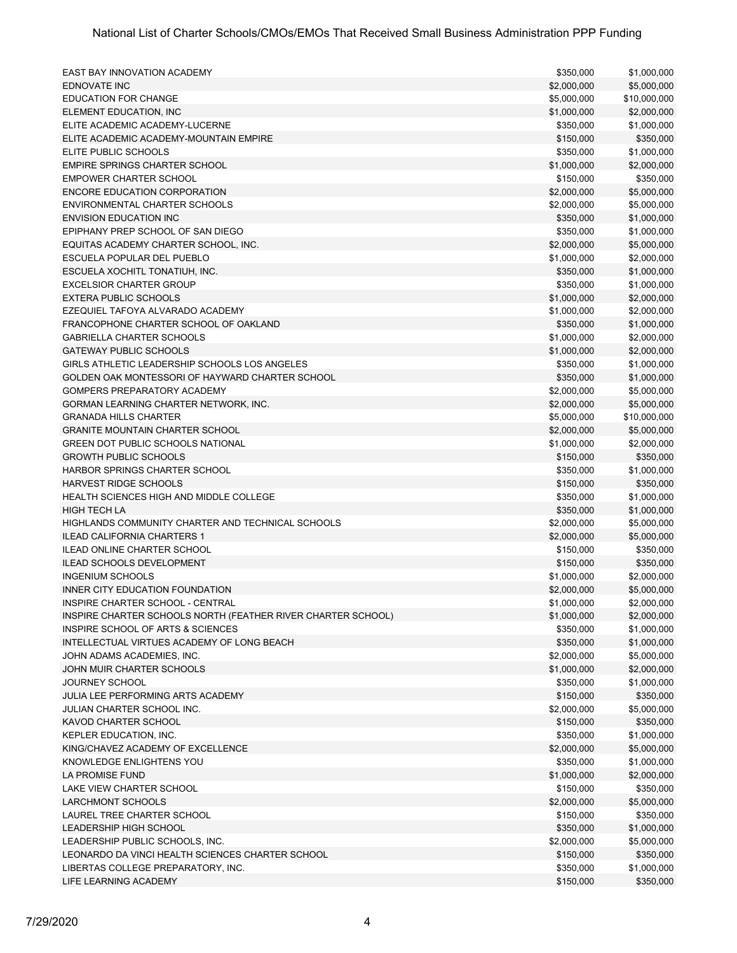| EAST BAY INNOVATION ACADEMY                                  | \$350,000   | \$1,000,000  |
|--------------------------------------------------------------|-------------|--------------|
| <b>EDNOVATE INC</b>                                          | \$2,000,000 | \$5,000,000  |
| <b>EDUCATION FOR CHANGE</b>                                  | \$5,000,000 | \$10,000,000 |
| ELEMENT EDUCATION, INC                                       | \$1,000,000 | \$2,000,000  |
| ELITE ACADEMIC ACADEMY-LUCERNE                               | \$350,000   | \$1,000,000  |
| ELITE ACADEMIC ACADEMY-MOUNTAIN EMPIRE                       | \$150,000   | \$350,000    |
| ELITE PUBLIC SCHOOLS                                         | \$350,000   | \$1,000,000  |
| <b>EMPIRE SPRINGS CHARTER SCHOOL</b>                         | \$1,000,000 | \$2,000,000  |
| <b>EMPOWER CHARTER SCHOOL</b>                                | \$150,000   | \$350,000    |
| <b>ENCORE EDUCATION CORPORATION</b>                          | \$2,000,000 | \$5,000,000  |
| ENVIRONMENTAL CHARTER SCHOOLS                                | \$2,000,000 | \$5,000,000  |
| <b>ENVISION EDUCATION INC</b>                                | \$350,000   | \$1,000,000  |
| EPIPHANY PREP SCHOOL OF SAN DIEGO                            | \$350,000   | \$1,000,000  |
| EQUITAS ACADEMY CHARTER SCHOOL, INC.                         | \$2,000,000 | \$5,000,000  |
| ESCUELA POPULAR DEL PUEBLO                                   | \$1,000,000 | \$2,000,000  |
| ESCUELA XOCHITL TONATIUH, INC.                               | \$350,000   | \$1,000,000  |
| <b>EXCELSIOR CHARTER GROUP</b>                               | \$350,000   | \$1,000,000  |
| <b>EXTERA PUBLIC SCHOOLS</b>                                 | \$1,000,000 | \$2,000,000  |
| EZEQUIEL TAFOYA ALVARADO ACADEMY                             | \$1,000,000 | \$2,000,000  |
| FRANCOPHONE CHARTER SCHOOL OF OAKLAND                        | \$350,000   | \$1,000,000  |
| <b>GABRIELLA CHARTER SCHOOLS</b>                             | \$1,000,000 | \$2,000,000  |
| <b>GATEWAY PUBLIC SCHOOLS</b>                                | \$1,000,000 | \$2,000,000  |
| GIRLS ATHLETIC LEADERSHIP SCHOOLS LOS ANGELES                | \$350,000   | \$1,000,000  |
| GOLDEN OAK MONTESSORI OF HAYWARD CHARTER SCHOOL              | \$350,000   | \$1,000,000  |
| GOMPERS PREPARATORY ACADEMY                                  | \$2,000,000 | \$5,000,000  |
| GORMAN LEARNING CHARTER NETWORK, INC.                        | \$2,000,000 | \$5,000,000  |
| <b>GRANADA HILLS CHARTER</b>                                 | \$5,000,000 | \$10,000,000 |
| <b>GRANITE MOUNTAIN CHARTER SCHOOL</b>                       | \$2,000,000 | \$5,000,000  |
| <b>GREEN DOT PUBLIC SCHOOLS NATIONAL</b>                     | \$1,000,000 | \$2,000,000  |
| <b>GROWTH PUBLIC SCHOOLS</b>                                 | \$150,000   | \$350,000    |
| HARBOR SPRINGS CHARTER SCHOOL                                | \$350,000   | \$1,000,000  |
| <b>HARVEST RIDGE SCHOOLS</b>                                 | \$150,000   | \$350,000    |
| HEALTH SCIENCES HIGH AND MIDDLE COLLEGE                      | \$350,000   | \$1,000,000  |
| <b>HIGH TECH LA</b>                                          | \$350,000   | \$1,000,000  |
| HIGHLANDS COMMUNITY CHARTER AND TECHNICAL SCHOOLS            | \$2,000,000 | \$5,000,000  |
| <b>ILEAD CALIFORNIA CHARTERS 1</b>                           | \$2,000,000 | \$5,000,000  |
| <b>ILEAD ONLINE CHARTER SCHOOL</b>                           | \$150,000   | \$350,000    |
| <b>ILEAD SCHOOLS DEVELOPMENT</b>                             | \$150,000   | \$350,000    |
| <b>INGENIUM SCHOOLS</b>                                      | \$1,000,000 | \$2,000,000  |
| INNER CITY EDUCATION FOUNDATION                              | \$2,000,000 | \$5,000,000  |
| INSPIRE CHARTER SCHOOL - CENTRAL                             | \$1,000,000 | \$2,000,000  |
| INSPIRE CHARTER SCHOOLS NORTH (FEATHER RIVER CHARTER SCHOOL) | \$1,000,000 | \$2,000,000  |
| INSPIRE SCHOOL OF ARTS & SCIENCES                            | \$350,000   | \$1,000,000  |
| INTELLECTUAL VIRTUES ACADEMY OF LONG BEACH                   | \$350,000   | \$1,000,000  |
| JOHN ADAMS ACADEMIES, INC.                                   | \$2,000,000 | \$5,000,000  |
| JOHN MUIR CHARTER SCHOOLS                                    | \$1,000,000 | \$2,000,000  |
| <b>JOURNEY SCHOOL</b>                                        | \$350,000   | \$1,000,000  |
| JULIA LEE PERFORMING ARTS ACADEMY                            | \$150,000   | \$350,000    |
| JULIAN CHARTER SCHOOL INC.                                   | \$2,000,000 | \$5,000,000  |
| KAVOD CHARTER SCHOOL                                         | \$150,000   | \$350,000    |
| KEPLER EDUCATION, INC.                                       | \$350,000   | \$1,000,000  |
| KING/CHAVEZ ACADEMY OF EXCELLENCE                            | \$2,000,000 | \$5,000,000  |
| KNOWLEDGE ENLIGHTENS YOU                                     | \$350,000   | \$1,000,000  |
| LA PROMISE FUND                                              | \$1,000,000 | \$2,000,000  |
| LAKE VIEW CHARTER SCHOOL                                     | \$150,000   | \$350,000    |
| LARCHMONT SCHOOLS                                            | \$2,000,000 | \$5,000,000  |
| LAUREL TREE CHARTER SCHOOL                                   | \$150,000   | \$350,000    |
| <b>LEADERSHIP HIGH SCHOOL</b>                                | \$350,000   | \$1,000,000  |
| LEADERSHIP PUBLIC SCHOOLS, INC.                              | \$2,000,000 | \$5,000,000  |
| LEONARDO DA VINCI HEALTH SCIENCES CHARTER SCHOOL             | \$150,000   | \$350,000    |
| LIBERTAS COLLEGE PREPARATORY, INC.                           | \$350,000   | \$1,000,000  |
| LIFE LEARNING ACADEMY                                        | \$150,000   | \$350,000    |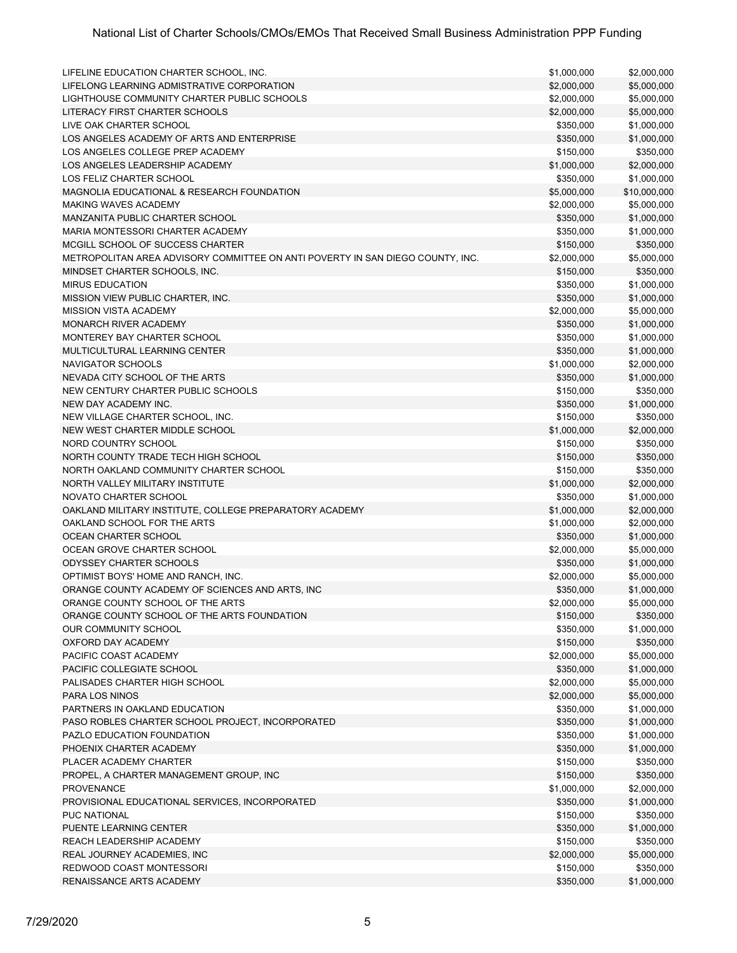| LIFELINE EDUCATION CHARTER SCHOOL, INC.                                        | \$1,000,000 | \$2,000,000  |
|--------------------------------------------------------------------------------|-------------|--------------|
| LIFELONG LEARNING ADMISTRATIVE CORPORATION                                     | \$2,000,000 | \$5,000,000  |
| LIGHTHOUSE COMMUNITY CHARTER PUBLIC SCHOOLS                                    | \$2,000,000 | \$5,000,000  |
| LITERACY FIRST CHARTER SCHOOLS                                                 | \$2,000,000 | \$5,000,000  |
| LIVE OAK CHARTER SCHOOL                                                        | \$350,000   | \$1,000,000  |
| LOS ANGELES ACADEMY OF ARTS AND ENTERPRISE                                     | \$350,000   | \$1,000,000  |
| LOS ANGELES COLLEGE PREP ACADEMY                                               |             |              |
|                                                                                | \$150,000   | \$350,000    |
| LOS ANGELES LEADERSHIP ACADEMY                                                 | \$1,000,000 | \$2,000,000  |
| LOS FELIZ CHARTER SCHOOL                                                       | \$350,000   | \$1,000,000  |
| MAGNOLIA EDUCATIONAL & RESEARCH FOUNDATION                                     | \$5,000,000 | \$10,000,000 |
| <b>MAKING WAVES ACADEMY</b>                                                    | \$2,000,000 | \$5,000,000  |
| MANZANITA PUBLIC CHARTER SCHOOL                                                | \$350,000   | \$1,000,000  |
| MARIA MONTESSORI CHARTER ACADEMY                                               | \$350,000   | \$1,000,000  |
| MCGILL SCHOOL OF SUCCESS CHARTER                                               | \$150,000   | \$350,000    |
| METROPOLITAN AREA ADVISORY COMMITTEE ON ANTI POVERTY IN SAN DIEGO COUNTY, INC. | \$2,000,000 | \$5,000,000  |
| MINDSET CHARTER SCHOOLS, INC.                                                  | \$150,000   | \$350,000    |
| <b>MIRUS EDUCATION</b>                                                         | \$350,000   | \$1,000,000  |
| MISSION VIEW PUBLIC CHARTER, INC.                                              | \$350,000   | \$1,000,000  |
| <b>MISSION VISTA ACADEMY</b>                                                   | \$2,000,000 | \$5,000,000  |
| MONARCH RIVER ACADEMY                                                          | \$350,000   | \$1,000,000  |
| MONTEREY BAY CHARTER SCHOOL                                                    | \$350,000   | \$1,000,000  |
| MULTICULTURAL LEARNING CENTER                                                  | \$350,000   | \$1,000,000  |
| NAVIGATOR SCHOOLS                                                              | \$1,000,000 | \$2,000,000  |
| NEVADA CITY SCHOOL OF THE ARTS                                                 | \$350,000   | \$1,000,000  |
| NEW CENTURY CHARTER PUBLIC SCHOOLS                                             | \$150,000   | \$350,000    |
|                                                                                |             |              |
| NEW DAY ACADEMY INC.                                                           | \$350,000   | \$1,000,000  |
| NEW VILLAGE CHARTER SCHOOL, INC.                                               | \$150,000   | \$350,000    |
| NEW WEST CHARTER MIDDLE SCHOOL                                                 | \$1,000,000 | \$2,000,000  |
| NORD COUNTRY SCHOOL                                                            | \$150,000   | \$350,000    |
| NORTH COUNTY TRADE TECH HIGH SCHOOL                                            | \$150,000   | \$350,000    |
| NORTH OAKLAND COMMUNITY CHARTER SCHOOL                                         | \$150,000   | \$350,000    |
| NORTH VALLEY MILITARY INSTITUTE                                                | \$1,000,000 | \$2,000,000  |
| NOVATO CHARTER SCHOOL                                                          | \$350,000   | \$1,000,000  |
| OAKLAND MILITARY INSTITUTE, COLLEGE PREPARATORY ACADEMY                        | \$1,000,000 | \$2,000,000  |
| OAKLAND SCHOOL FOR THE ARTS                                                    | \$1,000,000 | \$2,000,000  |
| OCEAN CHARTER SCHOOL                                                           | \$350,000   | \$1,000,000  |
| OCEAN GROVE CHARTER SCHOOL                                                     | \$2,000,000 | \$5,000,000  |
| <b>ODYSSEY CHARTER SCHOOLS</b>                                                 | \$350,000   | \$1,000,000  |
| OPTIMIST BOYS' HOME AND RANCH, INC.                                            | \$2,000,000 | \$5,000,000  |
| ORANGE COUNTY ACADEMY OF SCIENCES AND ARTS, INC                                | \$350,000   | \$1,000,000  |
| ORANGE COUNTY SCHOOL OF THE ARTS                                               | \$2,000,000 | \$5,000,000  |
| ORANGE COUNTY SCHOOL OF THE ARTS FOUNDATION                                    | \$150,000   | \$350,000    |
| OUR COMMUNITY SCHOOL                                                           | \$350,000   | \$1,000,000  |
| OXFORD DAY ACADEMY                                                             | \$150,000   | \$350,000    |
| PACIFIC COAST ACADEMY                                                          | \$2,000,000 | \$5,000,000  |
| PACIFIC COLLEGIATE SCHOOL                                                      | \$350,000   | \$1,000,000  |
| PALISADES CHARTER HIGH SCHOOL                                                  | \$2,000,000 | \$5,000,000  |
| <b>PARA LOS NINOS</b>                                                          | \$2,000,000 | \$5,000,000  |
| PARTNERS IN OAKLAND EDUCATION                                                  | \$350,000   | \$1,000,000  |
| PASO ROBLES CHARTER SCHOOL PROJECT, INCORPORATED                               | \$350,000   | \$1,000,000  |
| PAZLO EDUCATION FOUNDATION                                                     | \$350,000   | \$1,000,000  |
| PHOENIX CHARTER ACADEMY                                                        | \$350,000   | \$1,000,000  |
| PLACER ACADEMY CHARTER                                                         | \$150,000   | \$350,000    |
|                                                                                |             |              |
| PROPEL, A CHARTER MANAGEMENT GROUP, INC                                        | \$150,000   | \$350,000    |
| <b>PROVENANCE</b>                                                              | \$1,000,000 | \$2,000,000  |
| PROVISIONAL EDUCATIONAL SERVICES, INCORPORATED                                 | \$350,000   | \$1,000,000  |
| <b>PUC NATIONAL</b>                                                            | \$150,000   | \$350,000    |
| PUENTE LEARNING CENTER                                                         | \$350,000   | \$1,000,000  |
| REACH LEADERSHIP ACADEMY                                                       | \$150,000   | \$350,000    |
| REAL JOURNEY ACADEMIES, INC                                                    | \$2,000,000 | \$5,000,000  |
| REDWOOD COAST MONTESSORI                                                       | \$150,000   | \$350,000    |
| RENAISSANCE ARTS ACADEMY                                                       | \$350,000   | \$1,000,000  |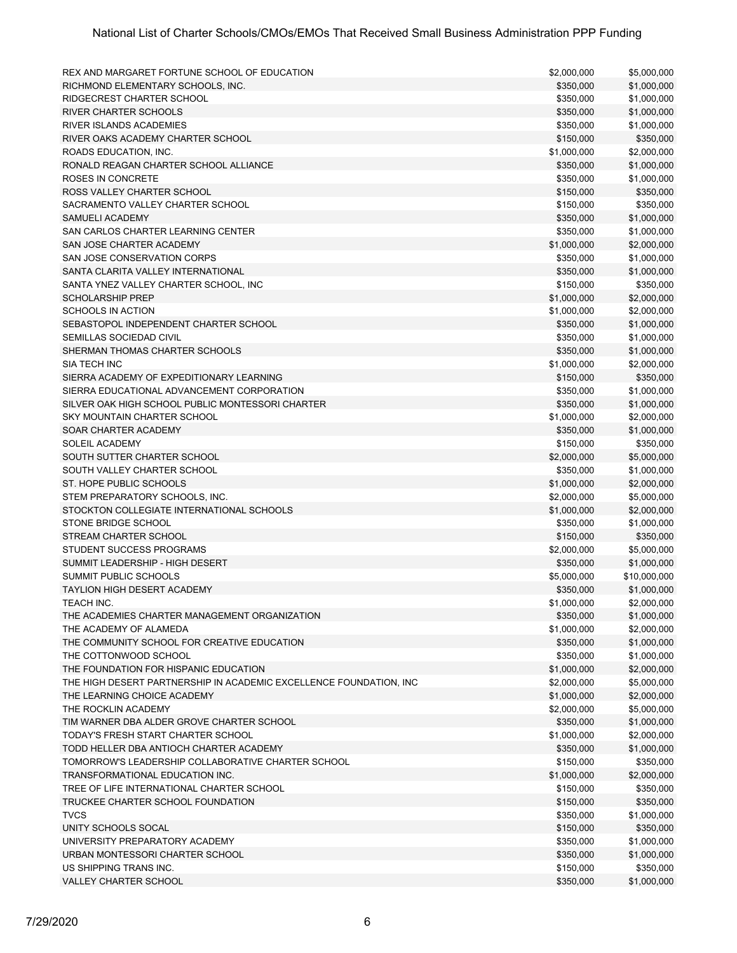| REX AND MARGARET FORTUNE SCHOOL OF EDUCATION                                          | \$2,000,000              | \$5,000,000                |
|---------------------------------------------------------------------------------------|--------------------------|----------------------------|
| RICHMOND ELEMENTARY SCHOOLS. INC.                                                     | \$350,000                | \$1,000,000                |
| RIDGECREST CHARTER SCHOOL                                                             | \$350,000                | \$1,000,000                |
| <b>RIVER CHARTER SCHOOLS</b>                                                          | \$350,000                | \$1,000,000                |
| <b>RIVER ISLANDS ACADEMIES</b>                                                        | \$350,000                | \$1,000,000                |
| RIVER OAKS ACADEMY CHARTER SCHOOL                                                     | \$150,000                | \$350,000                  |
| ROADS EDUCATION, INC.                                                                 | \$1,000,000              | \$2,000,000                |
| RONALD REAGAN CHARTER SCHOOL ALLIANCE                                                 | \$350,000                | \$1,000,000                |
| ROSES IN CONCRETE                                                                     | \$350,000                | \$1,000,000                |
| ROSS VALLEY CHARTER SCHOOL                                                            | \$150,000                | \$350,000                  |
| SACRAMENTO VALLEY CHARTER SCHOOL                                                      | \$150,000                | \$350,000                  |
| SAMUELI ACADEMY                                                                       | \$350,000                | \$1,000,000                |
| SAN CARLOS CHARTER LEARNING CENTER                                                    | \$350,000                | \$1,000,000                |
| SAN JOSE CHARTER ACADEMY                                                              | \$1,000,000              | \$2,000,000                |
| SAN JOSE CONSERVATION CORPS                                                           | \$350,000                | \$1,000,000                |
| SANTA CLARITA VALLEY INTERNATIONAL                                                    | \$350,000                | \$1,000,000                |
| SANTA YNEZ VALLEY CHARTER SCHOOL, INC                                                 | \$150,000                | \$350,000                  |
| <b>SCHOLARSHIP PREP</b>                                                               | \$1,000,000              | \$2,000,000                |
| <b>SCHOOLS IN ACTION</b>                                                              | \$1,000,000              | \$2,000,000                |
| SEBASTOPOL INDEPENDENT CHARTER SCHOOL                                                 | \$350,000                | \$1,000,000                |
| SEMILLAS SOCIEDAD CIVIL                                                               | \$350,000                | \$1,000,000                |
| SHERMAN THOMAS CHARTER SCHOOLS                                                        | \$350,000                | \$1,000,000                |
| SIA TECH INC                                                                          | \$1,000,000              | \$2,000,000                |
| SIERRA ACADEMY OF EXPEDITIONARY LEARNING                                              | \$150,000                | \$350,000                  |
| SIERRA EDUCATIONAL ADVANCEMENT CORPORATION                                            | \$350,000                | \$1,000,000                |
| SILVER OAK HIGH SCHOOL PUBLIC MONTESSORI CHARTER                                      | \$350,000                | \$1,000,000                |
| SKY MOUNTAIN CHARTER SCHOOL                                                           | \$1,000,000              | \$2,000,000                |
| SOAR CHARTER ACADEMY                                                                  | \$350,000                | \$1,000,000                |
| SOLEIL ACADEMY                                                                        | \$150,000                | \$350,000                  |
| SOUTH SUTTER CHARTER SCHOOL                                                           | \$2,000,000              | \$5,000,000                |
| SOUTH VALLEY CHARTER SCHOOL                                                           | \$350,000                | \$1,000,000                |
| ST. HOPE PUBLIC SCHOOLS                                                               | \$1,000,000              | \$2,000,000                |
| STEM PREPARATORY SCHOOLS, INC.                                                        | \$2,000,000              | \$5,000,000                |
| STOCKTON COLLEGIATE INTERNATIONAL SCHOOLS                                             | \$1,000,000              | \$2,000,000                |
| STONE BRIDGE SCHOOL                                                                   | \$350,000                | \$1,000,000                |
| STREAM CHARTER SCHOOL                                                                 | \$150,000                | \$350,000                  |
| STUDENT SUCCESS PROGRAMS                                                              | \$2,000,000              | \$5,000,000                |
| SUMMIT LEADERSHIP - HIGH DESERT                                                       | \$350,000                | \$1,000,000                |
| <b>SUMMIT PUBLIC SCHOOLS</b>                                                          | \$5,000,000              | \$10,000,000               |
| <b>TAYLION HIGH DESERT ACADEMY</b>                                                    | \$350,000                | \$1,000,000                |
| TEACH INC.                                                                            | \$1,000,000              | \$2,000,000                |
| THE ACADEMIES CHARTER MANAGEMENT ORGANIZATION                                         |                          | \$1,000,000                |
| THE ACADEMY OF ALAMEDA                                                                | \$350,000<br>\$1,000,000 | \$2,000,000                |
| THE COMMUNITY SCHOOL FOR CREATIVE EDUCATION                                           | \$350,000                | \$1,000,000                |
| THE COTTONWOOD SCHOOL                                                                 | \$350,000                | \$1,000,000                |
| THE FOUNDATION FOR HISPANIC EDUCATION                                                 | \$1,000,000              | \$2,000,000                |
| THE HIGH DESERT PARTNERSHIP IN ACADEMIC EXCELLENCE FOUNDATION, INC                    | \$2,000,000              | \$5,000,000                |
| THE LEARNING CHOICE ACADEMY                                                           | \$1,000,000              | \$2,000,000                |
| THE ROCKLIN ACADEMY                                                                   |                          |                            |
|                                                                                       | \$2,000,000<br>\$350,000 | \$5,000,000                |
| TIM WARNER DBA ALDER GROVE CHARTER SCHOOL<br>TODAY'S FRESH START CHARTER SCHOOL       |                          | \$1,000,000<br>\$2,000,000 |
|                                                                                       | \$1,000,000              | \$1,000,000                |
| TODD HELLER DBA ANTIOCH CHARTER ACADEMY                                               | \$350,000                |                            |
| TOMORROW'S LEADERSHIP COLLABORATIVE CHARTER SCHOOL<br>TRANSFORMATIONAL EDUCATION INC. | \$150,000                | \$350,000                  |
|                                                                                       | \$1,000,000              | \$2,000,000                |
| TREE OF LIFE INTERNATIONAL CHARTER SCHOOL                                             | \$150,000                | \$350,000                  |
| TRUCKEE CHARTER SCHOOL FOUNDATION<br><b>TVCS</b>                                      | \$150,000                | \$350,000                  |
|                                                                                       | \$350,000                | \$1,000,000                |
| UNITY SCHOOLS SOCAL                                                                   | \$150,000                | \$350,000                  |
| UNIVERSITY PREPARATORY ACADEMY                                                        | \$350,000                | \$1,000,000                |
| URBAN MONTESSORI CHARTER SCHOOL                                                       | \$350,000                | \$1,000,000                |
| US SHIPPING TRANS INC.                                                                | \$150,000                | \$350,000                  |
| VALLEY CHARTER SCHOOL                                                                 | \$350,000                | \$1,000,000                |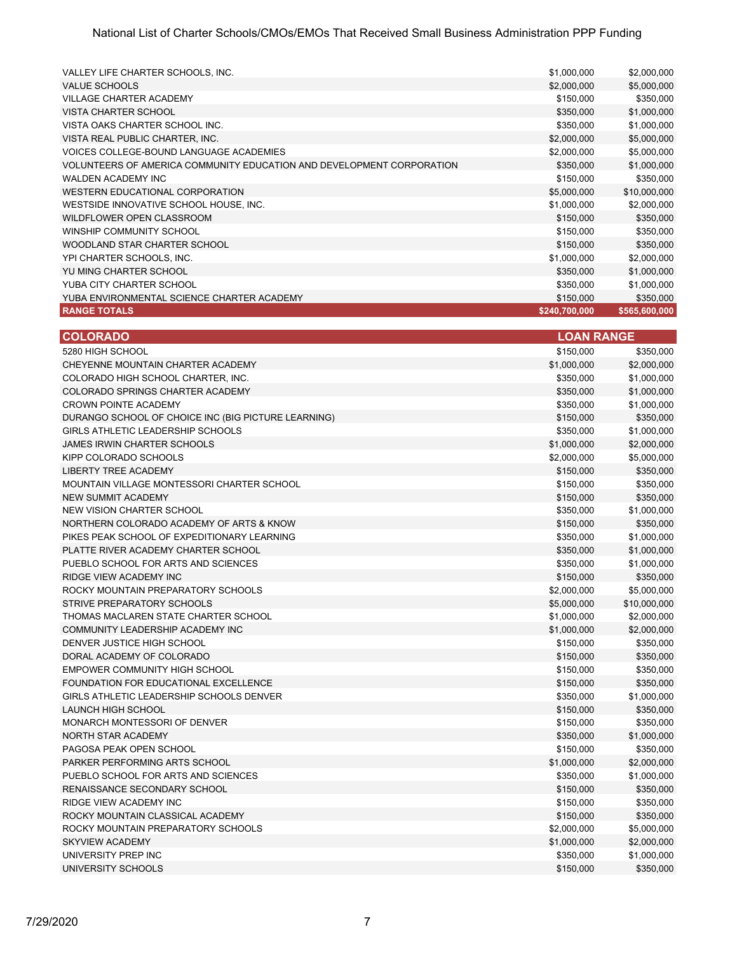| VALLEY LIFE CHARTER SCHOOLS, INC.                                     | \$1,000,000   | \$2,000,000   |
|-----------------------------------------------------------------------|---------------|---------------|
| <b>VALUE SCHOOLS</b>                                                  | \$2,000,000   | \$5,000,000   |
| <b>VILLAGE CHARTER ACADEMY</b>                                        | \$150,000     | \$350,000     |
| <b>VISTA CHARTER SCHOOL</b>                                           | \$350,000     | \$1,000,000   |
| VISTA OAKS CHARTER SCHOOL INC.                                        | \$350,000     | \$1,000,000   |
| VISTA REAL PUBLIC CHARTER, INC.                                       | \$2,000,000   | \$5,000,000   |
| VOICES COLLEGE-BOUND LANGUAGE ACADEMIES                               | \$2,000,000   | \$5,000,000   |
| VOLUNTEERS OF AMERICA COMMUNITY EDUCATION AND DEVELOPMENT CORPORATION | \$350,000     | \$1,000,000   |
| WALDEN ACADEMY INC                                                    | \$150,000     | \$350,000     |
| WESTERN EDUCATIONAL CORPORATION                                       | \$5,000,000   | \$10,000,000  |
| WESTSIDE INNOVATIVE SCHOOL HOUSE, INC.                                | \$1,000,000   | \$2,000,000   |
| WILDFLOWER OPEN CLASSROOM                                             | \$150,000     | \$350,000     |
| WINSHIP COMMUNITY SCHOOL                                              | \$150,000     | \$350,000     |
| WOODLAND STAR CHARTER SCHOOL                                          | \$150,000     | \$350,000     |
| YPI CHARTER SCHOOLS, INC.                                             | \$1,000,000   | \$2,000,000   |
| YU MING CHARTER SCHOOL                                                | \$350,000     | \$1,000,000   |
| YUBA CITY CHARTER SCHOOL                                              | \$350,000     | \$1,000,000   |
| YUBA ENVIRONMENTAL SCIENCE CHARTER ACADEMY                            | \$150,000     | \$350,000     |
| <b>RANGE TOTALS</b>                                                   | \$240,700,000 | \$565,600,000 |

| <b>COLORADO</b>                                     | <b>LOAN RANGE</b> |              |
|-----------------------------------------------------|-------------------|--------------|
| 5280 HIGH SCHOOL                                    | \$150,000         | \$350,000    |
| CHEYENNE MOUNTAIN CHARTER ACADEMY                   | \$1,000,000       | \$2,000,000  |
| COLORADO HIGH SCHOOL CHARTER, INC.                  | \$350,000         | \$1,000,000  |
| COLORADO SPRINGS CHARTER ACADEMY                    | \$350,000         | \$1,000,000  |
| <b>CROWN POINTE ACADEMY</b>                         | \$350,000         | \$1,000,000  |
| DURANGO SCHOOL OF CHOICE INC (BIG PICTURE LEARNING) | \$150,000         | \$350,000    |
| GIRLS ATHLETIC LEADERSHIP SCHOOLS                   | \$350,000         | \$1,000,000  |
| <b>JAMES IRWIN CHARTER SCHOOLS</b>                  | \$1,000,000       | \$2,000,000  |
| KIPP COLORADO SCHOOLS                               | \$2,000,000       | \$5,000,000  |
| <b>LIBERTY TREE ACADEMY</b>                         | \$150,000         | \$350,000    |
| MOUNTAIN VILLAGE MONTESSORI CHARTER SCHOOL          | \$150,000         | \$350,000    |
| <b>NEW SUMMIT ACADEMY</b>                           | \$150,000         | \$350,000    |
| <b>NEW VISION CHARTER SCHOOL</b>                    | \$350,000         | \$1,000,000  |
| NORTHERN COLORADO ACADEMY OF ARTS & KNOW            | \$150,000         | \$350,000    |
| PIKES PEAK SCHOOL OF EXPEDITIONARY LEARNING         | \$350,000         | \$1,000,000  |
| PLATTE RIVER ACADEMY CHARTER SCHOOL                 | \$350,000         | \$1,000,000  |
| PUEBLO SCHOOL FOR ARTS AND SCIENCES                 | \$350,000         | \$1,000,000  |
| RIDGE VIEW ACADEMY INC                              | \$150,000         | \$350,000    |
| ROCKY MOUNTAIN PREPARATORY SCHOOLS                  | \$2,000,000       | \$5,000,000  |
| STRIVE PREPARATORY SCHOOLS                          | \$5,000,000       | \$10,000,000 |
| THOMAS MACLAREN STATE CHARTER SCHOOL                | \$1,000,000       | \$2,000,000  |
| COMMUNITY LEADERSHIP ACADEMY INC                    | \$1,000,000       | \$2,000,000  |
| DENVER JUSTICE HIGH SCHOOL                          | \$150,000         | \$350,000    |
| DORAL ACADEMY OF COLORADO                           | \$150,000         | \$350,000    |
| <b>EMPOWER COMMUNITY HIGH SCHOOL</b>                | \$150,000         | \$350,000    |
| FOUNDATION FOR EDUCATIONAL EXCELLENCE               | \$150,000         | \$350,000    |
| GIRLS ATHLETIC LEADERSHIP SCHOOLS DENVER            | \$350,000         | \$1,000,000  |
| <b>LAUNCH HIGH SCHOOL</b>                           | \$150,000         | \$350,000    |
| MONARCH MONTESSORI OF DENVER                        | \$150,000         | \$350,000    |
| <b>NORTH STAR ACADEMY</b>                           | \$350,000         | \$1,000,000  |
| PAGOSA PEAK OPEN SCHOOL                             | \$150,000         | \$350,000    |
| PARKER PERFORMING ARTS SCHOOL                       | \$1,000,000       | \$2,000,000  |
| PUEBLO SCHOOL FOR ARTS AND SCIENCES                 | \$350,000         | \$1,000,000  |
| RENAISSANCE SECONDARY SCHOOL                        | \$150,000         | \$350,000    |
| <b>RIDGE VIEW ACADEMY INC</b>                       | \$150,000         | \$350,000    |
| ROCKY MOUNTAIN CLASSICAL ACADEMY                    | \$150,000         | \$350,000    |
| ROCKY MOUNTAIN PREPARATORY SCHOOLS                  | \$2,000,000       | \$5,000,000  |
| <b>SKYVIEW ACADEMY</b>                              | \$1,000,000       | \$2,000,000  |
| UNIVERSITY PREP INC                                 | \$350,000         | \$1,000,000  |
| UNIVERSITY SCHOOLS                                  | \$150,000         | \$350,000    |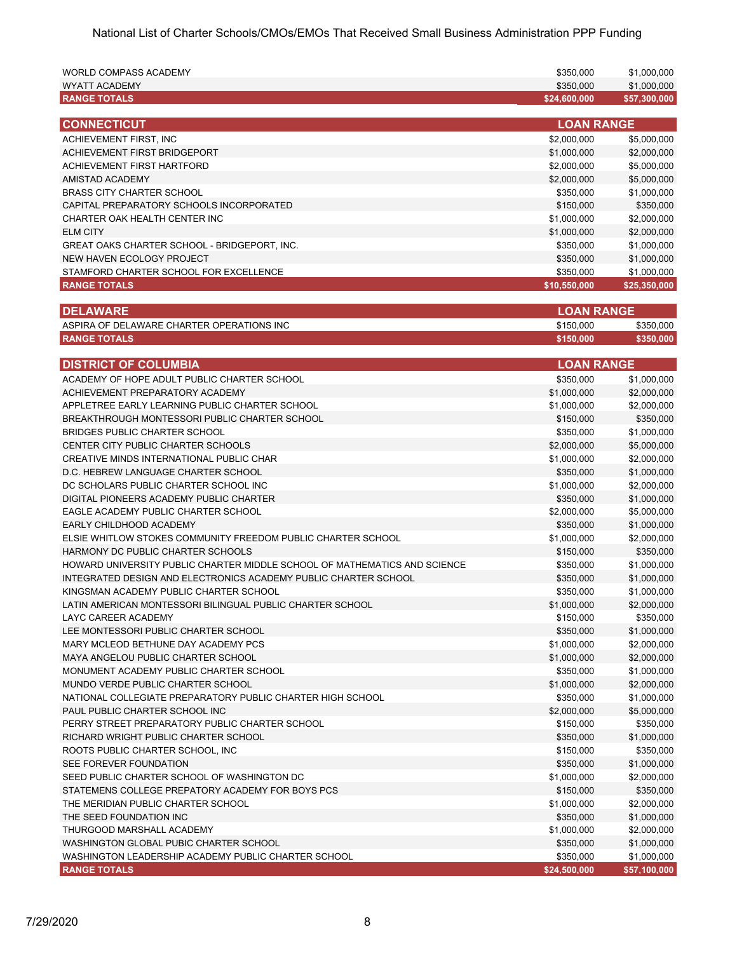| <b>WORLD COMPASS ACADEMY</b>                                              | \$350,000                | \$1,000,000              |
|---------------------------------------------------------------------------|--------------------------|--------------------------|
| WYATT ACADEMY                                                             | \$350,000                | \$1,000,000              |
| <b>RANGE TOTALS</b>                                                       | \$24,600,000             | \$57,300,000             |
| <b>CONNECTICUT</b>                                                        | <b>LOAN RANGE</b>        |                          |
| ACHIEVEMENT FIRST, INC                                                    | \$2,000,000              | \$5,000,000              |
|                                                                           |                          |                          |
| ACHIEVEMENT FIRST BRIDGEPORT                                              | \$1,000,000              | \$2,000,000              |
| <b>ACHIEVEMENT FIRST HARTFORD</b>                                         | \$2,000,000              | \$5,000,000              |
| <b>AMISTAD ACADEMY</b>                                                    | \$2,000,000              | \$5,000,000              |
| <b>BRASS CITY CHARTER SCHOOL</b>                                          | \$350.000                | \$1,000,000              |
| CAPITAL PREPARATORY SCHOOLS INCORPORATED                                  | \$150,000                | \$350,000                |
| CHARTER OAK HEALTH CENTER INC                                             | \$1,000,000              | \$2,000,000              |
| <b>ELM CITY</b>                                                           | \$1,000,000              | \$2,000,000              |
| GREAT OAKS CHARTER SCHOOL - BRIDGEPORT, INC.                              | \$350,000                | \$1,000,000              |
| NEW HAVEN ECOLOGY PROJECT                                                 | \$350,000                | \$1,000,000              |
| STAMFORD CHARTER SCHOOL FOR EXCELLENCE                                    | \$350,000                | \$1,000,000              |
| <b>RANGE TOTALS</b>                                                       | \$10,550,000             | \$25,350,000             |
| <b>DELAWARE</b>                                                           | <b>LOAN RANGE</b>        |                          |
|                                                                           |                          |                          |
| ASPIRA OF DELAWARE CHARTER OPERATIONS INC                                 | \$150,000                | \$350,000                |
| <b>RANGE TOTALS</b>                                                       | \$150,000                | \$350,000                |
| <b>DISTRICT OF COLUMBIA</b>                                               | <b>LOAN RANGE</b>        |                          |
| ACADEMY OF HOPE ADULT PUBLIC CHARTER SCHOOL                               | \$350,000                | \$1,000,000              |
| ACHIEVEMENT PREPARATORY ACADEMY                                           | \$1,000,000              | \$2,000,000              |
| APPLETREE EARLY LEARNING PUBLIC CHARTER SCHOOL                            | \$1,000,000              | \$2,000,000              |
| BREAKTHROUGH MONTESSORI PUBLIC CHARTER SCHOOL                             | \$150,000                | \$350,000                |
| BRIDGES PUBLIC CHARTER SCHOOL                                             | \$350,000                | \$1,000,000              |
| CENTER CITY PUBLIC CHARTER SCHOOLS                                        | \$2,000,000              | \$5,000,000              |
| CREATIVE MINDS INTERNATIONAL PUBLIC CHAR                                  | \$1,000,000              | \$2,000,000              |
| D.C. HEBREW LANGUAGE CHARTER SCHOOL                                       | \$350,000                | \$1,000,000              |
| DC SCHOLARS PUBLIC CHARTER SCHOOL INC                                     | \$1,000,000              | \$2,000,000              |
| DIGITAL PIONEERS ACADEMY PUBLIC CHARTER                                   | \$350,000                | \$1,000,000              |
| EAGLE ACADEMY PUBLIC CHARTER SCHOOL                                       | \$2,000,000              | \$5,000,000              |
| EARLY CHILDHOOD ACADEMY                                                   | \$350,000                | \$1,000,000              |
| ELSIE WHITLOW STOKES COMMUNITY FREEDOM PUBLIC CHARTER SCHOOL              | \$1,000,000              | \$2,000,000              |
| HARMONY DC PUBLIC CHARTER SCHOOLS                                         | \$150,000                | \$350,000                |
| HOWARD UNIVERSITY PUBLIC CHARTER MIDDLE SCHOOL OF MATHEMATICS AND SCIENCE | \$350,000                | \$1,000,000              |
| INTEGRATED DESIGN AND ELECTRONICS ACADEMY PUBLIC CHARTER SCHOOL           | \$350,000                | \$1,000,000              |
| KINGSMAN ACADEMY PUBLIC CHARTER SCHOOL                                    | \$350,000                | \$1,000,000              |
| LATIN AMERICAN MONTESSORI BILINGUAL PUBLIC CHARTER SCHOOL                 |                          |                          |
| LAYC CAREER ACADEMY                                                       | \$1,000,000<br>\$150,000 | \$2,000,000<br>\$350,000 |
| LEE MONTESSORI PUBLIC CHARTER SCHOOL                                      |                          |                          |
|                                                                           | \$350,000<br>\$1,000,000 | \$1,000,000              |
| MARY MCLEOD BETHUNE DAY ACADEMY PCS                                       |                          | \$2,000,000              |
| MAYA ANGELOU PUBLIC CHARTER SCHOOL                                        | \$1,000,000              | \$2,000,000              |
| MONUMENT ACADEMY PUBLIC CHARTER SCHOOL                                    | \$350,000                | \$1,000,000              |
| MUNDO VERDE PUBLIC CHARTER SCHOOL                                         | \$1,000,000              | \$2,000,000              |
| NATIONAL COLLEGIATE PREPARATORY PUBLIC CHARTER HIGH SCHOOL                | \$350,000                | \$1,000,000              |
| PAUL PUBLIC CHARTER SCHOOL INC                                            | \$2,000,000              | \$5,000,000              |
| PERRY STREET PREPARATORY PUBLIC CHARTER SCHOOL                            | \$150,000                | \$350,000                |
| RICHARD WRIGHT PUBLIC CHARTER SCHOOL                                      | \$350,000                | \$1,000,000              |
| ROOTS PUBLIC CHARTER SCHOOL, INC.                                         | \$150,000                | \$350,000                |
| SEE FOREVER FOUNDATION                                                    | \$350,000                | \$1,000,000              |
| SEED PUBLIC CHARTER SCHOOL OF WASHINGTON DC                               | \$1,000,000              | \$2,000,000              |
| STATEMENS COLLEGE PREPATORY ACADEMY FOR BOYS PCS                          | \$150,000                | \$350,000                |
| THE MERIDIAN PUBLIC CHARTER SCHOOL                                        | \$1,000,000              | \$2,000,000              |
| THE SEED FOUNDATION INC                                                   | \$350,000                | \$1,000,000              |
| THURGOOD MARSHALL ACADEMY                                                 | \$1,000,000              | \$2,000,000              |
| WASHINGTON GLOBAL PUBIC CHARTER SCHOOL                                    | \$350,000                | \$1,000,000              |
| WASHINGTON LEADERSHIP ACADEMY PUBLIC CHARTER SCHOOL                       | \$350,000                | \$1,000,000              |
| <b>RANGE TOTALS</b>                                                       | \$24,500,000             | \$57,100,000             |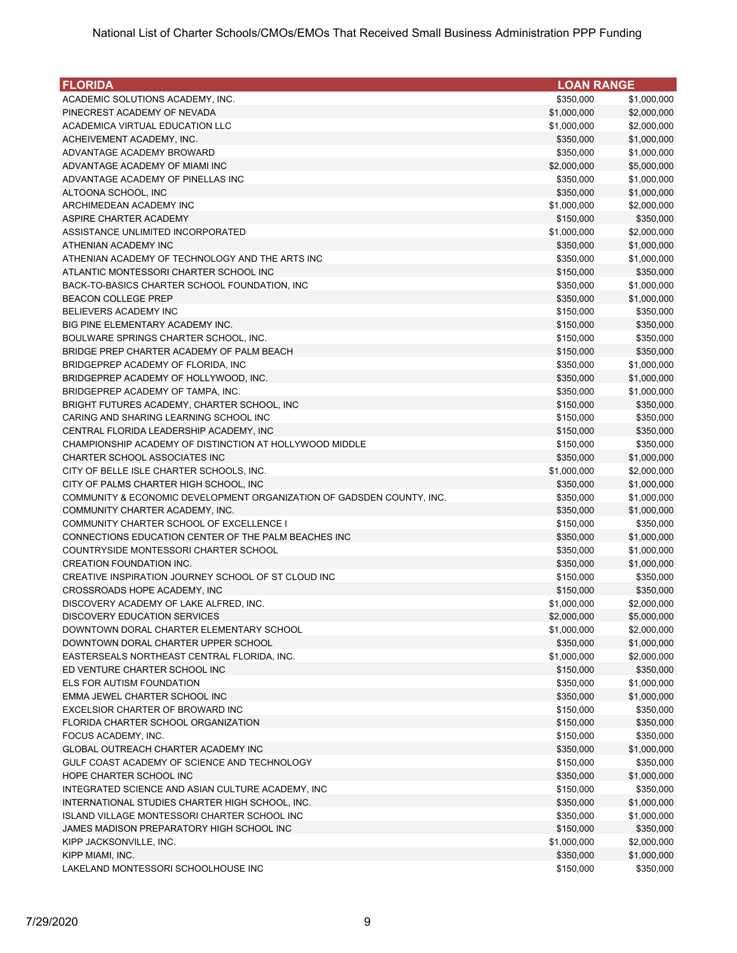| <b>FLORIDA</b>                                                                         | <b>LOAN RANGE</b>      |                        |
|----------------------------------------------------------------------------------------|------------------------|------------------------|
| ACADEMIC SOLUTIONS ACADEMY, INC.                                                       | \$350,000              | \$1,000,000            |
| PINECREST ACADEMY OF NEVADA                                                            | \$1,000,000            | \$2,000,000            |
| ACADEMICA VIRTUAL EDUCATION LLC                                                        | \$1,000,000            | \$2,000,000            |
| ACHEIVEMENT ACADEMY, INC.                                                              | \$350,000              | \$1,000,000            |
| ADVANTAGE ACADEMY BROWARD                                                              | \$350,000              | \$1,000,000            |
| ADVANTAGE ACADEMY OF MIAMI INC                                                         | \$2,000,000            | \$5,000,000            |
| ADVANTAGE ACADEMY OF PINELLAS INC                                                      | \$350,000              | \$1,000,000            |
| ALTOONA SCHOOL, INC                                                                    | \$350,000              | \$1,000,000            |
| ARCHIMEDEAN ACADEMY INC                                                                | \$1,000,000            | \$2,000,000            |
| ASPIRE CHARTER ACADEMY                                                                 | \$150,000              | \$350,000              |
| ASSISTANCE UNLIMITED INCORPORATED                                                      | \$1,000,000            | \$2,000,000            |
| ATHENIAN ACADEMY INC                                                                   | \$350,000              | \$1,000,000            |
| ATHENIAN ACADEMY OF TECHNOLOGY AND THE ARTS INC                                        | \$350,000              | \$1,000,000            |
| ATLANTIC MONTESSORI CHARTER SCHOOL INC                                                 | \$150,000              | \$350,000              |
| BACK-TO-BASICS CHARTER SCHOOL FOUNDATION, INC                                          | \$350,000              | \$1,000,000            |
| <b>BEACON COLLEGE PREP</b>                                                             | \$350,000              | \$1,000,000            |
| <b>BELIEVERS ACADEMY INC</b>                                                           | \$150,000              | \$350,000              |
| BIG PINE ELEMENTARY ACADEMY INC.                                                       | \$150,000              | \$350,000              |
| BOULWARE SPRINGS CHARTER SCHOOL, INC.                                                  | \$150,000              | \$350,000              |
| BRIDGE PREP CHARTER ACADEMY OF PALM BEACH                                              | \$150,000              | \$350,000              |
| BRIDGEPREP ACADEMY OF FLORIDA, INC                                                     | \$350,000              | \$1,000,000            |
| BRIDGEPREP ACADEMY OF HOLLYWOOD, INC.                                                  | \$350,000              | \$1,000,000            |
| BRIDGEPREP ACADEMY OF TAMPA, INC.                                                      | \$350,000              | \$1,000,000            |
| BRIGHT FUTURES ACADEMY, CHARTER SCHOOL, INC                                            | \$150,000              | \$350,000              |
| CARING AND SHARING LEARNING SCHOOL INC                                                 | \$150,000              | \$350,000              |
| CENTRAL FLORIDA LEADERSHIP ACADEMY, INC                                                | \$150,000              | \$350,000              |
| CHAMPIONSHIP ACADEMY OF DISTINCTION AT HOLLYWOOD MIDDLE                                | \$150,000              | \$350,000              |
| CHARTER SCHOOL ASSOCIATES INC                                                          | \$350,000              | \$1,000,000            |
| CITY OF BELLE ISLE CHARTER SCHOOLS, INC.                                               | \$1,000,000            | \$2,000,000            |
| CITY OF PALMS CHARTER HIGH SCHOOL, INC                                                 | \$350,000              | \$1,000,000            |
| COMMUNITY & ECONOMIC DEVELOPMENT ORGANIZATION OF GADSDEN COUNTY, INC.                  | \$350,000              | \$1,000,000            |
| COMMUNITY CHARTER ACADEMY, INC.                                                        | \$350,000              | \$1,000,000            |
| COMMUNITY CHARTER SCHOOL OF EXCELLENCE I                                               | \$150,000              | \$350,000              |
| CONNECTIONS EDUCATION CENTER OF THE PALM BEACHES INC                                   | \$350,000              | \$1,000,000            |
| COUNTRYSIDE MONTESSORI CHARTER SCHOOL                                                  | \$350,000              | \$1,000,000            |
| <b>CREATION FOUNDATION INC.</b><br>CREATIVE INSPIRATION JOURNEY SCHOOL OF ST CLOUD INC | \$350,000              | \$1,000,000            |
|                                                                                        | \$150,000<br>\$150,000 | \$350,000<br>\$350,000 |
| CROSSROADS HOPE ACADEMY, INC<br>DISCOVERY ACADEMY OF LAKE ALFRED, INC.                 | \$1,000,000            | \$2,000,000            |
| <b>DISCOVERY EDUCATION SERVICES</b>                                                    | \$2,000,000            | \$5,000,000            |
| DOWNTOWN DORAL CHARTER ELEMENTARY SCHOOL                                               | \$1,000,000            | \$2,000,000            |
| DOWNTOWN DORAL CHARTER UPPER SCHOOL                                                    | \$350,000              | \$1,000,000            |
| EASTERSEALS NORTHEAST CENTRAL FLORIDA, INC.                                            | \$1,000,000            | \$2,000,000            |
| ED VENTURE CHARTER SCHOOL INC                                                          | \$150,000              | \$350,000              |
| ELS FOR AUTISM FOUNDATION                                                              | \$350,000              | \$1,000,000            |
| EMMA JEWEL CHARTER SCHOOL INC                                                          | \$350,000              | \$1,000,000            |
| EXCELSIOR CHARTER OF BROWARD INC                                                       | \$150,000              | \$350,000              |
| FLORIDA CHARTER SCHOOL ORGANIZATION                                                    | \$150,000              | \$350,000              |
| FOCUS ACADEMY, INC.                                                                    | \$150,000              | \$350,000              |
| GLOBAL OUTREACH CHARTER ACADEMY INC                                                    | \$350,000              | \$1,000,000            |
| GULF COAST ACADEMY OF SCIENCE AND TECHNOLOGY                                           | \$150,000              | \$350,000              |
| HOPE CHARTER SCHOOL INC                                                                | \$350,000              | \$1,000,000            |
| INTEGRATED SCIENCE AND ASIAN CULTURE ACADEMY, INC                                      | \$150,000              | \$350,000              |
| INTERNATIONAL STUDIES CHARTER HIGH SCHOOL, INC.                                        | \$350,000              | \$1,000,000            |
| ISLAND VILLAGE MONTESSORI CHARTER SCHOOL INC                                           | \$350,000              | \$1,000,000            |
| JAMES MADISON PREPARATORY HIGH SCHOOL INC                                              | \$150,000              | \$350,000              |
| KIPP JACKSONVILLE, INC.                                                                | \$1,000,000            | \$2,000,000            |
| KIPP MIAMI, INC.                                                                       | \$350,000              | \$1,000,000            |
| LAKELAND MONTESSORI SCHOOLHOUSE INC                                                    | \$150,000              | \$350,000              |
|                                                                                        |                        |                        |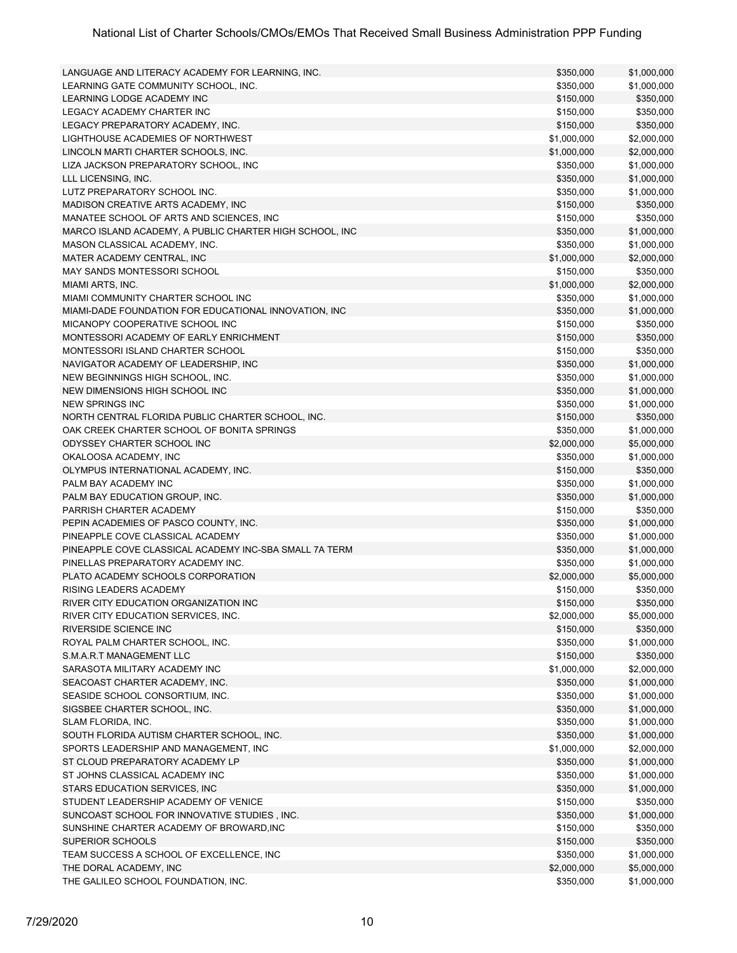| LANGUAGE AND LITERACY ACADEMY FOR LEARNING, INC.        | \$350,000   | \$1,000,000 |
|---------------------------------------------------------|-------------|-------------|
| LEARNING GATE COMMUNITY SCHOOL, INC.                    | \$350,000   | \$1,000,000 |
| <b>LEARNING LODGE ACADEMY INC</b>                       | \$150,000   | \$350,000   |
| LEGACY ACADEMY CHARTER INC                              | \$150,000   | \$350,000   |
| LEGACY PREPARATORY ACADEMY, INC.                        | \$150,000   | \$350,000   |
| LIGHTHOUSE ACADEMIES OF NORTHWEST                       | \$1,000,000 | \$2,000,000 |
| LINCOLN MARTI CHARTER SCHOOLS, INC.                     | \$1,000,000 | \$2,000,000 |
| LIZA JACKSON PREPARATORY SCHOOL, INC                    | \$350,000   | \$1,000,000 |
| LLL LICENSING, INC.                                     | \$350,000   | \$1,000,000 |
| LUTZ PREPARATORY SCHOOL INC.                            | \$350,000   | \$1,000,000 |
| MADISON CREATIVE ARTS ACADEMY. INC                      | \$150,000   | \$350,000   |
| MANATEE SCHOOL OF ARTS AND SCIENCES, INC                | \$150,000   | \$350,000   |
| MARCO ISLAND ACADEMY, A PUBLIC CHARTER HIGH SCHOOL, INC | \$350,000   | \$1,000,000 |
| MASON CLASSICAL ACADEMY, INC.                           | \$350,000   | \$1,000,000 |
| MATER ACADEMY CENTRAL, INC                              | \$1,000,000 | \$2,000,000 |
| MAY SANDS MONTESSORI SCHOOL                             | \$150,000   | \$350,000   |
| MIAMI ARTS, INC.                                        | \$1,000,000 | \$2,000,000 |
| MIAMI COMMUNITY CHARTER SCHOOL INC                      | \$350,000   | \$1,000,000 |
| MIAMI-DADE FOUNDATION FOR EDUCATIONAL INNOVATION, INC   | \$350,000   | \$1,000,000 |
| MICANOPY COOPERATIVE SCHOOL INC                         | \$150,000   | \$350,000   |
| MONTESSORI ACADEMY OF EARLY ENRICHMENT                  |             |             |
|                                                         | \$150,000   | \$350,000   |
| MONTESSORI ISLAND CHARTER SCHOOL                        | \$150,000   | \$350,000   |
| NAVIGATOR ACADEMY OF LEADERSHIP, INC                    | \$350,000   | \$1,000,000 |
| NEW BEGINNINGS HIGH SCHOOL, INC.                        | \$350,000   | \$1,000,000 |
| NEW DIMENSIONS HIGH SCHOOL INC                          | \$350,000   | \$1,000,000 |
| <b>NEW SPRINGS INC</b>                                  | \$350,000   | \$1,000,000 |
| NORTH CENTRAL FLORIDA PUBLIC CHARTER SCHOOL, INC.       | \$150,000   | \$350,000   |
| OAK CREEK CHARTER SCHOOL OF BONITA SPRINGS              | \$350,000   | \$1,000,000 |
| ODYSSEY CHARTER SCHOOL INC                              | \$2,000,000 | \$5,000,000 |
| OKALOOSA ACADEMY, INC                                   | \$350,000   | \$1,000,000 |
| OLYMPUS INTERNATIONAL ACADEMY, INC.                     | \$150,000   | \$350,000   |
| PALM BAY ACADEMY INC                                    | \$350,000   | \$1,000,000 |
| PALM BAY EDUCATION GROUP, INC.                          | \$350,000   | \$1,000,000 |
| PARRISH CHARTER ACADEMY                                 | \$150,000   | \$350,000   |
| PEPIN ACADEMIES OF PASCO COUNTY, INC.                   | \$350,000   | \$1,000,000 |
| PINEAPPLE COVE CLASSICAL ACADEMY                        | \$350,000   | \$1,000,000 |
| PINEAPPLE COVE CLASSICAL ACADEMY INC-SBA SMALL 7A TERM  | \$350,000   | \$1,000,000 |
| PINELLAS PREPARATORY ACADEMY INC.                       | \$350,000   | \$1,000,000 |
| PLATO ACADEMY SCHOOLS CORPORATION                       | \$2,000,000 | \$5,000,000 |
| RISING LEADERS ACADEMY                                  | \$150,000   | \$350,000   |
| RIVER CITY EDUCATION ORGANIZATION INC                   | \$150,000   | \$350,000   |
| RIVER CITY EDUCATION SERVICES, INC.                     | \$2,000,000 | \$5,000,000 |
| RIVERSIDE SCIENCE INC                                   | \$150,000   | \$350,000   |
| ROYAL PALM CHARTER SCHOOL, INC.                         | \$350,000   | \$1,000,000 |
| S.M.A.R.T MANAGEMENT LLC                                | \$150,000   | \$350,000   |
| SARASOTA MILITARY ACADEMY INC                           | \$1,000,000 | \$2,000,000 |
| SEACOAST CHARTER ACADEMY, INC.                          | \$350,000   | \$1,000,000 |
| SEASIDE SCHOOL CONSORTIUM, INC.                         | \$350,000   | \$1,000,000 |
| SIGSBEE CHARTER SCHOOL, INC.                            | \$350,000   | \$1,000,000 |
| SLAM FLORIDA, INC.                                      | \$350,000   | \$1,000,000 |
| SOUTH FLORIDA AUTISM CHARTER SCHOOL, INC.               | \$350,000   | \$1,000,000 |
| SPORTS LEADERSHIP AND MANAGEMENT, INC                   | \$1,000,000 | \$2,000,000 |
| ST CLOUD PREPARATORY ACADEMY LP                         | \$350,000   | \$1,000,000 |
| ST JOHNS CLASSICAL ACADEMY INC                          | \$350,000   | \$1,000,000 |
| STARS EDUCATION SERVICES, INC                           | \$350,000   | \$1,000,000 |
| STUDENT LEADERSHIP ACADEMY OF VENICE                    | \$150,000   | \$350,000   |
|                                                         |             |             |
| SUNCOAST SCHOOL FOR INNOVATIVE STUDIES, INC.            | \$350,000   | \$1,000,000 |
| SUNSHINE CHARTER ACADEMY OF BROWARD, INC                | \$150,000   | \$350,000   |
| SUPERIOR SCHOOLS                                        | \$150,000   | \$350,000   |
| TEAM SUCCESS A SCHOOL OF EXCELLENCE, INC                | \$350,000   | \$1,000,000 |
| THE DORAL ACADEMY, INC                                  | \$2,000,000 | \$5,000,000 |
| THE GALILEO SCHOOL FOUNDATION, INC.                     | \$350,000   | \$1,000,000 |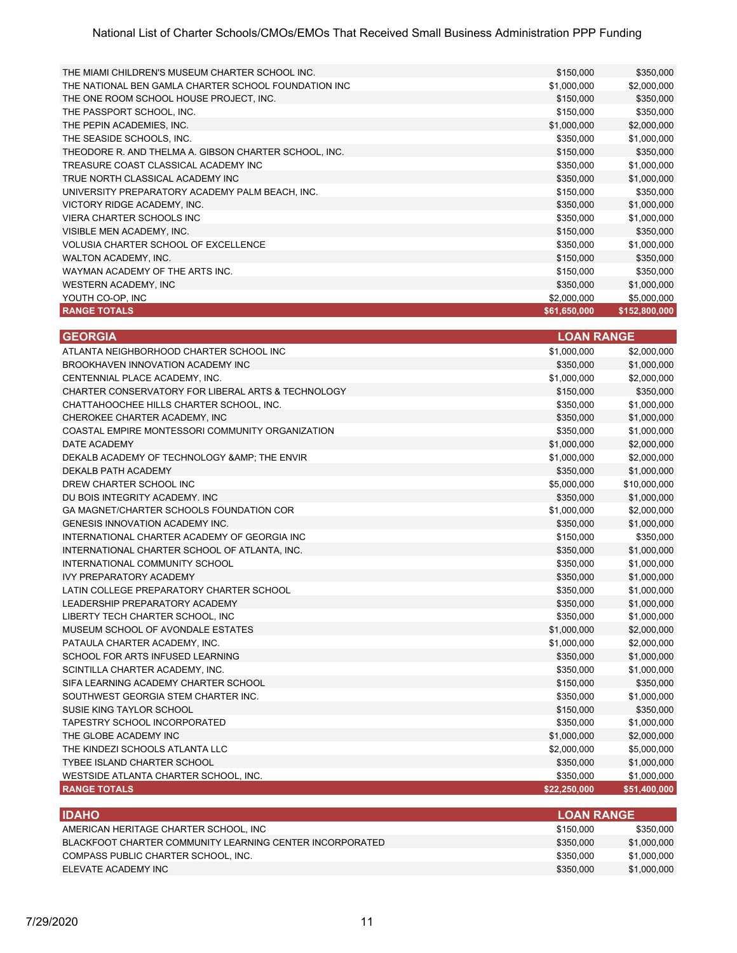| THE MIAMI CHILDREN'S MUSEUM CHARTER SCHOOL INC.       | \$150,000    | \$350,000     |
|-------------------------------------------------------|--------------|---------------|
| THE NATIONAL BEN GAMLA CHARTER SCHOOL FOUNDATION INC  | \$1,000,000  | \$2,000,000   |
| THE ONE ROOM SCHOOL HOUSE PROJECT, INC.               | \$150,000    | \$350,000     |
| THE PASSPORT SCHOOL, INC.                             | \$150,000    | \$350,000     |
| THE PEPIN ACADEMIES, INC.                             | \$1,000,000  | \$2,000,000   |
| THE SEASIDE SCHOOLS, INC.                             | \$350,000    | \$1,000,000   |
| THEODORE R. AND THELMA A. GIBSON CHARTER SCHOOL, INC. | \$150,000    | \$350,000     |
| TREASURE COAST CLASSICAL ACADEMY INC                  | \$350,000    | \$1,000,000   |
| TRUE NORTH CLASSICAL ACADEMY INC                      | \$350,000    | \$1,000,000   |
| UNIVERSITY PREPARATORY ACADEMY PALM BEACH, INC.       | \$150,000    | \$350,000     |
| VICTORY RIDGE ACADEMY, INC.                           | \$350,000    | \$1,000,000   |
| <b>VIERA CHARTER SCHOOLS INC</b>                      | \$350,000    | \$1,000,000   |
| VISIBLE MEN ACADEMY, INC.                             | \$150,000    | \$350,000     |
| <b>VOLUSIA CHARTER SCHOOL OF EXCELLENCE</b>           | \$350,000    | \$1,000,000   |
| WALTON ACADEMY, INC.                                  | \$150,000    | \$350,000     |
| WAYMAN ACADEMY OF THE ARTS INC.                       | \$150,000    | \$350,000     |
| WESTERN ACADEMY, INC                                  | \$350,000    | \$1,000,000   |
| YOUTH CO-OP, INC                                      | \$2,000,000  | \$5,000,000   |
| <b>RANGE TOTALS</b>                                   | \$61,650,000 | \$152,800,000 |

| <b>GEORGIA</b>                                     | <b>LOAN RANGE</b> |              |
|----------------------------------------------------|-------------------|--------------|
| ATLANTA NEIGHBORHOOD CHARTER SCHOOL INC            | \$1,000,000       | \$2,000,000  |
| BROOKHAVEN INNOVATION ACADEMY INC                  | \$350,000         | \$1,000,000  |
| CENTENNIAL PLACE ACADEMY. INC.                     | \$1,000,000       | \$2,000,000  |
| CHARTER CONSERVATORY FOR LIBERAL ARTS & TECHNOLOGY | \$150,000         | \$350,000    |
| CHATTAHOOCHEE HILLS CHARTER SCHOOL, INC.           | \$350,000         | \$1,000,000  |
| CHEROKEE CHARTER ACADEMY, INC                      | \$350,000         | \$1,000,000  |
| COASTAL EMPIRE MONTESSORI COMMUNITY ORGANIZATION   | \$350,000         | \$1,000,000  |
| DATE ACADEMY                                       | \$1,000,000       | \$2,000,000  |
| DEKALB ACADEMY OF TECHNOLOGY & AMP; THE ENVIR      | \$1,000,000       | \$2,000,000  |
| DEKALB PATH ACADEMY                                | \$350,000         | \$1,000,000  |
| DREW CHARTER SCHOOL INC                            | \$5,000,000       | \$10,000,000 |
| DU BOIS INTEGRITY ACADEMY. INC.                    | \$350,000         | \$1,000,000  |
| GA MAGNET/CHARTER SCHOOLS FOUNDATION COR           | \$1,000,000       | \$2,000,000  |
| <b>GENESIS INNOVATION ACADEMY INC.</b>             | \$350,000         | \$1,000,000  |
| INTERNATIONAL CHARTER ACADEMY OF GEORGIA INC       | \$150,000         | \$350,000    |
| INTERNATIONAL CHARTER SCHOOL OF ATLANTA, INC.      | \$350,000         | \$1,000,000  |
| INTERNATIONAL COMMUNITY SCHOOL                     | \$350,000         | \$1,000,000  |
| <b>IVY PREPARATORY ACADEMY</b>                     | \$350,000         | \$1,000,000  |
| LATIN COLLEGE PREPARATORY CHARTER SCHOOL           | \$350,000         | \$1,000,000  |
| LEADERSHIP PREPARATORY ACADEMY                     | \$350,000         | \$1,000,000  |
| LIBERTY TECH CHARTER SCHOOL, INC                   | \$350,000         | \$1,000,000  |
| MUSEUM SCHOOL OF AVONDALE ESTATES                  | \$1,000,000       | \$2,000,000  |
| PATAULA CHARTER ACADEMY, INC.                      | \$1,000,000       | \$2,000,000  |
| SCHOOL FOR ARTS INFUSED LEARNING                   | \$350,000         | \$1,000,000  |
| SCINTILLA CHARTER ACADEMY, INC.                    | \$350,000         | \$1,000,000  |
| SIFA LEARNING ACADEMY CHARTER SCHOOL               | \$150,000         | \$350,000    |
| SOUTHWEST GEORGIA STEM CHARTER INC.                | \$350,000         | \$1,000,000  |
| SUSIE KING TAYLOR SCHOOL                           | \$150,000         | \$350,000    |
| TAPESTRY SCHOOL INCORPORATED                       | \$350,000         | \$1,000,000  |
| THE GLOBE ACADEMY INC                              | \$1,000,000       | \$2,000,000  |
| THE KINDEZI SCHOOLS ATLANTA LLC                    | \$2,000,000       | \$5,000,000  |
| <b>TYBEE ISLAND CHARTER SCHOOL</b>                 | \$350,000         | \$1,000,000  |
| WESTSIDE ATLANTA CHARTER SCHOOL, INC.              | \$350,000         | \$1,000,000  |
| <b>RANGE TOTALS</b>                                | \$22,250,000      | \$51,400,000 |

| <b>IDAHO</b>                                             | <b>LOAN RANGE</b> ' |             |
|----------------------------------------------------------|---------------------|-------------|
| AMERICAN HERITAGE CHARTER SCHOOL. INC                    | \$150.000           | \$350,000   |
| BLACKFOOT CHARTER COMMUNITY LEARNING CENTER INCORPORATED | \$350,000           | \$1,000,000 |
| COMPASS PUBLIC CHARTER SCHOOL. INC.                      | \$350,000           | \$1,000,000 |
| ELEVATE ACADEMY INC                                      | \$350,000           | \$1,000,000 |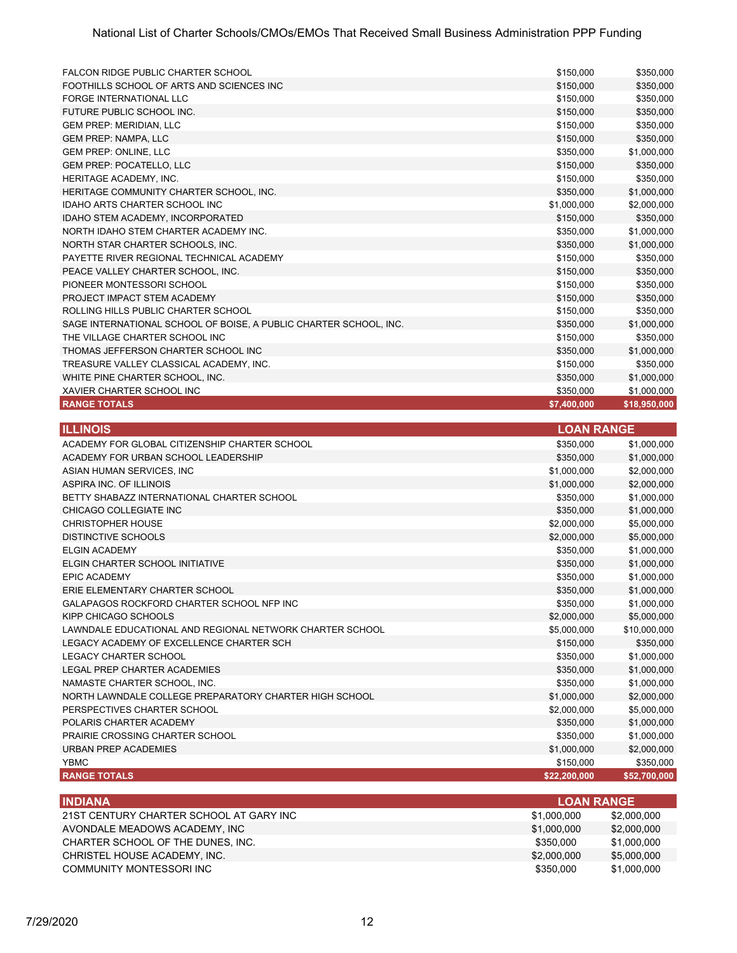| FALCON RIDGE PUBLIC CHARTER SCHOOL                                | \$150,000   | \$350,000    |
|-------------------------------------------------------------------|-------------|--------------|
| FOOTHILLS SCHOOL OF ARTS AND SCIENCES INC                         | \$150,000   | \$350,000    |
| FORGE INTERNATIONAL LLC                                           | \$150,000   | \$350,000    |
| FUTURE PUBLIC SCHOOL INC.                                         | \$150,000   | \$350,000    |
| <b>GEM PREP: MERIDIAN, LLC</b>                                    | \$150,000   | \$350,000    |
| <b>GEM PREP: NAMPA, LLC</b>                                       | \$150,000   | \$350,000    |
| <b>GEM PREP: ONLINE, LLC</b>                                      | \$350,000   | \$1,000,000  |
| <b>GEM PREP: POCATELLO, LLC</b>                                   | \$150,000   | \$350,000    |
| HERITAGE ACADEMY. INC.                                            | \$150,000   | \$350,000    |
| HERITAGE COMMUNITY CHARTER SCHOOL. INC.                           | \$350,000   | \$1,000,000  |
| <b>IDAHO ARTS CHARTER SCHOOL INC.</b>                             | \$1,000,000 | \$2,000,000  |
| IDAHO STEM ACADEMY, INCORPORATED                                  | \$150,000   | \$350,000    |
| NORTH IDAHO STEM CHARTER ACADEMY INC.                             | \$350,000   | \$1,000,000  |
| NORTH STAR CHARTER SCHOOLS, INC.                                  | \$350,000   | \$1,000,000  |
| PAYETTE RIVER REGIONAL TECHNICAL ACADEMY                          | \$150,000   | \$350,000    |
| PEACE VALLEY CHARTER SCHOOL. INC.                                 | \$150,000   | \$350,000    |
| PIONEER MONTESSORI SCHOOL                                         | \$150,000   | \$350,000    |
| PROJECT IMPACT STEM ACADEMY                                       | \$150,000   | \$350,000    |
| ROLLING HILLS PUBLIC CHARTER SCHOOL                               | \$150,000   | \$350,000    |
| SAGE INTERNATIONAL SCHOOL OF BOISE, A PUBLIC CHARTER SCHOOL, INC. | \$350,000   | \$1,000,000  |
| THE VILLAGE CHARTER SCHOOL INC.                                   | \$150,000   | \$350,000    |
| THOMAS JEFFERSON CHARTER SCHOOL INC                               | \$350,000   | \$1,000,000  |
| TREASURE VALLEY CLASSICAL ACADEMY, INC.                           | \$150,000   | \$350,000    |
| WHITE PINE CHARTER SCHOOL. INC.                                   | \$350,000   | \$1,000,000  |
| XAVIER CHARTER SCHOOL INC                                         | \$350,000   | \$1,000,000  |
| <b>RANGE TOTALS</b>                                               | \$7,400,000 | \$18,950,000 |

| <b>ILLINOIS</b>                                          | <b>LOAN RANGE</b> |              |
|----------------------------------------------------------|-------------------|--------------|
| ACADEMY FOR GLOBAL CITIZENSHIP CHARTER SCHOOL            | \$350,000         | \$1,000,000  |
| ACADEMY FOR URBAN SCHOOL LEADERSHIP                      | \$350,000         | \$1,000,000  |
| ASIAN HUMAN SERVICES, INC.                               | \$1,000,000       | \$2,000,000  |
| ASPIRA INC. OF ILLINOIS                                  | \$1,000,000       | \$2,000,000  |
| BETTY SHABAZZ INTERNATIONAL CHARTER SCHOOL               | \$350,000         | \$1,000,000  |
| CHICAGO COLLEGIATE INC                                   | \$350,000         | \$1,000,000  |
| <b>CHRISTOPHER HOUSE</b>                                 | \$2,000,000       | \$5,000,000  |
| DISTINCTIVE SCHOOLS                                      | \$2,000,000       | \$5,000,000  |
| <b>ELGIN ACADEMY</b>                                     | \$350,000         | \$1,000,000  |
| ELGIN CHARTER SCHOOL INITIATIVE                          | \$350,000         | \$1,000,000  |
| <b>EPIC ACADEMY</b>                                      | \$350,000         | \$1,000,000  |
| ERIE ELEMENTARY CHARTER SCHOOL                           | \$350,000         | \$1,000,000  |
| GALAPAGOS ROCKFORD CHARTER SCHOOL NFP INC                | \$350,000         | \$1,000,000  |
| KIPP CHICAGO SCHOOLS                                     | \$2,000,000       | \$5,000,000  |
| LAWNDALE EDUCATIONAL AND REGIONAL NETWORK CHARTER SCHOOL | \$5,000,000       | \$10,000,000 |
| LEGACY ACADEMY OF EXCELLENCE CHARTER SCH                 | \$150,000         | \$350,000    |
| <b>LEGACY CHARTER SCHOOL</b>                             | \$350,000         | \$1,000,000  |
| LEGAL PREP CHARTER ACADEMIES                             | \$350,000         | \$1,000,000  |
| NAMASTE CHARTER SCHOOL, INC.                             | \$350,000         | \$1,000,000  |
| NORTH LAWNDALE COLLEGE PREPARATORY CHARTER HIGH SCHOOL   | \$1,000,000       | \$2,000,000  |
| PERSPECTIVES CHARTER SCHOOL                              | \$2,000,000       | \$5,000,000  |
| POLARIS CHARTER ACADEMY                                  | \$350,000         | \$1,000,000  |
| PRAIRIE CROSSING CHARTER SCHOOL                          | \$350,000         | \$1,000,000  |
| <b>URBAN PREP ACADEMIES</b>                              | \$1,000,000       | \$2,000,000  |
| <b>YBMC</b>                                              | \$150,000         | \$350,000    |
| <b>RANGE TOTALS</b>                                      | \$22,200,000      | \$52,700,000 |
|                                                          |                   |              |

| <b>INDIANA</b>                          | <b>LOAN RANGE</b> |             |
|-----------------------------------------|-------------------|-------------|
| 21ST CENTURY CHARTER SCHOOL AT GARY INC | \$1,000,000       | \$2,000,000 |
| AVONDALE MEADOWS ACADEMY. INC           | \$1,000,000       | \$2,000,000 |
| CHARTER SCHOOL OF THE DUNES. INC.       | \$350.000         | \$1,000,000 |
| CHRISTEL HOUSE ACADEMY, INC.            | \$2,000,000       | \$5,000,000 |
| COMMUNITY MONTESSORI INC                | \$350.000         | \$1,000,000 |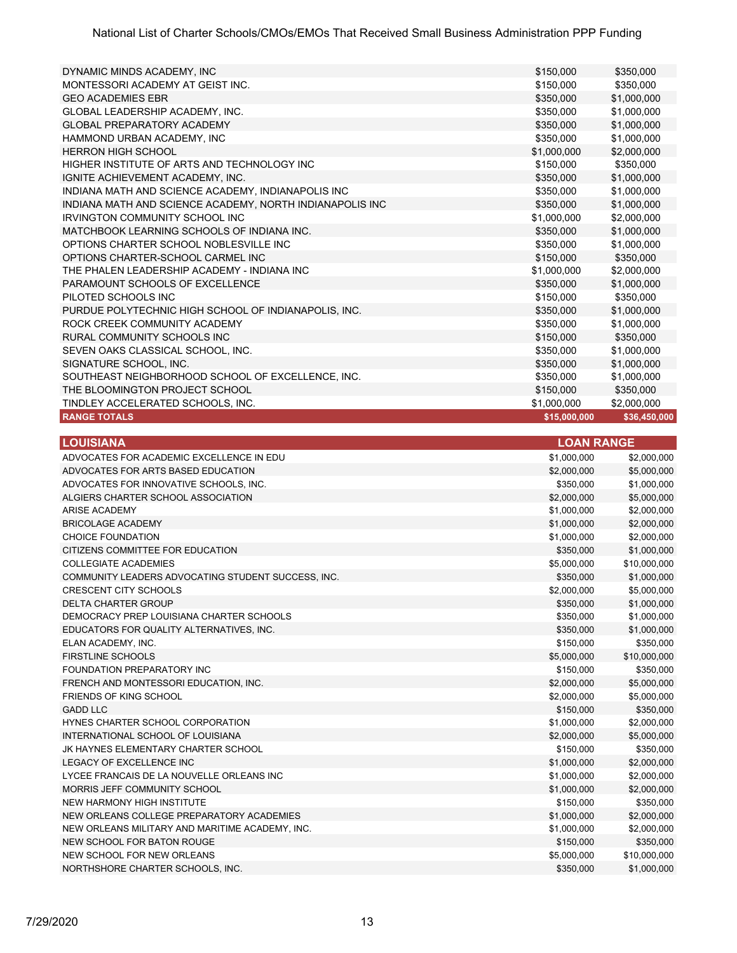| <b>RANGE TOTALS</b>                                      | \$15,000,000 | \$36,450,000 |
|----------------------------------------------------------|--------------|--------------|
| TINDLEY ACCELERATED SCHOOLS, INC.                        | \$1,000,000  | \$2,000,000  |
| THE BLOOMINGTON PROJECT SCHOOL                           | \$150,000    | \$350,000    |
| SOUTHEAST NEIGHBORHOOD SCHOOL OF EXCELLENCE, INC.        | \$350,000    | \$1,000,000  |
| SIGNATURE SCHOOL, INC.                                   | \$350,000    | \$1,000,000  |
| SEVEN OAKS CLASSICAL SCHOOL, INC.                        | \$350.000    | \$1,000,000  |
| RURAL COMMUNITY SCHOOLS INC                              | \$150,000    | \$350,000    |
| ROCK CREEK COMMUNITY ACADEMY                             | \$350,000    | \$1,000,000  |
| PURDUE POLYTECHNIC HIGH SCHOOL OF INDIANAPOLIS, INC.     | \$350,000    | \$1,000,000  |
| PILOTED SCHOOLS INC                                      | \$150,000    | \$350,000    |
| PARAMOUNT SCHOOLS OF EXCELLENCE                          | \$350,000    | \$1,000,000  |
| THE PHALEN LEADERSHIP ACADEMY - INDIANA INC              | \$1,000,000  | \$2,000,000  |
| OPTIONS CHARTER-SCHOOL CARMEL INC                        | \$150,000    | \$350,000    |
| OPTIONS CHARTER SCHOOL NOBLESVILLE INC                   | \$350,000    | \$1,000,000  |
| MATCHBOOK LEARNING SCHOOLS OF INDIANA INC.               | \$350,000    | \$1,000,000  |
| <b>IRVINGTON COMMUNITY SCHOOL INC.</b>                   | \$1,000,000  | \$2,000,000  |
| INDIANA MATH AND SCIENCE ACADEMY, NORTH INDIANAPOLIS INC | \$350,000    | \$1,000,000  |
| INDIANA MATH AND SCIENCE ACADEMY. INDIANAPOLIS INC       | \$350,000    | \$1,000,000  |
| IGNITE ACHIEVEMENT ACADEMY, INC.                         | \$350,000    | \$1,000,000  |
| HIGHER INSTITUTE OF ARTS AND TECHNOLOGY INC              | \$150,000    | \$350,000    |
| <b>HERRON HIGH SCHOOL</b>                                | \$1,000,000  | \$2,000,000  |
| HAMMOND URBAN ACADEMY, INC                               | \$350,000    | \$1,000,000  |
| <b>GLOBAL PREPARATORY ACADEMY</b>                        | \$350,000    | \$1,000,000  |
| <b>GLOBAL LEADERSHIP ACADEMY. INC.</b>                   | \$350,000    | \$1,000,000  |
| <b>GEO ACADEMIES EBR</b>                                 | \$350,000    | \$1,000,000  |
| MONTESSORI ACADEMY AT GEIST INC.                         | \$150,000    | \$350,000    |
| DYNAMIC MINDS ACADEMY, INC                               | \$150,000    | \$350,000    |

| <b>LOUISIANA</b>                                   | <b>LOAN RANGE</b> |              |
|----------------------------------------------------|-------------------|--------------|
| ADVOCATES FOR ACADEMIC EXCELLENCE IN EDU           | \$1,000,000       | \$2,000,000  |
| ADVOCATES FOR ARTS BASED EDUCATION                 | \$2,000,000       | \$5,000,000  |
| ADVOCATES FOR INNOVATIVE SCHOOLS, INC.             | \$350,000         | \$1,000,000  |
| ALGIERS CHARTER SCHOOL ASSOCIATION                 | \$2,000,000       | \$5,000,000  |
| <b>ARISE ACADEMY</b>                               | \$1,000,000       | \$2,000,000  |
| <b>BRICOLAGE ACADEMY</b>                           | \$1,000,000       | \$2,000,000  |
| CHOICE FOUNDATION                                  | \$1,000,000       | \$2,000,000  |
| CITIZENS COMMITTEE FOR EDUCATION                   | \$350,000         | \$1,000,000  |
| <b>COLLEGIATE ACADEMIES</b>                        | \$5,000,000       | \$10,000,000 |
| COMMUNITY LEADERS ADVOCATING STUDENT SUCCESS, INC. | \$350,000         | \$1,000,000  |
| <b>CRESCENT CITY SCHOOLS</b>                       | \$2,000,000       | \$5,000,000  |
| <b>DELTA CHARTER GROUP</b>                         | \$350,000         | \$1,000,000  |
| DEMOCRACY PREP LOUISIANA CHARTER SCHOOLS           | \$350,000         | \$1,000,000  |
| EDUCATORS FOR QUALITY ALTERNATIVES, INC.           | \$350,000         | \$1,000,000  |
| ELAN ACADEMY, INC.                                 | \$150,000         | \$350,000    |
| <b>FIRSTLINE SCHOOLS</b>                           | \$5,000,000       | \$10,000,000 |
| FOUNDATION PREPARATORY INC                         | \$150,000         | \$350,000    |
| FRENCH AND MONTESSORI EDUCATION, INC.              | \$2,000,000       | \$5,000,000  |
| FRIENDS OF KING SCHOOL                             | \$2,000,000       | \$5,000,000  |
| <b>GADD LLC</b>                                    | \$150,000         | \$350,000    |
| HYNES CHARTER SCHOOL CORPORATION                   | \$1,000,000       | \$2,000,000  |
| INTERNATIONAL SCHOOL OF LOUISIANA                  | \$2,000,000       | \$5,000,000  |
| JK HAYNES ELEMENTARY CHARTER SCHOOL                | \$150,000         | \$350,000    |
| <b>LEGACY OF EXCELLENCE INC</b>                    | \$1,000,000       | \$2,000,000  |
| LYCEE FRANCAIS DE LA NOUVELLE ORLEANS INC          | \$1,000,000       | \$2,000,000  |
| MORRIS JEFF COMMUNITY SCHOOL                       | \$1,000,000       | \$2,000,000  |
| NEW HARMONY HIGH INSTITUTE                         | \$150,000         | \$350,000    |
| NEW ORLEANS COLLEGE PREPARATORY ACADEMIES          | \$1,000,000       | \$2,000,000  |
| NEW ORLEANS MILITARY AND MARITIME ACADEMY, INC.    | \$1,000,000       | \$2,000,000  |
| NEW SCHOOL FOR BATON ROUGE                         | \$150,000         | \$350,000    |
| NEW SCHOOL FOR NEW ORLEANS                         | \$5,000,000       | \$10,000,000 |
| NORTHSHORE CHARTER SCHOOLS, INC.                   | \$350,000         | \$1,000,000  |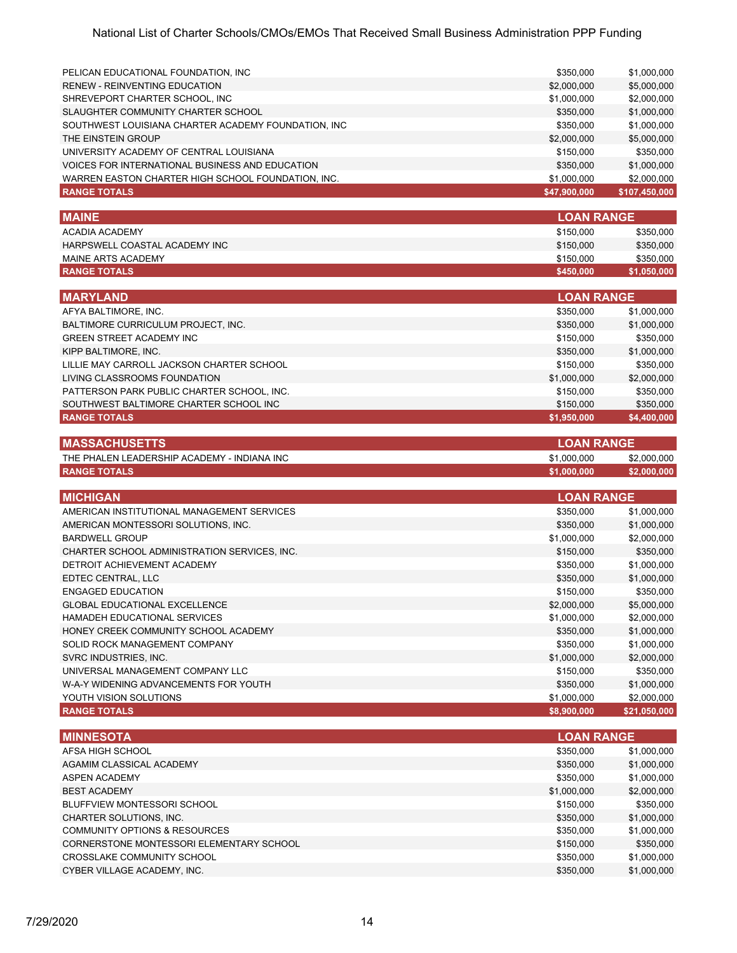| PELICAN EDUCATIONAL FOUNDATION, INC.                | \$350,000    | \$1,000,000   |
|-----------------------------------------------------|--------------|---------------|
| <b>RENEW - REINVENTING EDUCATION</b>                | \$2,000,000  | \$5,000,000   |
| SHREVEPORT CHARTER SCHOOL, INC                      | \$1,000,000  | \$2,000,000   |
| SLAUGHTER COMMUNITY CHARTER SCHOOL                  | \$350,000    | \$1,000,000   |
| SOUTHWEST LOUISIANA CHARTER ACADEMY FOUNDATION, INC | \$350,000    | \$1,000,000   |
| THE EINSTEIN GROUP                                  | \$2,000,000  | \$5,000,000   |
| UNIVERSITY ACADEMY OF CENTRAL LOUISIANA             | \$150,000    | \$350,000     |
| VOICES FOR INTERNATIONAL BUSINESS AND EDUCATION     | \$350,000    | \$1,000,000   |
| WARREN EASTON CHARTER HIGH SCHOOL FOUNDATION. INC.  | \$1,000,000  | \$2,000,000   |
| <b>RANGE TOTALS</b>                                 | \$47,900,000 | \$107,450,000 |

| \$150,000 | \$350,000         |
|-----------|-------------------|
| \$150,000 | \$350,000         |
| \$150,000 | \$350,000         |
| \$450,000 | \$1,050,000       |
|           | <b>LOAN RANGE</b> |

| <b>MARYLAND</b>                            | <b>LOAN RANGE</b> |             |
|--------------------------------------------|-------------------|-------------|
| AFYA BALTIMORE, INC.                       | \$350,000         | \$1,000,000 |
| BALTIMORE CURRICULUM PROJECT, INC.         | \$350,000         | \$1,000,000 |
| <b>GREEN STREET ACADEMY INC</b>            | \$150,000         | \$350,000   |
| KIPP BALTIMORE, INC.                       | \$350,000         | \$1,000,000 |
| LILLIE MAY CARROLL JACKSON CHARTER SCHOOL  | \$150,000         | \$350,000   |
| LIVING CLASSROOMS FOUNDATION               | \$1,000,000       | \$2,000,000 |
| PATTERSON PARK PUBLIC CHARTER SCHOOL, INC. | \$150,000         | \$350,000   |
| SOUTHWEST BALTIMORE CHARTER SCHOOL INC     | \$150,000         | \$350,000   |
| <b>RANGE TOTALS</b>                        | \$1,950,000       | \$4,400,000 |

| <b>IMASSACHUSETTS</b>                       |             | <b>LOAN RANGE</b> |  |
|---------------------------------------------|-------------|-------------------|--|
| THE PHALEN LEADERSHIP ACADEMY - INDIANA INC | \$1.000.000 | \$2,000,000       |  |
| <b>RANGE TOTALS</b>                         | \$1.000.000 | \$2,000,000       |  |

| <b>MICHIGAN</b>                              | <b>LOAN RANGE</b> |              |
|----------------------------------------------|-------------------|--------------|
| AMERICAN INSTITUTIONAL MANAGEMENT SERVICES   | \$350,000         | \$1,000,000  |
| AMERICAN MONTESSORI SOLUTIONS, INC.          | \$350,000         | \$1,000,000  |
| <b>BARDWELL GROUP</b>                        | \$1,000,000       | \$2,000,000  |
| CHARTER SCHOOL ADMINISTRATION SERVICES, INC. | \$150,000         | \$350,000    |
| DETROIT ACHIEVEMENT ACADEMY                  | \$350,000         | \$1,000,000  |
| EDTEC CENTRAL, LLC                           | \$350,000         | \$1,000,000  |
| ENGAGED EDUCATION                            | \$150,000         | \$350,000    |
| <b>GLOBAL EDUCATIONAL EXCELLENCE</b>         | \$2,000,000       | \$5,000,000  |
| HAMADEH EDUCATIONAL SERVICES                 | \$1,000,000       | \$2,000,000  |
| HONEY CREEK COMMUNITY SCHOOL ACADEMY         | \$350,000         | \$1,000,000  |
| SOLID ROCK MANAGEMENT COMPANY                | \$350,000         | \$1,000,000  |
| SVRC INDUSTRIES, INC.                        | \$1,000,000       | \$2,000,000  |
| UNIVERSAL MANAGEMENT COMPANY LLC             | \$150,000         | \$350,000    |
| W-A-Y WIDENING ADVANCEMENTS FOR YOUTH        | \$350,000         | \$1,000,000  |
| YOUTH VISION SOLUTIONS                       | \$1,000,000       | \$2,000,000  |
| <b>RANGE TOTALS</b>                          | \$8,900,000       | \$21,050,000 |

| <b>MINNESOTA</b>                         | <b>LOAN RANGE</b> |             |
|------------------------------------------|-------------------|-------------|
| AFSA HIGH SCHOOL                         | \$350,000         | \$1,000,000 |
| AGAMIM CLASSICAL ACADEMY                 | \$350,000         | \$1,000,000 |
| <b>ASPEN ACADEMY</b>                     | \$350,000         | \$1,000,000 |
| <b>BEST ACADEMY</b>                      | \$1,000,000       | \$2,000,000 |
| BLUFFVIEW MONTESSORI SCHOOL              | \$150,000         | \$350,000   |
| CHARTER SOLUTIONS, INC.                  | \$350,000         | \$1,000,000 |
| COMMUNITY OPTIONS & RESOURCES            | \$350,000         | \$1,000,000 |
| CORNERSTONE MONTESSORI ELEMENTARY SCHOOL | \$150,000         | \$350,000   |
| CROSSLAKE COMMUNITY SCHOOL               | \$350,000         | \$1,000,000 |
| CYBER VILLAGE ACADEMY, INC.              | \$350,000         | \$1,000,000 |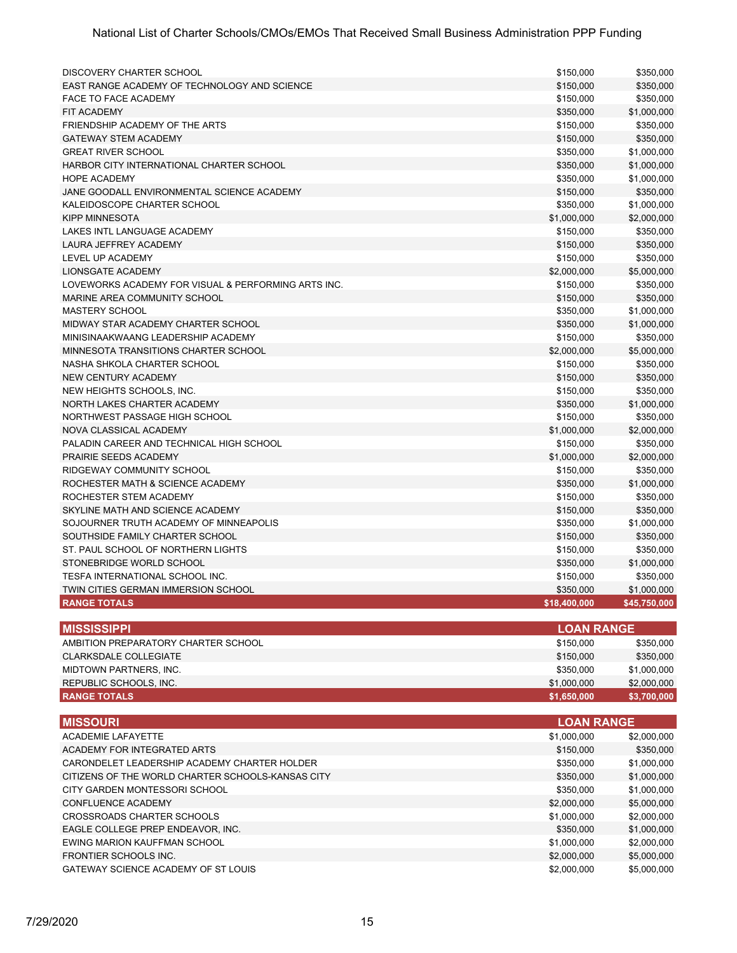| DISCOVERY CHARTER SCHOOL                            | \$150,000         | \$350,000                  |
|-----------------------------------------------------|-------------------|----------------------------|
| EAST RANGE ACADEMY OF TECHNOLOGY AND SCIENCE        | \$150,000         | \$350,000                  |
| <b>FACE TO FACE ACADEMY</b>                         | \$150,000         | \$350,000                  |
| <b>FIT ACADEMY</b>                                  | \$350,000         | \$1,000,000                |
| FRIENDSHIP ACADEMY OF THE ARTS                      | \$150,000         | \$350,000                  |
| <b>GATEWAY STEM ACADEMY</b>                         | \$150,000         | \$350,000                  |
| <b>GREAT RIVER SCHOOL</b>                           | \$350,000         | \$1,000,000                |
| HARBOR CITY INTERNATIONAL CHARTER SCHOOL            | \$350,000         | \$1,000,000                |
| <b>HOPE ACADEMY</b>                                 | \$350,000         | \$1,000,000                |
| JANE GOODALL ENVIRONMENTAL SCIENCE ACADEMY          | \$150,000         | \$350,000                  |
| KALEIDOSCOPE CHARTER SCHOOL                         | \$350,000         | \$1,000,000                |
| <b>KIPP MINNESOTA</b>                               | \$1,000,000       | \$2,000,000                |
| LAKES INTL LANGUAGE ACADEMY                         | \$150,000         | \$350,000                  |
| <b>LAURA JEFFREY ACADEMY</b>                        | \$150,000         | \$350,000                  |
| LEVEL UP ACADEMY                                    | \$150,000         | \$350,000                  |
| <b>LIONSGATE ACADEMY</b>                            | \$2,000,000       | \$5,000,000                |
| LOVEWORKS ACADEMY FOR VISUAL & PERFORMING ARTS INC. | \$150,000         | \$350,000                  |
| MARINE AREA COMMUNITY SCHOOL                        | \$150,000         | \$350,000                  |
| <b>MASTERY SCHOOL</b>                               |                   |                            |
| MIDWAY STAR ACADEMY CHARTER SCHOOL                  | \$350,000         | \$1,000,000<br>\$1,000,000 |
|                                                     | \$350,000         |                            |
| MINISINAAKWAANG LEADERSHIP ACADEMY                  | \$150,000         | \$350,000                  |
| MINNESOTA TRANSITIONS CHARTER SCHOOL                | \$2,000,000       | \$5,000,000                |
| NASHA SHKOLA CHARTER SCHOOL                         | \$150,000         | \$350,000                  |
| <b>NEW CENTURY ACADEMY</b>                          | \$150,000         | \$350,000                  |
| NEW HEIGHTS SCHOOLS, INC.                           | \$150,000         | \$350,000                  |
| NORTH LAKES CHARTER ACADEMY                         | \$350,000         | \$1,000,000                |
| NORTHWEST PASSAGE HIGH SCHOOL                       | \$150,000         | \$350,000                  |
| NOVA CLASSICAL ACADEMY                              | \$1,000,000       | \$2,000,000                |
| PALADIN CAREER AND TECHNICAL HIGH SCHOOL            | \$150,000         | \$350,000                  |
| PRAIRIE SEEDS ACADEMY                               | \$1,000,000       | \$2,000,000                |
| RIDGEWAY COMMUNITY SCHOOL                           | \$150,000         | \$350,000                  |
| ROCHESTER MATH & SCIENCE ACADEMY                    | \$350,000         | \$1,000,000                |
| ROCHESTER STEM ACADEMY                              | \$150,000         | \$350,000                  |
| SKYLINE MATH AND SCIENCE ACADEMY                    | \$150,000         | \$350,000                  |
| SOJOURNER TRUTH ACADEMY OF MINNEAPOLIS              | \$350,000         | \$1,000,000                |
| SOUTHSIDE FAMILY CHARTER SCHOOL                     | \$150,000         | \$350,000                  |
| ST. PAUL SCHOOL OF NORTHERN LIGHTS                  | \$150,000         | \$350,000                  |
| STONEBRIDGE WORLD SCHOOL                            | \$350,000         | \$1,000,000                |
| TESFA INTERNATIONAL SCHOOL INC.                     | \$150,000         | \$350,000                  |
| TWIN CITIES GERMAN IMMERSION SCHOOL                 | \$350,000         | \$1,000,000                |
| <b>RANGE TOTALS</b>                                 | \$18,400,000      | \$45,750,000               |
| <b>MISSISSIPPI</b>                                  | <b>LOAN RANGE</b> |                            |
| AMBITION PREPARATORY CHARTER SCHOOL                 | \$150,000         | \$350,000                  |
| <b>CLARKSDALE COLLEGIATE</b>                        | \$150,000         | \$350,000                  |
| MIDTOWN PARTNERS, INC.                              | \$350,000         | \$1,000,000                |
| REPUBLIC SCHOOLS, INC.                              | \$1,000,000       | \$2,000,000                |
| <b>RANGE TOTALS</b>                                 | \$1,650,000       | \$3,700,000                |
|                                                     |                   |                            |

| <b>MISSOURI</b>                                   |             | <b>LOAN RANGE</b> |  |
|---------------------------------------------------|-------------|-------------------|--|
| <b>ACADEMIE LAFAYETTE</b>                         | \$1,000,000 | \$2,000,000       |  |
| ACADEMY FOR INTEGRATED ARTS                       | \$150,000   | \$350,000         |  |
| CARONDELET LEADERSHIP ACADEMY CHARTER HOLDER      | \$350,000   | \$1,000,000       |  |
| CITIZENS OF THE WORLD CHARTER SCHOOLS-KANSAS CITY | \$350,000   | \$1,000,000       |  |
| CITY GARDEN MONTESSORI SCHOOL                     | \$350,000   | \$1,000,000       |  |
| CONFLUENCE ACADEMY                                | \$2,000,000 | \$5,000,000       |  |
| CROSSROADS CHARTER SCHOOLS                        | \$1,000,000 | \$2,000,000       |  |
| EAGLE COLLEGE PREP ENDEAVOR, INC.                 | \$350,000   | \$1,000,000       |  |
| EWING MARION KAUFFMAN SCHOOL                      | \$1,000,000 | \$2,000,000       |  |
| FRONTIER SCHOOLS INC.                             | \$2,000,000 | \$5,000,000       |  |
| GATEWAY SCIENCE ACADEMY OF ST LOUIS               | \$2,000,000 | \$5,000,000       |  |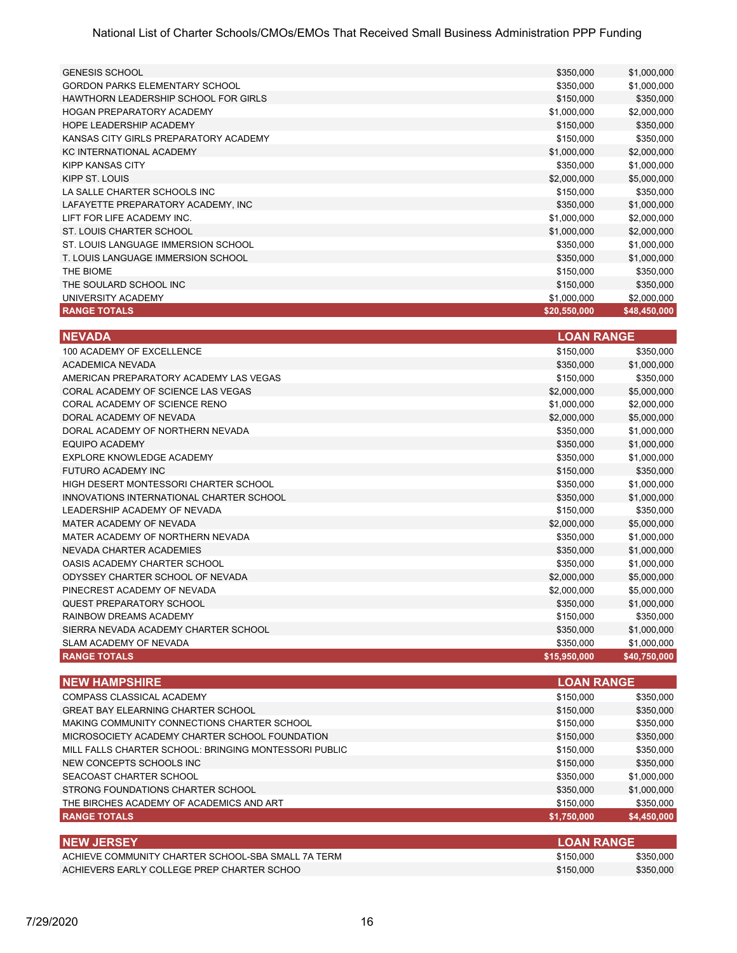| <b>RANGE TOTALS</b>                   | \$20,550,000 | \$48,450,000 |
|---------------------------------------|--------------|--------------|
| UNIVERSITY ACADEMY                    | \$1,000,000  | \$2,000,000  |
| THE SOULARD SCHOOL INC                | \$150,000    | \$350,000    |
| THE BIOME                             | \$150,000    | \$350,000    |
| T. LOUIS LANGUAGE IMMERSION SCHOOL    | \$350,000    | \$1,000,000  |
| ST. LOUIS LANGUAGE IMMERSION SCHOOL   | \$350,000    | \$1,000,000  |
| ST. LOUIS CHARTER SCHOOL              | \$1,000,000  | \$2,000,000  |
| LIFT FOR LIFE ACADEMY INC.            | \$1,000,000  | \$2,000,000  |
| LAFAYETTE PREPARATORY ACADEMY. INC    | \$350,000    | \$1,000,000  |
| LA SALLE CHARTER SCHOOLS INC          | \$150,000    | \$350,000    |
| KIPP ST. LOUIS                        | \$2,000,000  | \$5,000,000  |
| KIPP KANSAS CITY                      | \$350,000    | \$1,000,000  |
| <b>KC INTERNATIONAL ACADEMY</b>       | \$1,000,000  | \$2,000,000  |
| KANSAS CITY GIRLS PREPARATORY ACADEMY | \$150,000    | \$350,000    |
| HOPE LEADERSHIP ACADEMY               | \$150,000    | \$350,000    |
| HOGAN PREPARATORY ACADEMY             | \$1,000,000  | \$2,000,000  |
| HAWTHORN LEADERSHIP SCHOOL FOR GIRLS  | \$150,000    | \$350,000    |
| <b>GORDON PARKS ELEMENTARY SCHOOL</b> | \$350,000    | \$1,000,000  |
| <b>GENESIS SCHOOL</b>                 | \$350,000    | \$1,000,000  |

| <b>NEVADA</b>                            | <b>LOAN RANGE</b> |              |
|------------------------------------------|-------------------|--------------|
| 100 ACADEMY OF EXCELLENCE                | \$150,000         | \$350,000    |
| <b>ACADEMICA NEVADA</b>                  | \$350,000         | \$1,000,000  |
| AMERICAN PREPARATORY ACADEMY LAS VEGAS   | \$150,000         | \$350,000    |
| CORAL ACADEMY OF SCIENCE LAS VEGAS       | \$2,000,000       | \$5,000,000  |
| CORAL ACADEMY OF SCIENCE RENO            | \$1,000,000       | \$2,000,000  |
| DORAL ACADEMY OF NEVADA                  | \$2,000,000       | \$5,000,000  |
| DORAL ACADEMY OF NORTHERN NEVADA         | \$350,000         | \$1,000,000  |
| <b>EQUIPO ACADEMY</b>                    | \$350,000         | \$1,000,000  |
| EXPLORE KNOWLEDGE ACADEMY                | \$350.000         | \$1,000,000  |
| FUTURO ACADEMY INC                       | \$150,000         | \$350,000    |
| HIGH DESERT MONTESSORI CHARTER SCHOOL    | \$350,000         | \$1,000,000  |
| INNOVATIONS INTERNATIONAL CHARTER SCHOOL | \$350,000         | \$1,000,000  |
| LEADERSHIP ACADEMY OF NEVADA             | \$150,000         | \$350,000    |
| MATER ACADEMY OF NEVADA                  | \$2,000,000       | \$5,000,000  |
| MATER ACADEMY OF NORTHERN NEVADA         | \$350,000         | \$1,000,000  |
| NEVADA CHARTER ACADEMIES                 | \$350,000         | \$1,000,000  |
| OASIS ACADEMY CHARTER SCHOOL             | \$350,000         | \$1,000,000  |
| ODYSSEY CHARTER SCHOOL OF NEVADA         | \$2,000,000       | \$5,000,000  |
| PINECREST ACADEMY OF NEVADA              | \$2,000,000       | \$5,000,000  |
| <b>QUEST PREPARATORY SCHOOL</b>          | \$350,000         | \$1,000,000  |
| RAINBOW DREAMS ACADEMY                   | \$150,000         | \$350,000    |
| SIERRA NEVADA ACADEMY CHARTER SCHOOL     | \$350,000         | \$1,000,000  |
| SLAM ACADEMY OF NEVADA                   | \$350,000         | \$1,000,000  |
| <b>RANGE TOTALS</b>                      | \$15,950,000      | \$40,750,000 |

| <b>NEW HAMPSHIRE</b>                                  | <b>LOAN RANGE</b> |             |
|-------------------------------------------------------|-------------------|-------------|
| COMPASS CLASSICAL ACADEMY                             | \$150,000         | \$350,000   |
| <b>GREAT BAY ELEARNING CHARTER SCHOOL</b>             | \$150,000         | \$350,000   |
| MAKING COMMUNITY CONNECTIONS CHARTER SCHOOL           | \$150,000         | \$350,000   |
| MICROSOCIETY ACADEMY CHARTER SCHOOL FOUNDATION        | \$150,000         | \$350,000   |
| MILL FALLS CHARTER SCHOOL: BRINGING MONTESSORI PUBLIC | \$150,000         | \$350,000   |
| NEW CONCEPTS SCHOOLS INC                              | \$150,000         | \$350,000   |
| SEACOAST CHARTER SCHOOL                               | \$350,000         | \$1,000,000 |
| STRONG FOUNDATIONS CHARTER SCHOOL                     | \$350,000         | \$1,000,000 |
| THE BIRCHES ACADEMY OF ACADEMICS AND ART              | \$150,000         | \$350,000   |
| <b>RANGE TOTALS</b>                                   | \$1,750,000       | \$4,450,000 |
| <b>NEW JERSEY</b>                                     | <b>LOAN RANGE</b> |             |
| ACHIEVE COMMUNITY CHARTER SCHOOL-SBA SMALL 7A TERM    | \$150,000         | \$350,000   |
| ACHIEVERS EARLY COLLEGE PREP CHARTER SCHOO            | \$150,000         | \$350,000   |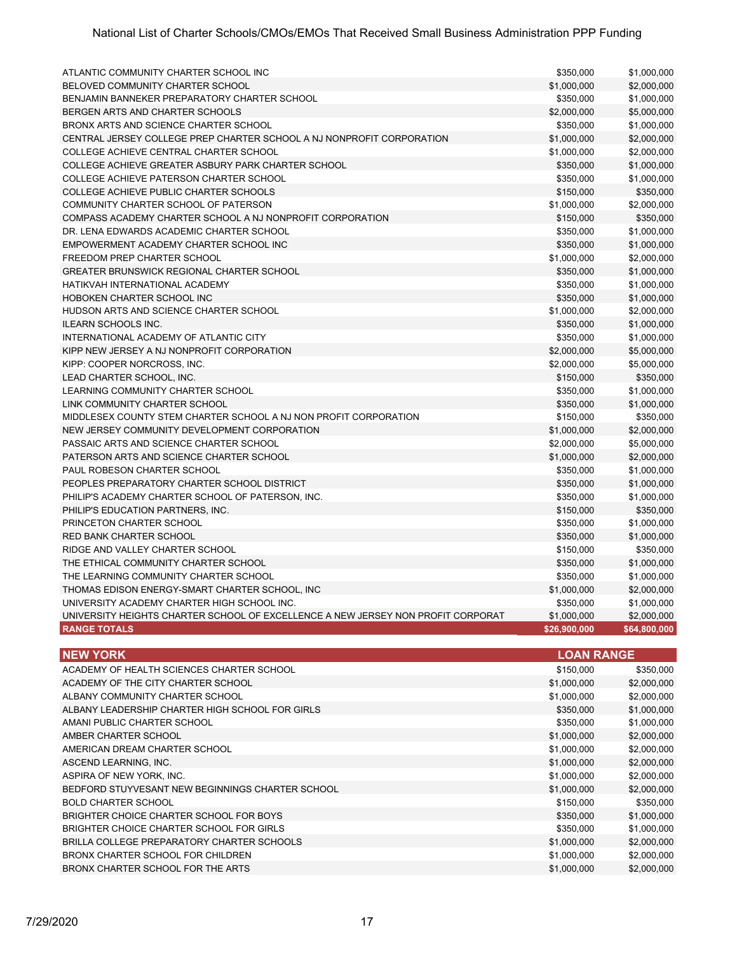| ATLANTIC COMMUNITY CHARTER SCHOOL INC                                            | \$350,000    | \$1,000,000  |
|----------------------------------------------------------------------------------|--------------|--------------|
| BELOVED COMMUNITY CHARTER SCHOOL                                                 | \$1,000,000  | \$2,000,000  |
| BENJAMIN BANNEKER PREPARATORY CHARTER SCHOOL                                     | \$350,000    | \$1,000,000  |
| BERGEN ARTS AND CHARTER SCHOOLS                                                  | \$2,000,000  | \$5,000,000  |
| BRONX ARTS AND SCIENCE CHARTER SCHOOL                                            | \$350,000    | \$1,000,000  |
| CENTRAL JERSEY COLLEGE PREP CHARTER SCHOOL A NJ NONPROFIT CORPORATION            | \$1,000,000  | \$2,000,000  |
| COLLEGE ACHIEVE CENTRAL CHARTER SCHOOL                                           | \$1,000,000  | \$2,000,000  |
| COLLEGE ACHIEVE GREATER ASBURY PARK CHARTER SCHOOL                               | \$350,000    | \$1,000,000  |
| COLLEGE ACHIEVE PATERSON CHARTER SCHOOL                                          | \$350,000    | \$1,000,000  |
| COLLEGE ACHIEVE PUBLIC CHARTER SCHOOLS                                           | \$150,000    | \$350,000    |
| COMMUNITY CHARTER SCHOOL OF PATERSON                                             | \$1,000,000  | \$2,000,000  |
| COMPASS ACADEMY CHARTER SCHOOL A NJ NONPROFIT CORPORATION                        | \$150,000    | \$350,000    |
| DR. LENA EDWARDS ACADEMIC CHARTER SCHOOL                                         | \$350,000    | \$1,000,000  |
| EMPOWERMENT ACADEMY CHARTER SCHOOL INC                                           | \$350,000    | \$1,000,000  |
| <b>FREEDOM PREP CHARTER SCHOOL</b>                                               | \$1,000,000  | \$2,000,000  |
| <b>GREATER BRUNSWICK REGIONAL CHARTER SCHOOL</b>                                 | \$350,000    | \$1,000,000  |
| HATIKVAH INTERNATIONAL ACADEMY                                                   | \$350,000    | \$1,000,000  |
| HOBOKEN CHARTER SCHOOL INC                                                       | \$350,000    | \$1,000,000  |
| HUDSON ARTS AND SCIENCE CHARTER SCHOOL                                           | \$1,000,000  | \$2,000,000  |
| <b>ILEARN SCHOOLS INC.</b>                                                       | \$350,000    | \$1,000,000  |
| INTERNATIONAL ACADEMY OF ATLANTIC CITY                                           | \$350,000    | \$1,000,000  |
| KIPP NEW JERSEY A NJ NONPROFIT CORPORATION                                       | \$2,000,000  | \$5,000,000  |
| KIPP: COOPER NORCROSS, INC.                                                      | \$2,000,000  | \$5,000,000  |
| LEAD CHARTER SCHOOL. INC.                                                        | \$150,000    | \$350,000    |
| LEARNING COMMUNITY CHARTER SCHOOL                                                | \$350,000    | \$1,000,000  |
| LINK COMMUNITY CHARTER SCHOOL                                                    | \$350,000    | \$1,000,000  |
| MIDDLESEX COUNTY STEM CHARTER SCHOOL A NJ NON PROFIT CORPORATION                 | \$150,000    | \$350,000    |
| NEW JERSEY COMMUNITY DEVELOPMENT CORPORATION                                     | \$1,000,000  | \$2,000,000  |
| PASSAIC ARTS AND SCIENCE CHARTER SCHOOL                                          | \$2,000,000  | \$5,000,000  |
| PATERSON ARTS AND SCIENCE CHARTER SCHOOL                                         | \$1,000,000  | \$2,000,000  |
| PAUL ROBESON CHARTER SCHOOL                                                      | \$350,000    | \$1,000,000  |
| PEOPLES PREPARATORY CHARTER SCHOOL DISTRICT                                      | \$350,000    | \$1,000,000  |
| PHILIP'S ACADEMY CHARTER SCHOOL OF PATERSON, INC.                                | \$350,000    | \$1,000,000  |
| PHILIP'S EDUCATION PARTNERS, INC.                                                | \$150,000    | \$350,000    |
| PRINCETON CHARTER SCHOOL                                                         | \$350,000    | \$1,000,000  |
| <b>RED BANK CHARTER SCHOOL</b>                                                   | \$350,000    | \$1,000,000  |
| RIDGE AND VALLEY CHARTER SCHOOL                                                  | \$150,000    | \$350,000    |
| THE ETHICAL COMMUNITY CHARTER SCHOOL                                             | \$350,000    | \$1,000,000  |
| THE LEARNING COMMUNITY CHARTER SCHOOL                                            | \$350,000    | \$1,000,000  |
| THOMAS EDISON ENERGY-SMART CHARTER SCHOOL, INC                                   | \$1,000,000  | \$2,000,000  |
| UNIVERSITY ACADEMY CHARTER HIGH SCHOOL INC.                                      | \$350,000    | \$1,000,000  |
| UNIVERSITY HEIGHTS CHARTER SCHOOL OF EXCELLENCE A NEW JERSEY NON PROFIT CORPORAT | \$1,000,000  | \$2,000,000  |
| <b>RANGE TOTALS</b>                                                              | \$26,900,000 | \$64,800,000 |

| <b>NEW YORK</b>                                  | <b>LOAN RANGE</b> |             |
|--------------------------------------------------|-------------------|-------------|
| ACADEMY OF HEALTH SCIENCES CHARTER SCHOOL        | \$150,000         | \$350,000   |
| ACADEMY OF THE CITY CHARTER SCHOOL               | \$1,000,000       | \$2,000,000 |
| ALBANY COMMUNITY CHARTER SCHOOL                  | \$1,000,000       | \$2,000,000 |
| ALBANY LEADERSHIP CHARTER HIGH SCHOOL FOR GIRLS  | \$350,000         | \$1,000,000 |
| AMANI PUBLIC CHARTER SCHOOL                      | \$350,000         | \$1,000,000 |
| AMBER CHARTER SCHOOL                             | \$1,000,000       | \$2,000,000 |
| AMERICAN DREAM CHARTER SCHOOL                    | \$1,000,000       | \$2,000,000 |
| ASCEND LEARNING, INC.                            | \$1,000,000       | \$2,000,000 |
| ASPIRA OF NEW YORK, INC.                         | \$1,000,000       | \$2,000,000 |
| BEDFORD STUYVESANT NEW BEGINNINGS CHARTER SCHOOL | \$1,000,000       | \$2,000,000 |
| <b>BOLD CHARTER SCHOOL</b>                       | \$150,000         | \$350,000   |
| BRIGHTER CHOICE CHARTER SCHOOL FOR BOYS          | \$350,000         | \$1,000,000 |
| BRIGHTER CHOICE CHARTER SCHOOL FOR GIRLS         | \$350,000         | \$1,000,000 |
| BRILLA COLLEGE PREPARATORY CHARTER SCHOOLS       | \$1,000,000       | \$2,000,000 |
| BRONX CHARTER SCHOOL FOR CHILDREN                | \$1,000,000       | \$2,000,000 |
| BRONX CHARTER SCHOOL FOR THE ARTS                | \$1,000,000       | \$2,000,000 |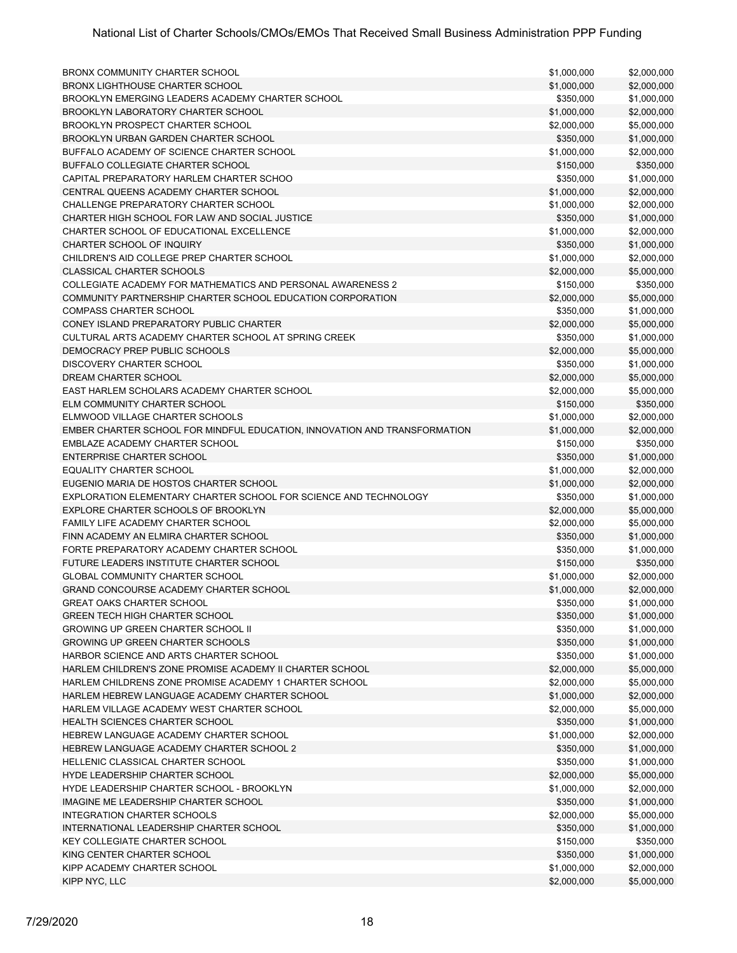| BRONX COMMUNITY CHARTER SCHOOL                                            | \$1,000,000 | \$2,000,000 |
|---------------------------------------------------------------------------|-------------|-------------|
| <b>BRONX LIGHTHOUSE CHARTER SCHOOL</b>                                    | \$1,000,000 | \$2,000,000 |
| BROOKLYN EMERGING LEADERS ACADEMY CHARTER SCHOOL                          | \$350,000   | \$1,000,000 |
| BROOKLYN LABORATORY CHARTER SCHOOL                                        | \$1,000,000 | \$2,000,000 |
| BROOKLYN PROSPECT CHARTER SCHOOL                                          | \$2,000,000 | \$5,000,000 |
| BROOKLYN URBAN GARDEN CHARTER SCHOOL                                      | \$350,000   | \$1,000,000 |
| BUFFALO ACADEMY OF SCIENCE CHARTER SCHOOL                                 | \$1,000,000 | \$2,000,000 |
| BUFFALO COLLEGIATE CHARTER SCHOOL                                         | \$150,000   | \$350,000   |
| CAPITAL PREPARATORY HARLEM CHARTER SCHOO                                  | \$350,000   | \$1,000,000 |
| CENTRAL QUEENS ACADEMY CHARTER SCHOOL                                     | \$1,000,000 | \$2,000,000 |
| CHALLENGE PREPARATORY CHARTER SCHOOL                                      | \$1,000,000 | \$2,000,000 |
| CHARTER HIGH SCHOOL FOR LAW AND SOCIAL JUSTICE                            | \$350,000   | \$1,000,000 |
| CHARTER SCHOOL OF EDUCATIONAL EXCELLENCE                                  | \$1,000,000 | \$2,000,000 |
| CHARTER SCHOOL OF INQUIRY                                                 |             |             |
|                                                                           | \$350,000   | \$1,000,000 |
| CHILDREN'S AID COLLEGE PREP CHARTER SCHOOL                                | \$1,000,000 | \$2,000,000 |
| <b>CLASSICAL CHARTER SCHOOLS</b>                                          | \$2,000,000 | \$5,000,000 |
| COLLEGIATE ACADEMY FOR MATHEMATICS AND PERSONAL AWARENESS 2               | \$150,000   | \$350,000   |
| COMMUNITY PARTNERSHIP CHARTER SCHOOL EDUCATION CORPORATION                | \$2,000,000 | \$5,000,000 |
| <b>COMPASS CHARTER SCHOOL</b>                                             | \$350,000   | \$1,000,000 |
| CONEY ISLAND PREPARATORY PUBLIC CHARTER                                   | \$2,000,000 | \$5,000,000 |
| CULTURAL ARTS ACADEMY CHARTER SCHOOL AT SPRING CREEK                      | \$350,000   | \$1,000,000 |
| DEMOCRACY PREP PUBLIC SCHOOLS                                             | \$2,000,000 | \$5,000,000 |
| DISCOVERY CHARTER SCHOOL                                                  | \$350,000   | \$1,000,000 |
| DREAM CHARTER SCHOOL                                                      | \$2,000,000 | \$5,000,000 |
| EAST HARLEM SCHOLARS ACADEMY CHARTER SCHOOL                               | \$2,000,000 | \$5,000,000 |
| ELM COMMUNITY CHARTER SCHOOL                                              | \$150,000   | \$350,000   |
| ELMWOOD VILLAGE CHARTER SCHOOLS                                           | \$1,000,000 | \$2,000,000 |
| EMBER CHARTER SCHOOL FOR MINDFUL EDUCATION, INNOVATION AND TRANSFORMATION | \$1,000,000 | \$2,000,000 |
| EMBLAZE ACADEMY CHARTER SCHOOL                                            | \$150,000   | \$350,000   |
| <b>ENTERPRISE CHARTER SCHOOL</b>                                          | \$350,000   | \$1,000,000 |
| <b>EQUALITY CHARTER SCHOOL</b>                                            | \$1,000,000 | \$2,000,000 |
| EUGENIO MARIA DE HOSTOS CHARTER SCHOOL                                    | \$1,000,000 | \$2,000,000 |
| EXPLORATION ELEMENTARY CHARTER SCHOOL FOR SCIENCE AND TECHNOLOGY          | \$350,000   | \$1,000,000 |
| EXPLORE CHARTER SCHOOLS OF BROOKLYN                                       | \$2,000,000 | \$5,000,000 |
| <b>FAMILY LIFE ACADEMY CHARTER SCHOOL</b>                                 | \$2,000,000 | \$5,000,000 |
| FINN ACADEMY AN ELMIRA CHARTER SCHOOL                                     | \$350,000   | \$1,000,000 |
| FORTE PREPARATORY ACADEMY CHARTER SCHOOL                                  | \$350,000   | \$1,000,000 |
| FUTURE LEADERS INSTITUTE CHARTER SCHOOL                                   | \$150,000   | \$350,000   |
| <b>GLOBAL COMMUNITY CHARTER SCHOOL</b>                                    |             |             |
| <b>GRAND CONCOURSE ACADEMY CHARTER SCHOOL</b>                             | \$1,000,000 | \$2,000,000 |
|                                                                           | \$1,000,000 | \$2,000,000 |
| <b>GREAT OAKS CHARTER SCHOOL</b>                                          | \$350,000   | \$1,000,000 |
| <b>GREEN TECH HIGH CHARTER SCHOOL</b>                                     | \$350,000   | \$1,000,000 |
| <b>GROWING UP GREEN CHARTER SCHOOL II</b>                                 | \$350,000   | \$1,000,000 |
| <b>GROWING UP GREEN CHARTER SCHOOLS</b>                                   | \$350,000   | \$1,000,000 |
| HARBOR SCIENCE AND ARTS CHARTER SCHOOL                                    | \$350,000   | \$1,000,000 |
| HARLEM CHILDREN'S ZONE PROMISE ACADEMY II CHARTER SCHOOL                  | \$2,000,000 | \$5,000,000 |
| HARLEM CHILDRENS ZONE PROMISE ACADEMY 1 CHARTER SCHOOL                    | \$2,000,000 | \$5,000,000 |
| HARLEM HEBREW LANGUAGE ACADEMY CHARTER SCHOOL                             | \$1,000,000 | \$2,000,000 |
| HARLEM VILLAGE ACADEMY WEST CHARTER SCHOOL                                | \$2,000,000 | \$5,000,000 |
| <b>HEALTH SCIENCES CHARTER SCHOOL</b>                                     | \$350,000   | \$1,000,000 |
| HEBREW LANGUAGE ACADEMY CHARTER SCHOOL                                    | \$1,000,000 | \$2,000,000 |
| HEBREW LANGUAGE ACADEMY CHARTER SCHOOL 2                                  | \$350,000   | \$1,000,000 |
| HELLENIC CLASSICAL CHARTER SCHOOL                                         | \$350,000   | \$1,000,000 |
| HYDE LEADERSHIP CHARTER SCHOOL                                            | \$2,000,000 | \$5,000,000 |
| HYDE LEADERSHIP CHARTER SCHOOL - BROOKLYN                                 | \$1,000,000 | \$2,000,000 |
| IMAGINE ME LEADERSHIP CHARTER SCHOOL                                      | \$350,000   | \$1,000,000 |
| INTEGRATION CHARTER SCHOOLS                                               | \$2,000,000 | \$5,000,000 |
| INTERNATIONAL LEADERSHIP CHARTER SCHOOL                                   | \$350,000   | \$1,000,000 |
| <b>KEY COLLEGIATE CHARTER SCHOOL</b>                                      | \$150,000   | \$350,000   |
| KING CENTER CHARTER SCHOOL                                                | \$350,000   | \$1,000,000 |
| KIPP ACADEMY CHARTER SCHOOL                                               | \$1,000,000 | \$2,000,000 |
| KIPP NYC, LLC                                                             | \$2,000,000 | \$5,000,000 |
|                                                                           |             |             |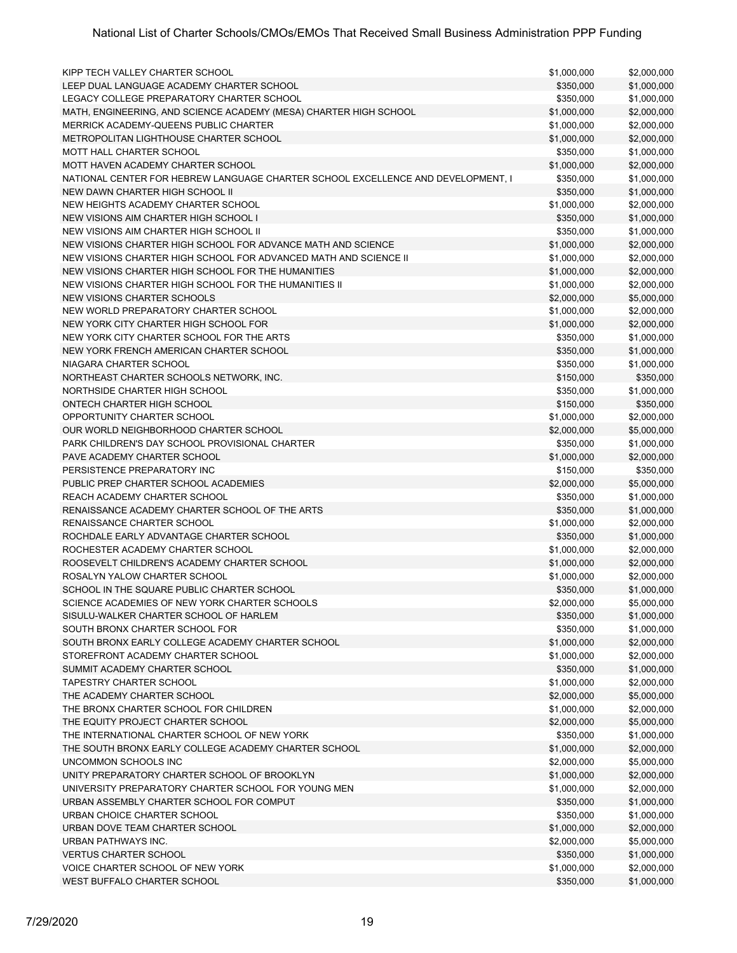| KIPP TECH VALLEY CHARTER SCHOOL                                                  | \$1,000,000 | \$2,000,000 |
|----------------------------------------------------------------------------------|-------------|-------------|
| LEEP DUAL LANGUAGE ACADEMY CHARTER SCHOOL                                        | \$350,000   | \$1,000,000 |
| LEGACY COLLEGE PREPARATORY CHARTER SCHOOL                                        | \$350,000   | \$1,000,000 |
| MATH, ENGINEERING, AND SCIENCE ACADEMY (MESA) CHARTER HIGH SCHOOL                | \$1,000,000 | \$2,000,000 |
| MERRICK ACADEMY-QUEENS PUBLIC CHARTER                                            | \$1,000,000 | \$2,000,000 |
| <b>METROPOLITAN LIGHTHOUSE CHARTER SCHOOL</b>                                    | \$1,000,000 | \$2,000,000 |
| <b>MOTT HALL CHARTER SCHOOL</b>                                                  | \$350,000   | \$1,000,000 |
| MOTT HAVEN ACADEMY CHARTER SCHOOL                                                | \$1,000,000 | \$2,000,000 |
| NATIONAL CENTER FOR HEBREW LANGUAGE CHARTER SCHOOL EXCELLENCE AND DEVELOPMENT, I | \$350,000   | \$1,000,000 |
| NEW DAWN CHARTER HIGH SCHOOL II                                                  | \$350,000   | \$1,000,000 |
| NEW HEIGHTS ACADEMY CHARTER SCHOOL                                               | \$1,000,000 | \$2,000,000 |
| NEW VISIONS AIM CHARTER HIGH SCHOOL I                                            | \$350,000   | \$1,000,000 |
| NEW VISIONS AIM CHARTER HIGH SCHOOL II                                           | \$350,000   | \$1,000,000 |
| NEW VISIONS CHARTER HIGH SCHOOL FOR ADVANCE MATH AND SCIENCE                     | \$1,000,000 | \$2,000,000 |
| NEW VISIONS CHARTER HIGH SCHOOL FOR ADVANCED MATH AND SCIENCE II                 | \$1,000,000 | \$2,000,000 |
|                                                                                  |             |             |
| NEW VISIONS CHARTER HIGH SCHOOL FOR THE HUMANITIES                               | \$1,000,000 | \$2,000,000 |
| NEW VISIONS CHARTER HIGH SCHOOL FOR THE HUMANITIES II                            | \$1,000,000 | \$2,000,000 |
| NEW VISIONS CHARTER SCHOOLS                                                      | \$2,000,000 | \$5,000,000 |
| NEW WORLD PREPARATORY CHARTER SCHOOL                                             | \$1,000,000 | \$2,000,000 |
| NEW YORK CITY CHARTER HIGH SCHOOL FOR                                            | \$1,000,000 | \$2,000,000 |
| NEW YORK CITY CHARTER SCHOOL FOR THE ARTS                                        | \$350,000   | \$1,000,000 |
| NEW YORK FRENCH AMERICAN CHARTER SCHOOL                                          | \$350,000   | \$1,000,000 |
| NIAGARA CHARTER SCHOOL                                                           | \$350,000   | \$1,000,000 |
| NORTHEAST CHARTER SCHOOLS NETWORK, INC.                                          | \$150,000   | \$350,000   |
| NORTHSIDE CHARTER HIGH SCHOOL                                                    | \$350,000   | \$1,000,000 |
| ONTECH CHARTER HIGH SCHOOL                                                       | \$150,000   | \$350,000   |
| OPPORTUNITY CHARTER SCHOOL                                                       | \$1,000,000 | \$2,000,000 |
| OUR WORLD NEIGHBORHOOD CHARTER SCHOOL                                            | \$2,000,000 | \$5,000,000 |
| PARK CHILDREN'S DAY SCHOOL PROVISIONAL CHARTER                                   | \$350,000   | \$1,000,000 |
| PAVE ACADEMY CHARTER SCHOOL                                                      | \$1,000,000 | \$2,000,000 |
| PERSISTENCE PREPARATORY INC                                                      | \$150,000   | \$350,000   |
| PUBLIC PREP CHARTER SCHOOL ACADEMIES                                             | \$2,000,000 | \$5,000,000 |
| REACH ACADEMY CHARTER SCHOOL                                                     | \$350,000   | \$1,000,000 |
| RENAISSANCE ACADEMY CHARTER SCHOOL OF THE ARTS                                   | \$350,000   | \$1,000,000 |
| RENAISSANCE CHARTER SCHOOL                                                       |             |             |
| ROCHDALE EARLY ADVANTAGE CHARTER SCHOOL                                          | \$1,000,000 | \$2,000,000 |
| ROCHESTER ACADEMY CHARTER SCHOOL                                                 | \$350,000   | \$1,000,000 |
|                                                                                  | \$1,000,000 | \$2,000,000 |
| ROOSEVELT CHILDREN'S ACADEMY CHARTER SCHOOL                                      | \$1,000,000 | \$2,000,000 |
| ROSALYN YALOW CHARTER SCHOOL                                                     | \$1,000,000 | \$2,000,000 |
| SCHOOL IN THE SQUARE PUBLIC CHARTER SCHOOL                                       | \$350,000   | \$1,000,000 |
| SCIENCE ACADEMIES OF NEW YORK CHARTER SCHOOLS                                    | \$2,000,000 | \$5,000,000 |
| SISULU-WALKER CHARTER SCHOOL OF HARLEM                                           | \$350,000   | \$1,000,000 |
| SOUTH BRONX CHARTER SCHOOL FOR                                                   | \$350,000   | \$1,000,000 |
| SOUTH BRONX EARLY COLLEGE ACADEMY CHARTER SCHOOL                                 | \$1,000,000 | \$2,000,000 |
| STOREFRONT ACADEMY CHARTER SCHOOL                                                | \$1,000,000 | \$2,000,000 |
| SUMMIT ACADEMY CHARTER SCHOOL                                                    | \$350,000   | \$1,000,000 |
| <b>TAPESTRY CHARTER SCHOOL</b>                                                   | \$1,000,000 | \$2,000,000 |
| THE ACADEMY CHARTER SCHOOL                                                       | \$2,000,000 | \$5,000,000 |
| THE BRONX CHARTER SCHOOL FOR CHILDREN                                            | \$1,000,000 | \$2,000,000 |
| THE EQUITY PROJECT CHARTER SCHOOL                                                | \$2,000,000 | \$5,000,000 |
| THE INTERNATIONAL CHARTER SCHOOL OF NEW YORK                                     | \$350,000   | \$1,000,000 |
| THE SOUTH BRONX EARLY COLLEGE ACADEMY CHARTER SCHOOL                             | \$1,000,000 | \$2,000,000 |
| UNCOMMON SCHOOLS INC                                                             | \$2,000,000 | \$5,000,000 |
| UNITY PREPARATORY CHARTER SCHOOL OF BROOKLYN                                     | \$1,000,000 | \$2,000,000 |
| UNIVERSITY PREPARATORY CHARTER SCHOOL FOR YOUNG MEN                              | \$1,000,000 | \$2,000,000 |
| URBAN ASSEMBLY CHARTER SCHOOL FOR COMPUT                                         | \$350,000   | \$1,000,000 |
| URBAN CHOICE CHARTER SCHOOL                                                      | \$350,000   | \$1,000,000 |
|                                                                                  |             |             |
| URBAN DOVE TEAM CHARTER SCHOOL                                                   | \$1,000,000 | \$2,000,000 |
| URBAN PATHWAYS INC.                                                              | \$2,000,000 | \$5,000,000 |
| <b>VERTUS CHARTER SCHOOL</b>                                                     | \$350,000   | \$1,000,000 |
| VOICE CHARTER SCHOOL OF NEW YORK                                                 | \$1,000,000 | \$2,000,000 |
| WEST BUFFALO CHARTER SCHOOL                                                      | \$350,000   | \$1,000,000 |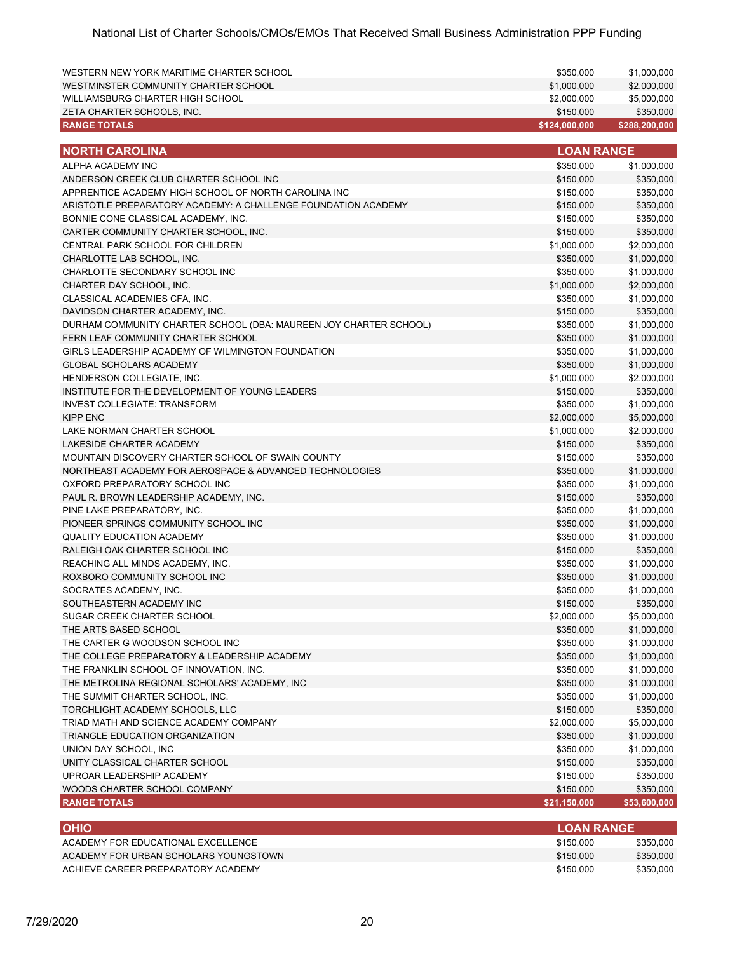| WESTMINSTER COMMUNITY CHARTER SCHOOL<br>\$1,000,000<br>\$2,000,000<br>WILLIAMSBURG CHARTER HIGH SCHOOL<br>\$2,000,000<br>\$5,000,000<br>ZETA CHARTER SCHOOLS, INC.<br>\$150,000<br>\$350,000<br><b>RANGE TOTALS</b><br>\$124,000,000<br>\$288,200,000<br><b>LOAN RANGE</b><br><b>NORTH CAROLINA</b><br>ALPHA ACADEMY INC<br>\$350,000<br>\$1,000,000<br>ANDERSON CREEK CLUB CHARTER SCHOOL INC<br>\$150,000<br>\$350,000<br>APPRENTICE ACADEMY HIGH SCHOOL OF NORTH CAROLINA INC<br>\$150,000<br>\$350,000<br>ARISTOTLE PREPARATORY ACADEMY: A CHALLENGE FOUNDATION ACADEMY<br>\$150,000<br>\$350,000<br>BONNIE CONE CLASSICAL ACADEMY, INC.<br>\$150,000<br>\$350,000<br>CARTER COMMUNITY CHARTER SCHOOL, INC.<br>\$150,000<br>\$350,000<br>CENTRAL PARK SCHOOL FOR CHILDREN<br>\$1,000,000<br>\$2,000,000<br>CHARLOTTE LAB SCHOOL, INC.<br>\$350,000<br>\$1,000,000<br>CHARLOTTE SECONDARY SCHOOL INC<br>\$350,000<br>\$1,000,000<br>CHARTER DAY SCHOOL, INC.<br>\$1,000,000<br>\$2,000,000<br>CLASSICAL ACADEMIES CFA, INC.<br>\$350,000<br>\$1,000,000<br>DAVIDSON CHARTER ACADEMY, INC.<br>\$150,000<br>\$350,000<br>DURHAM COMMUNITY CHARTER SCHOOL (DBA: MAUREEN JOY CHARTER SCHOOL)<br>\$1,000,000<br>\$350,000<br>FERN LEAF COMMUNITY CHARTER SCHOOL<br>\$350,000<br>\$1,000,000<br>GIRLS LEADERSHIP ACADEMY OF WILMINGTON FOUNDATION<br>\$350,000<br>\$1,000,000<br><b>GLOBAL SCHOLARS ACADEMY</b><br>\$350,000<br>\$1,000,000<br>HENDERSON COLLEGIATE, INC.<br>\$1,000,000<br>\$2,000,000<br>INSTITUTE FOR THE DEVELOPMENT OF YOUNG LEADERS<br>\$150,000<br>\$350,000<br><b>INVEST COLLEGIATE: TRANSFORM</b><br>\$350,000<br>\$1,000,000<br><b>KIPP ENC</b><br>\$2,000,000<br>\$5,000,000<br>LAKE NORMAN CHARTER SCHOOL<br>\$1,000,000<br>\$2,000,000<br>LAKESIDE CHARTER ACADEMY<br>\$150,000<br>\$350,000<br>MOUNTAIN DISCOVERY CHARTER SCHOOL OF SWAIN COUNTY<br>\$150,000<br>\$350,000<br>NORTHEAST ACADEMY FOR AEROSPACE & ADVANCED TECHNOLOGIES<br>\$350,000<br>\$1,000,000<br>OXFORD PREPARATORY SCHOOL INC<br>\$350,000<br>\$1,000,000<br>PAUL R. BROWN LEADERSHIP ACADEMY, INC.<br>\$150,000<br>\$350,000<br>PINE LAKE PREPARATORY, INC.<br>\$1,000,000<br>\$350,000<br>PIONEER SPRINGS COMMUNITY SCHOOL INC<br>\$350,000<br>\$1,000,000<br><b>QUALITY EDUCATION ACADEMY</b><br>\$350,000<br>\$1,000,000<br>RALEIGH OAK CHARTER SCHOOL INC<br>\$150,000<br>\$350,000<br>REACHING ALL MINDS ACADEMY, INC.<br>\$350,000<br>\$1,000,000<br>ROXBORO COMMUNITY SCHOOL INC<br>\$350,000<br>\$1,000,000<br>SOCRATES ACADEMY, INC.<br>\$350,000<br>\$1,000,000<br>SOUTHEASTERN ACADEMY INC<br>\$150,000<br>\$350,000<br>SUGAR CREEK CHARTER SCHOOL<br>\$2,000,000<br>\$5,000,000<br>THE ARTS BASED SCHOOL<br>\$350,000<br>\$1,000,000<br>THE CARTER G WOODSON SCHOOL INC<br>\$350,000<br>\$1,000,000<br>THE COLLEGE PREPARATORY & LEADERSHIP ACADEMY<br>\$350,000<br>\$1,000,000<br>THE FRANKLIN SCHOOL OF INNOVATION, INC.<br>\$350,000<br>\$1,000,000<br>THE METROLINA REGIONAL SCHOLARS' ACADEMY, INC<br>\$350,000<br>\$1,000,000<br>THE SUMMIT CHARTER SCHOOL, INC.<br>\$350,000<br>\$1,000,000<br>TORCHLIGHT ACADEMY SCHOOLS, LLC<br>\$150,000<br>\$350,000<br>TRIAD MATH AND SCIENCE ACADEMY COMPANY<br>\$2,000,000<br>\$5,000,000<br>TRIANGLE EDUCATION ORGANIZATION<br>\$350,000<br>\$1,000,000<br>UNION DAY SCHOOL, INC<br>\$350,000<br>\$1,000,000<br>UNITY CLASSICAL CHARTER SCHOOL<br>\$150,000<br>\$350,000<br>UPROAR LEADERSHIP ACADEMY<br>\$150,000<br>\$350,000<br>WOODS CHARTER SCHOOL COMPANY<br>\$150,000<br>\$350,000<br><b>RANGE TOTALS</b><br>\$21,150,000<br>\$53,600,000 | WESTERN NEW YORK MARITIME CHARTER SCHOOL | \$350,000 | \$1,000,000 |
|--------------------------------------------------------------------------------------------------------------------------------------------------------------------------------------------------------------------------------------------------------------------------------------------------------------------------------------------------------------------------------------------------------------------------------------------------------------------------------------------------------------------------------------------------------------------------------------------------------------------------------------------------------------------------------------------------------------------------------------------------------------------------------------------------------------------------------------------------------------------------------------------------------------------------------------------------------------------------------------------------------------------------------------------------------------------------------------------------------------------------------------------------------------------------------------------------------------------------------------------------------------------------------------------------------------------------------------------------------------------------------------------------------------------------------------------------------------------------------------------------------------------------------------------------------------------------------------------------------------------------------------------------------------------------------------------------------------------------------------------------------------------------------------------------------------------------------------------------------------------------------------------------------------------------------------------------------------------------------------------------------------------------------------------------------------------------------------------------------------------------------------------------------------------------------------------------------------------------------------------------------------------------------------------------------------------------------------------------------------------------------------------------------------------------------------------------------------------------------------------------------------------------------------------------------------------------------------------------------------------------------------------------------------------------------------------------------------------------------------------------------------------------------------------------------------------------------------------------------------------------------------------------------------------------------------------------------------------------------------------------------------------------------------------------------------------------------------------------------------------------------------------------------------------------------------------------------------------------------------------------------------------------------------------------------------------------------------------------------------------------------------------------------------------------------------------------------------------------------------------------------------------------------------------------------------------------------------------------------------|------------------------------------------|-----------|-------------|
|                                                                                                                                                                                                                                                                                                                                                                                                                                                                                                                                                                                                                                                                                                                                                                                                                                                                                                                                                                                                                                                                                                                                                                                                                                                                                                                                                                                                                                                                                                                                                                                                                                                                                                                                                                                                                                                                                                                                                                                                                                                                                                                                                                                                                                                                                                                                                                                                                                                                                                                                                                                                                                                                                                                                                                                                                                                                                                                                                                                                                                                                                                                                                                                                                                                                                                                                                                                                                                                                                                                                                                                                              |                                          |           |             |
|                                                                                                                                                                                                                                                                                                                                                                                                                                                                                                                                                                                                                                                                                                                                                                                                                                                                                                                                                                                                                                                                                                                                                                                                                                                                                                                                                                                                                                                                                                                                                                                                                                                                                                                                                                                                                                                                                                                                                                                                                                                                                                                                                                                                                                                                                                                                                                                                                                                                                                                                                                                                                                                                                                                                                                                                                                                                                                                                                                                                                                                                                                                                                                                                                                                                                                                                                                                                                                                                                                                                                                                                              |                                          |           |             |
|                                                                                                                                                                                                                                                                                                                                                                                                                                                                                                                                                                                                                                                                                                                                                                                                                                                                                                                                                                                                                                                                                                                                                                                                                                                                                                                                                                                                                                                                                                                                                                                                                                                                                                                                                                                                                                                                                                                                                                                                                                                                                                                                                                                                                                                                                                                                                                                                                                                                                                                                                                                                                                                                                                                                                                                                                                                                                                                                                                                                                                                                                                                                                                                                                                                                                                                                                                                                                                                                                                                                                                                                              |                                          |           |             |
|                                                                                                                                                                                                                                                                                                                                                                                                                                                                                                                                                                                                                                                                                                                                                                                                                                                                                                                                                                                                                                                                                                                                                                                                                                                                                                                                                                                                                                                                                                                                                                                                                                                                                                                                                                                                                                                                                                                                                                                                                                                                                                                                                                                                                                                                                                                                                                                                                                                                                                                                                                                                                                                                                                                                                                                                                                                                                                                                                                                                                                                                                                                                                                                                                                                                                                                                                                                                                                                                                                                                                                                                              |                                          |           |             |
|                                                                                                                                                                                                                                                                                                                                                                                                                                                                                                                                                                                                                                                                                                                                                                                                                                                                                                                                                                                                                                                                                                                                                                                                                                                                                                                                                                                                                                                                                                                                                                                                                                                                                                                                                                                                                                                                                                                                                                                                                                                                                                                                                                                                                                                                                                                                                                                                                                                                                                                                                                                                                                                                                                                                                                                                                                                                                                                                                                                                                                                                                                                                                                                                                                                                                                                                                                                                                                                                                                                                                                                                              |                                          |           |             |
|                                                                                                                                                                                                                                                                                                                                                                                                                                                                                                                                                                                                                                                                                                                                                                                                                                                                                                                                                                                                                                                                                                                                                                                                                                                                                                                                                                                                                                                                                                                                                                                                                                                                                                                                                                                                                                                                                                                                                                                                                                                                                                                                                                                                                                                                                                                                                                                                                                                                                                                                                                                                                                                                                                                                                                                                                                                                                                                                                                                                                                                                                                                                                                                                                                                                                                                                                                                                                                                                                                                                                                                                              |                                          |           |             |
|                                                                                                                                                                                                                                                                                                                                                                                                                                                                                                                                                                                                                                                                                                                                                                                                                                                                                                                                                                                                                                                                                                                                                                                                                                                                                                                                                                                                                                                                                                                                                                                                                                                                                                                                                                                                                                                                                                                                                                                                                                                                                                                                                                                                                                                                                                                                                                                                                                                                                                                                                                                                                                                                                                                                                                                                                                                                                                                                                                                                                                                                                                                                                                                                                                                                                                                                                                                                                                                                                                                                                                                                              |                                          |           |             |
|                                                                                                                                                                                                                                                                                                                                                                                                                                                                                                                                                                                                                                                                                                                                                                                                                                                                                                                                                                                                                                                                                                                                                                                                                                                                                                                                                                                                                                                                                                                                                                                                                                                                                                                                                                                                                                                                                                                                                                                                                                                                                                                                                                                                                                                                                                                                                                                                                                                                                                                                                                                                                                                                                                                                                                                                                                                                                                                                                                                                                                                                                                                                                                                                                                                                                                                                                                                                                                                                                                                                                                                                              |                                          |           |             |
|                                                                                                                                                                                                                                                                                                                                                                                                                                                                                                                                                                                                                                                                                                                                                                                                                                                                                                                                                                                                                                                                                                                                                                                                                                                                                                                                                                                                                                                                                                                                                                                                                                                                                                                                                                                                                                                                                                                                                                                                                                                                                                                                                                                                                                                                                                                                                                                                                                                                                                                                                                                                                                                                                                                                                                                                                                                                                                                                                                                                                                                                                                                                                                                                                                                                                                                                                                                                                                                                                                                                                                                                              |                                          |           |             |
|                                                                                                                                                                                                                                                                                                                                                                                                                                                                                                                                                                                                                                                                                                                                                                                                                                                                                                                                                                                                                                                                                                                                                                                                                                                                                                                                                                                                                                                                                                                                                                                                                                                                                                                                                                                                                                                                                                                                                                                                                                                                                                                                                                                                                                                                                                                                                                                                                                                                                                                                                                                                                                                                                                                                                                                                                                                                                                                                                                                                                                                                                                                                                                                                                                                                                                                                                                                                                                                                                                                                                                                                              |                                          |           |             |
|                                                                                                                                                                                                                                                                                                                                                                                                                                                                                                                                                                                                                                                                                                                                                                                                                                                                                                                                                                                                                                                                                                                                                                                                                                                                                                                                                                                                                                                                                                                                                                                                                                                                                                                                                                                                                                                                                                                                                                                                                                                                                                                                                                                                                                                                                                                                                                                                                                                                                                                                                                                                                                                                                                                                                                                                                                                                                                                                                                                                                                                                                                                                                                                                                                                                                                                                                                                                                                                                                                                                                                                                              |                                          |           |             |
|                                                                                                                                                                                                                                                                                                                                                                                                                                                                                                                                                                                                                                                                                                                                                                                                                                                                                                                                                                                                                                                                                                                                                                                                                                                                                                                                                                                                                                                                                                                                                                                                                                                                                                                                                                                                                                                                                                                                                                                                                                                                                                                                                                                                                                                                                                                                                                                                                                                                                                                                                                                                                                                                                                                                                                                                                                                                                                                                                                                                                                                                                                                                                                                                                                                                                                                                                                                                                                                                                                                                                                                                              |                                          |           |             |
|                                                                                                                                                                                                                                                                                                                                                                                                                                                                                                                                                                                                                                                                                                                                                                                                                                                                                                                                                                                                                                                                                                                                                                                                                                                                                                                                                                                                                                                                                                                                                                                                                                                                                                                                                                                                                                                                                                                                                                                                                                                                                                                                                                                                                                                                                                                                                                                                                                                                                                                                                                                                                                                                                                                                                                                                                                                                                                                                                                                                                                                                                                                                                                                                                                                                                                                                                                                                                                                                                                                                                                                                              |                                          |           |             |
|                                                                                                                                                                                                                                                                                                                                                                                                                                                                                                                                                                                                                                                                                                                                                                                                                                                                                                                                                                                                                                                                                                                                                                                                                                                                                                                                                                                                                                                                                                                                                                                                                                                                                                                                                                                                                                                                                                                                                                                                                                                                                                                                                                                                                                                                                                                                                                                                                                                                                                                                                                                                                                                                                                                                                                                                                                                                                                                                                                                                                                                                                                                                                                                                                                                                                                                                                                                                                                                                                                                                                                                                              |                                          |           |             |
|                                                                                                                                                                                                                                                                                                                                                                                                                                                                                                                                                                                                                                                                                                                                                                                                                                                                                                                                                                                                                                                                                                                                                                                                                                                                                                                                                                                                                                                                                                                                                                                                                                                                                                                                                                                                                                                                                                                                                                                                                                                                                                                                                                                                                                                                                                                                                                                                                                                                                                                                                                                                                                                                                                                                                                                                                                                                                                                                                                                                                                                                                                                                                                                                                                                                                                                                                                                                                                                                                                                                                                                                              |                                          |           |             |
|                                                                                                                                                                                                                                                                                                                                                                                                                                                                                                                                                                                                                                                                                                                                                                                                                                                                                                                                                                                                                                                                                                                                                                                                                                                                                                                                                                                                                                                                                                                                                                                                                                                                                                                                                                                                                                                                                                                                                                                                                                                                                                                                                                                                                                                                                                                                                                                                                                                                                                                                                                                                                                                                                                                                                                                                                                                                                                                                                                                                                                                                                                                                                                                                                                                                                                                                                                                                                                                                                                                                                                                                              |                                          |           |             |
|                                                                                                                                                                                                                                                                                                                                                                                                                                                                                                                                                                                                                                                                                                                                                                                                                                                                                                                                                                                                                                                                                                                                                                                                                                                                                                                                                                                                                                                                                                                                                                                                                                                                                                                                                                                                                                                                                                                                                                                                                                                                                                                                                                                                                                                                                                                                                                                                                                                                                                                                                                                                                                                                                                                                                                                                                                                                                                                                                                                                                                                                                                                                                                                                                                                                                                                                                                                                                                                                                                                                                                                                              |                                          |           |             |
|                                                                                                                                                                                                                                                                                                                                                                                                                                                                                                                                                                                                                                                                                                                                                                                                                                                                                                                                                                                                                                                                                                                                                                                                                                                                                                                                                                                                                                                                                                                                                                                                                                                                                                                                                                                                                                                                                                                                                                                                                                                                                                                                                                                                                                                                                                                                                                                                                                                                                                                                                                                                                                                                                                                                                                                                                                                                                                                                                                                                                                                                                                                                                                                                                                                                                                                                                                                                                                                                                                                                                                                                              |                                          |           |             |
|                                                                                                                                                                                                                                                                                                                                                                                                                                                                                                                                                                                                                                                                                                                                                                                                                                                                                                                                                                                                                                                                                                                                                                                                                                                                                                                                                                                                                                                                                                                                                                                                                                                                                                                                                                                                                                                                                                                                                                                                                                                                                                                                                                                                                                                                                                                                                                                                                                                                                                                                                                                                                                                                                                                                                                                                                                                                                                                                                                                                                                                                                                                                                                                                                                                                                                                                                                                                                                                                                                                                                                                                              |                                          |           |             |
|                                                                                                                                                                                                                                                                                                                                                                                                                                                                                                                                                                                                                                                                                                                                                                                                                                                                                                                                                                                                                                                                                                                                                                                                                                                                                                                                                                                                                                                                                                                                                                                                                                                                                                                                                                                                                                                                                                                                                                                                                                                                                                                                                                                                                                                                                                                                                                                                                                                                                                                                                                                                                                                                                                                                                                                                                                                                                                                                                                                                                                                                                                                                                                                                                                                                                                                                                                                                                                                                                                                                                                                                              |                                          |           |             |
|                                                                                                                                                                                                                                                                                                                                                                                                                                                                                                                                                                                                                                                                                                                                                                                                                                                                                                                                                                                                                                                                                                                                                                                                                                                                                                                                                                                                                                                                                                                                                                                                                                                                                                                                                                                                                                                                                                                                                                                                                                                                                                                                                                                                                                                                                                                                                                                                                                                                                                                                                                                                                                                                                                                                                                                                                                                                                                                                                                                                                                                                                                                                                                                                                                                                                                                                                                                                                                                                                                                                                                                                              |                                          |           |             |
|                                                                                                                                                                                                                                                                                                                                                                                                                                                                                                                                                                                                                                                                                                                                                                                                                                                                                                                                                                                                                                                                                                                                                                                                                                                                                                                                                                                                                                                                                                                                                                                                                                                                                                                                                                                                                                                                                                                                                                                                                                                                                                                                                                                                                                                                                                                                                                                                                                                                                                                                                                                                                                                                                                                                                                                                                                                                                                                                                                                                                                                                                                                                                                                                                                                                                                                                                                                                                                                                                                                                                                                                              |                                          |           |             |
|                                                                                                                                                                                                                                                                                                                                                                                                                                                                                                                                                                                                                                                                                                                                                                                                                                                                                                                                                                                                                                                                                                                                                                                                                                                                                                                                                                                                                                                                                                                                                                                                                                                                                                                                                                                                                                                                                                                                                                                                                                                                                                                                                                                                                                                                                                                                                                                                                                                                                                                                                                                                                                                                                                                                                                                                                                                                                                                                                                                                                                                                                                                                                                                                                                                                                                                                                                                                                                                                                                                                                                                                              |                                          |           |             |
|                                                                                                                                                                                                                                                                                                                                                                                                                                                                                                                                                                                                                                                                                                                                                                                                                                                                                                                                                                                                                                                                                                                                                                                                                                                                                                                                                                                                                                                                                                                                                                                                                                                                                                                                                                                                                                                                                                                                                                                                                                                                                                                                                                                                                                                                                                                                                                                                                                                                                                                                                                                                                                                                                                                                                                                                                                                                                                                                                                                                                                                                                                                                                                                                                                                                                                                                                                                                                                                                                                                                                                                                              |                                          |           |             |
|                                                                                                                                                                                                                                                                                                                                                                                                                                                                                                                                                                                                                                                                                                                                                                                                                                                                                                                                                                                                                                                                                                                                                                                                                                                                                                                                                                                                                                                                                                                                                                                                                                                                                                                                                                                                                                                                                                                                                                                                                                                                                                                                                                                                                                                                                                                                                                                                                                                                                                                                                                                                                                                                                                                                                                                                                                                                                                                                                                                                                                                                                                                                                                                                                                                                                                                                                                                                                                                                                                                                                                                                              |                                          |           |             |
|                                                                                                                                                                                                                                                                                                                                                                                                                                                                                                                                                                                                                                                                                                                                                                                                                                                                                                                                                                                                                                                                                                                                                                                                                                                                                                                                                                                                                                                                                                                                                                                                                                                                                                                                                                                                                                                                                                                                                                                                                                                                                                                                                                                                                                                                                                                                                                                                                                                                                                                                                                                                                                                                                                                                                                                                                                                                                                                                                                                                                                                                                                                                                                                                                                                                                                                                                                                                                                                                                                                                                                                                              |                                          |           |             |
|                                                                                                                                                                                                                                                                                                                                                                                                                                                                                                                                                                                                                                                                                                                                                                                                                                                                                                                                                                                                                                                                                                                                                                                                                                                                                                                                                                                                                                                                                                                                                                                                                                                                                                                                                                                                                                                                                                                                                                                                                                                                                                                                                                                                                                                                                                                                                                                                                                                                                                                                                                                                                                                                                                                                                                                                                                                                                                                                                                                                                                                                                                                                                                                                                                                                                                                                                                                                                                                                                                                                                                                                              |                                          |           |             |
|                                                                                                                                                                                                                                                                                                                                                                                                                                                                                                                                                                                                                                                                                                                                                                                                                                                                                                                                                                                                                                                                                                                                                                                                                                                                                                                                                                                                                                                                                                                                                                                                                                                                                                                                                                                                                                                                                                                                                                                                                                                                                                                                                                                                                                                                                                                                                                                                                                                                                                                                                                                                                                                                                                                                                                                                                                                                                                                                                                                                                                                                                                                                                                                                                                                                                                                                                                                                                                                                                                                                                                                                              |                                          |           |             |
|                                                                                                                                                                                                                                                                                                                                                                                                                                                                                                                                                                                                                                                                                                                                                                                                                                                                                                                                                                                                                                                                                                                                                                                                                                                                                                                                                                                                                                                                                                                                                                                                                                                                                                                                                                                                                                                                                                                                                                                                                                                                                                                                                                                                                                                                                                                                                                                                                                                                                                                                                                                                                                                                                                                                                                                                                                                                                                                                                                                                                                                                                                                                                                                                                                                                                                                                                                                                                                                                                                                                                                                                              |                                          |           |             |
|                                                                                                                                                                                                                                                                                                                                                                                                                                                                                                                                                                                                                                                                                                                                                                                                                                                                                                                                                                                                                                                                                                                                                                                                                                                                                                                                                                                                                                                                                                                                                                                                                                                                                                                                                                                                                                                                                                                                                                                                                                                                                                                                                                                                                                                                                                                                                                                                                                                                                                                                                                                                                                                                                                                                                                                                                                                                                                                                                                                                                                                                                                                                                                                                                                                                                                                                                                                                                                                                                                                                                                                                              |                                          |           |             |
|                                                                                                                                                                                                                                                                                                                                                                                                                                                                                                                                                                                                                                                                                                                                                                                                                                                                                                                                                                                                                                                                                                                                                                                                                                                                                                                                                                                                                                                                                                                                                                                                                                                                                                                                                                                                                                                                                                                                                                                                                                                                                                                                                                                                                                                                                                                                                                                                                                                                                                                                                                                                                                                                                                                                                                                                                                                                                                                                                                                                                                                                                                                                                                                                                                                                                                                                                                                                                                                                                                                                                                                                              |                                          |           |             |
|                                                                                                                                                                                                                                                                                                                                                                                                                                                                                                                                                                                                                                                                                                                                                                                                                                                                                                                                                                                                                                                                                                                                                                                                                                                                                                                                                                                                                                                                                                                                                                                                                                                                                                                                                                                                                                                                                                                                                                                                                                                                                                                                                                                                                                                                                                                                                                                                                                                                                                                                                                                                                                                                                                                                                                                                                                                                                                                                                                                                                                                                                                                                                                                                                                                                                                                                                                                                                                                                                                                                                                                                              |                                          |           |             |
|                                                                                                                                                                                                                                                                                                                                                                                                                                                                                                                                                                                                                                                                                                                                                                                                                                                                                                                                                                                                                                                                                                                                                                                                                                                                                                                                                                                                                                                                                                                                                                                                                                                                                                                                                                                                                                                                                                                                                                                                                                                                                                                                                                                                                                                                                                                                                                                                                                                                                                                                                                                                                                                                                                                                                                                                                                                                                                                                                                                                                                                                                                                                                                                                                                                                                                                                                                                                                                                                                                                                                                                                              |                                          |           |             |
|                                                                                                                                                                                                                                                                                                                                                                                                                                                                                                                                                                                                                                                                                                                                                                                                                                                                                                                                                                                                                                                                                                                                                                                                                                                                                                                                                                                                                                                                                                                                                                                                                                                                                                                                                                                                                                                                                                                                                                                                                                                                                                                                                                                                                                                                                                                                                                                                                                                                                                                                                                                                                                                                                                                                                                                                                                                                                                                                                                                                                                                                                                                                                                                                                                                                                                                                                                                                                                                                                                                                                                                                              |                                          |           |             |
|                                                                                                                                                                                                                                                                                                                                                                                                                                                                                                                                                                                                                                                                                                                                                                                                                                                                                                                                                                                                                                                                                                                                                                                                                                                                                                                                                                                                                                                                                                                                                                                                                                                                                                                                                                                                                                                                                                                                                                                                                                                                                                                                                                                                                                                                                                                                                                                                                                                                                                                                                                                                                                                                                                                                                                                                                                                                                                                                                                                                                                                                                                                                                                                                                                                                                                                                                                                                                                                                                                                                                                                                              |                                          |           |             |
|                                                                                                                                                                                                                                                                                                                                                                                                                                                                                                                                                                                                                                                                                                                                                                                                                                                                                                                                                                                                                                                                                                                                                                                                                                                                                                                                                                                                                                                                                                                                                                                                                                                                                                                                                                                                                                                                                                                                                                                                                                                                                                                                                                                                                                                                                                                                                                                                                                                                                                                                                                                                                                                                                                                                                                                                                                                                                                                                                                                                                                                                                                                                                                                                                                                                                                                                                                                                                                                                                                                                                                                                              |                                          |           |             |
|                                                                                                                                                                                                                                                                                                                                                                                                                                                                                                                                                                                                                                                                                                                                                                                                                                                                                                                                                                                                                                                                                                                                                                                                                                                                                                                                                                                                                                                                                                                                                                                                                                                                                                                                                                                                                                                                                                                                                                                                                                                                                                                                                                                                                                                                                                                                                                                                                                                                                                                                                                                                                                                                                                                                                                                                                                                                                                                                                                                                                                                                                                                                                                                                                                                                                                                                                                                                                                                                                                                                                                                                              |                                          |           |             |
|                                                                                                                                                                                                                                                                                                                                                                                                                                                                                                                                                                                                                                                                                                                                                                                                                                                                                                                                                                                                                                                                                                                                                                                                                                                                                                                                                                                                                                                                                                                                                                                                                                                                                                                                                                                                                                                                                                                                                                                                                                                                                                                                                                                                                                                                                                                                                                                                                                                                                                                                                                                                                                                                                                                                                                                                                                                                                                                                                                                                                                                                                                                                                                                                                                                                                                                                                                                                                                                                                                                                                                                                              |                                          |           |             |
|                                                                                                                                                                                                                                                                                                                                                                                                                                                                                                                                                                                                                                                                                                                                                                                                                                                                                                                                                                                                                                                                                                                                                                                                                                                                                                                                                                                                                                                                                                                                                                                                                                                                                                                                                                                                                                                                                                                                                                                                                                                                                                                                                                                                                                                                                                                                                                                                                                                                                                                                                                                                                                                                                                                                                                                                                                                                                                                                                                                                                                                                                                                                                                                                                                                                                                                                                                                                                                                                                                                                                                                                              |                                          |           |             |
|                                                                                                                                                                                                                                                                                                                                                                                                                                                                                                                                                                                                                                                                                                                                                                                                                                                                                                                                                                                                                                                                                                                                                                                                                                                                                                                                                                                                                                                                                                                                                                                                                                                                                                                                                                                                                                                                                                                                                                                                                                                                                                                                                                                                                                                                                                                                                                                                                                                                                                                                                                                                                                                                                                                                                                                                                                                                                                                                                                                                                                                                                                                                                                                                                                                                                                                                                                                                                                                                                                                                                                                                              |                                          |           |             |
|                                                                                                                                                                                                                                                                                                                                                                                                                                                                                                                                                                                                                                                                                                                                                                                                                                                                                                                                                                                                                                                                                                                                                                                                                                                                                                                                                                                                                                                                                                                                                                                                                                                                                                                                                                                                                                                                                                                                                                                                                                                                                                                                                                                                                                                                                                                                                                                                                                                                                                                                                                                                                                                                                                                                                                                                                                                                                                                                                                                                                                                                                                                                                                                                                                                                                                                                                                                                                                                                                                                                                                                                              |                                          |           |             |
|                                                                                                                                                                                                                                                                                                                                                                                                                                                                                                                                                                                                                                                                                                                                                                                                                                                                                                                                                                                                                                                                                                                                                                                                                                                                                                                                                                                                                                                                                                                                                                                                                                                                                                                                                                                                                                                                                                                                                                                                                                                                                                                                                                                                                                                                                                                                                                                                                                                                                                                                                                                                                                                                                                                                                                                                                                                                                                                                                                                                                                                                                                                                                                                                                                                                                                                                                                                                                                                                                                                                                                                                              |                                          |           |             |
|                                                                                                                                                                                                                                                                                                                                                                                                                                                                                                                                                                                                                                                                                                                                                                                                                                                                                                                                                                                                                                                                                                                                                                                                                                                                                                                                                                                                                                                                                                                                                                                                                                                                                                                                                                                                                                                                                                                                                                                                                                                                                                                                                                                                                                                                                                                                                                                                                                                                                                                                                                                                                                                                                                                                                                                                                                                                                                                                                                                                                                                                                                                                                                                                                                                                                                                                                                                                                                                                                                                                                                                                              |                                          |           |             |
|                                                                                                                                                                                                                                                                                                                                                                                                                                                                                                                                                                                                                                                                                                                                                                                                                                                                                                                                                                                                                                                                                                                                                                                                                                                                                                                                                                                                                                                                                                                                                                                                                                                                                                                                                                                                                                                                                                                                                                                                                                                                                                                                                                                                                                                                                                                                                                                                                                                                                                                                                                                                                                                                                                                                                                                                                                                                                                                                                                                                                                                                                                                                                                                                                                                                                                                                                                                                                                                                                                                                                                                                              |                                          |           |             |
|                                                                                                                                                                                                                                                                                                                                                                                                                                                                                                                                                                                                                                                                                                                                                                                                                                                                                                                                                                                                                                                                                                                                                                                                                                                                                                                                                                                                                                                                                                                                                                                                                                                                                                                                                                                                                                                                                                                                                                                                                                                                                                                                                                                                                                                                                                                                                                                                                                                                                                                                                                                                                                                                                                                                                                                                                                                                                                                                                                                                                                                                                                                                                                                                                                                                                                                                                                                                                                                                                                                                                                                                              |                                          |           |             |
|                                                                                                                                                                                                                                                                                                                                                                                                                                                                                                                                                                                                                                                                                                                                                                                                                                                                                                                                                                                                                                                                                                                                                                                                                                                                                                                                                                                                                                                                                                                                                                                                                                                                                                                                                                                                                                                                                                                                                                                                                                                                                                                                                                                                                                                                                                                                                                                                                                                                                                                                                                                                                                                                                                                                                                                                                                                                                                                                                                                                                                                                                                                                                                                                                                                                                                                                                                                                                                                                                                                                                                                                              |                                          |           |             |
|                                                                                                                                                                                                                                                                                                                                                                                                                                                                                                                                                                                                                                                                                                                                                                                                                                                                                                                                                                                                                                                                                                                                                                                                                                                                                                                                                                                                                                                                                                                                                                                                                                                                                                                                                                                                                                                                                                                                                                                                                                                                                                                                                                                                                                                                                                                                                                                                                                                                                                                                                                                                                                                                                                                                                                                                                                                                                                                                                                                                                                                                                                                                                                                                                                                                                                                                                                                                                                                                                                                                                                                                              |                                          |           |             |
|                                                                                                                                                                                                                                                                                                                                                                                                                                                                                                                                                                                                                                                                                                                                                                                                                                                                                                                                                                                                                                                                                                                                                                                                                                                                                                                                                                                                                                                                                                                                                                                                                                                                                                                                                                                                                                                                                                                                                                                                                                                                                                                                                                                                                                                                                                                                                                                                                                                                                                                                                                                                                                                                                                                                                                                                                                                                                                                                                                                                                                                                                                                                                                                                                                                                                                                                                                                                                                                                                                                                                                                                              |                                          |           |             |
|                                                                                                                                                                                                                                                                                                                                                                                                                                                                                                                                                                                                                                                                                                                                                                                                                                                                                                                                                                                                                                                                                                                                                                                                                                                                                                                                                                                                                                                                                                                                                                                                                                                                                                                                                                                                                                                                                                                                                                                                                                                                                                                                                                                                                                                                                                                                                                                                                                                                                                                                                                                                                                                                                                                                                                                                                                                                                                                                                                                                                                                                                                                                                                                                                                                                                                                                                                                                                                                                                                                                                                                                              |                                          |           |             |
|                                                                                                                                                                                                                                                                                                                                                                                                                                                                                                                                                                                                                                                                                                                                                                                                                                                                                                                                                                                                                                                                                                                                                                                                                                                                                                                                                                                                                                                                                                                                                                                                                                                                                                                                                                                                                                                                                                                                                                                                                                                                                                                                                                                                                                                                                                                                                                                                                                                                                                                                                                                                                                                                                                                                                                                                                                                                                                                                                                                                                                                                                                                                                                                                                                                                                                                                                                                                                                                                                                                                                                                                              |                                          |           |             |
|                                                                                                                                                                                                                                                                                                                                                                                                                                                                                                                                                                                                                                                                                                                                                                                                                                                                                                                                                                                                                                                                                                                                                                                                                                                                                                                                                                                                                                                                                                                                                                                                                                                                                                                                                                                                                                                                                                                                                                                                                                                                                                                                                                                                                                                                                                                                                                                                                                                                                                                                                                                                                                                                                                                                                                                                                                                                                                                                                                                                                                                                                                                                                                                                                                                                                                                                                                                                                                                                                                                                                                                                              |                                          |           |             |
|                                                                                                                                                                                                                                                                                                                                                                                                                                                                                                                                                                                                                                                                                                                                                                                                                                                                                                                                                                                                                                                                                                                                                                                                                                                                                                                                                                                                                                                                                                                                                                                                                                                                                                                                                                                                                                                                                                                                                                                                                                                                                                                                                                                                                                                                                                                                                                                                                                                                                                                                                                                                                                                                                                                                                                                                                                                                                                                                                                                                                                                                                                                                                                                                                                                                                                                                                                                                                                                                                                                                                                                                              |                                          |           |             |
|                                                                                                                                                                                                                                                                                                                                                                                                                                                                                                                                                                                                                                                                                                                                                                                                                                                                                                                                                                                                                                                                                                                                                                                                                                                                                                                                                                                                                                                                                                                                                                                                                                                                                                                                                                                                                                                                                                                                                                                                                                                                                                                                                                                                                                                                                                                                                                                                                                                                                                                                                                                                                                                                                                                                                                                                                                                                                                                                                                                                                                                                                                                                                                                                                                                                                                                                                                                                                                                                                                                                                                                                              |                                          |           |             |
|                                                                                                                                                                                                                                                                                                                                                                                                                                                                                                                                                                                                                                                                                                                                                                                                                                                                                                                                                                                                                                                                                                                                                                                                                                                                                                                                                                                                                                                                                                                                                                                                                                                                                                                                                                                                                                                                                                                                                                                                                                                                                                                                                                                                                                                                                                                                                                                                                                                                                                                                                                                                                                                                                                                                                                                                                                                                                                                                                                                                                                                                                                                                                                                                                                                                                                                                                                                                                                                                                                                                                                                                              |                                          |           |             |
|                                                                                                                                                                                                                                                                                                                                                                                                                                                                                                                                                                                                                                                                                                                                                                                                                                                                                                                                                                                                                                                                                                                                                                                                                                                                                                                                                                                                                                                                                                                                                                                                                                                                                                                                                                                                                                                                                                                                                                                                                                                                                                                                                                                                                                                                                                                                                                                                                                                                                                                                                                                                                                                                                                                                                                                                                                                                                                                                                                                                                                                                                                                                                                                                                                                                                                                                                                                                                                                                                                                                                                                                              |                                          |           |             |
|                                                                                                                                                                                                                                                                                                                                                                                                                                                                                                                                                                                                                                                                                                                                                                                                                                                                                                                                                                                                                                                                                                                                                                                                                                                                                                                                                                                                                                                                                                                                                                                                                                                                                                                                                                                                                                                                                                                                                                                                                                                                                                                                                                                                                                                                                                                                                                                                                                                                                                                                                                                                                                                                                                                                                                                                                                                                                                                                                                                                                                                                                                                                                                                                                                                                                                                                                                                                                                                                                                                                                                                                              |                                          |           |             |

| <b>OHIO</b>                           | <b>LOAN RANGE</b> |           |
|---------------------------------------|-------------------|-----------|
| ACADEMY FOR EDUCATIONAL EXCELLENCE    | \$150,000         | \$350,000 |
| ACADEMY FOR URBAN SCHOLARS YOUNGSTOWN | \$150,000         | \$350,000 |
| ACHIEVE CAREER PREPARATORY ACADEMY    | \$150,000         | \$350,000 |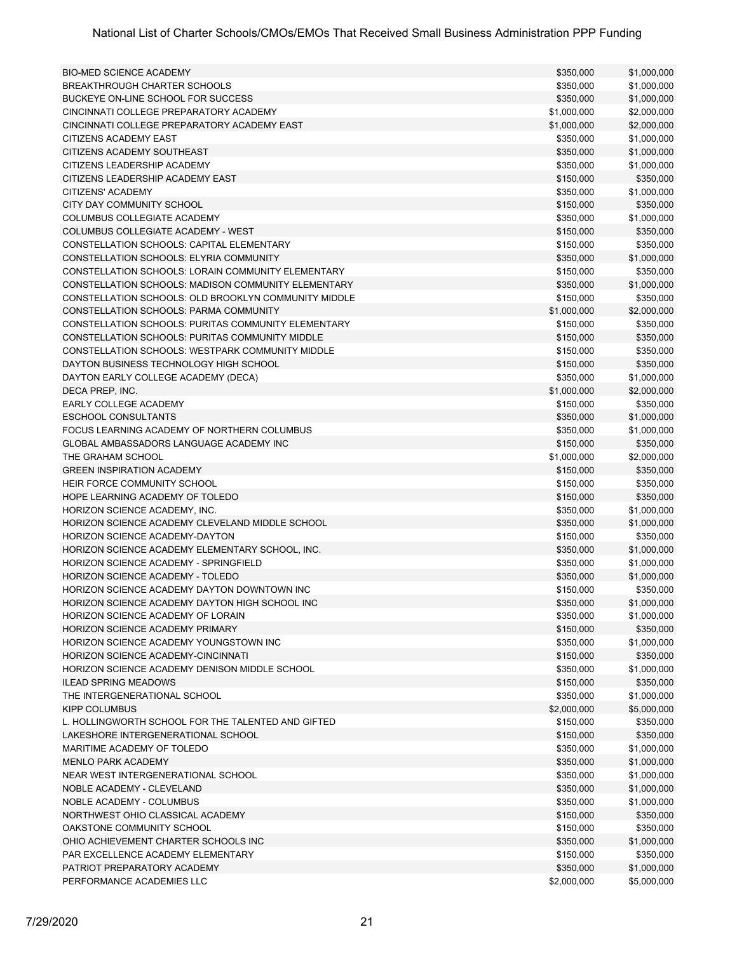| <b>BIO-MED SCIENCE ACADEMY</b>                       | \$350,000   | \$1,000,000 |
|------------------------------------------------------|-------------|-------------|
| BREAKTHROUGH CHARTER SCHOOLS                         | \$350,000   | \$1,000,000 |
| BUCKEYE ON-LINE SCHOOL FOR SUCCESS                   | \$350,000   | \$1,000,000 |
| CINCINNATI COLLEGE PREPARATORY ACADEMY               | \$1,000,000 | \$2,000,000 |
| CINCINNATI COLLEGE PREPARATORY ACADEMY EAST          | \$1,000,000 | \$2,000,000 |
| CITIZENS ACADEMY EAST                                | \$350,000   | \$1,000,000 |
| CITIZENS ACADEMY SOUTHEAST                           | \$350,000   | \$1,000,000 |
| CITIZENS LEADERSHIP ACADEMY                          | \$350,000   | \$1,000,000 |
| CITIZENS LEADERSHIP ACADEMY EAST                     | \$150,000   | \$350,000   |
| CITIZENS' ACADEMY                                    | \$350,000   | \$1,000,000 |
| CITY DAY COMMUNITY SCHOOL                            | \$150,000   | \$350,000   |
| <b>COLUMBUS COLLEGIATE ACADEMY</b>                   | \$350,000   | \$1,000,000 |
| COLUMBUS COLLEGIATE ACADEMY - WEST                   | \$150,000   | \$350,000   |
| CONSTELLATION SCHOOLS: CAPITAL ELEMENTARY            | \$150,000   | \$350,000   |
| CONSTELLATION SCHOOLS: ELYRIA COMMUNITY              | \$350,000   | \$1,000,000 |
| CONSTELLATION SCHOOLS: LORAIN COMMUNITY ELEMENTARY   | \$150,000   | \$350,000   |
| CONSTELLATION SCHOOLS: MADISON COMMUNITY ELEMENTARY  | \$350,000   | \$1,000,000 |
| CONSTELLATION SCHOOLS: OLD BROOKLYN COMMUNITY MIDDLE | \$150,000   | \$350,000   |
| <b>CONSTELLATION SCHOOLS: PARMA COMMUNITY</b>        | \$1,000,000 | \$2,000,000 |
| CONSTELLATION SCHOOLS: PURITAS COMMUNITY ELEMENTARY  | \$150,000   | \$350,000   |
| CONSTELLATION SCHOOLS: PURITAS COMMUNITY MIDDLE      | \$150,000   | \$350,000   |
| CONSTELLATION SCHOOLS: WESTPARK COMMUNITY MIDDLE     | \$150,000   | \$350,000   |
| DAYTON BUSINESS TECHNOLOGY HIGH SCHOOL               | \$150,000   | \$350,000   |
| DAYTON EARLY COLLEGE ACADEMY (DECA)                  | \$350,000   | \$1,000,000 |
| DECA PREP, INC.                                      | \$1,000,000 | \$2,000,000 |
| <b>EARLY COLLEGE ACADEMY</b>                         | \$150,000   | \$350,000   |
| <b>ESCHOOL CONSULTANTS</b>                           | \$350,000   | \$1,000,000 |
| FOCUS LEARNING ACADEMY OF NORTHERN COLUMBUS          | \$350,000   | \$1,000,000 |
| GLOBAL AMBASSADORS LANGUAGE ACADEMY INC              | \$150,000   | \$350,000   |
| THE GRAHAM SCHOOL                                    | \$1,000,000 | \$2,000,000 |
| <b>GREEN INSPIRATION ACADEMY</b>                     | \$150,000   | \$350,000   |
| HEIR FORCE COMMUNITY SCHOOL                          | \$150,000   | \$350,000   |
| HOPE LEARNING ACADEMY OF TOLEDO                      | \$150,000   | \$350,000   |
| HORIZON SCIENCE ACADEMY, INC.                        | \$350,000   | \$1,000,000 |
| HORIZON SCIENCE ACADEMY CLEVELAND MIDDLE SCHOOL      | \$350,000   | \$1,000,000 |
| HORIZON SCIENCE ACADEMY-DAYTON                       | \$150,000   | \$350,000   |
| HORIZON SCIENCE ACADEMY ELEMENTARY SCHOOL, INC.      | \$350,000   | \$1,000,000 |
| <b>HORIZON SCIENCE ACADEMY - SPRINGFIELD</b>         | \$350,000   | \$1,000,000 |
| HORIZON SCIENCE ACADEMY - TOLEDO                     | \$350,000   | \$1,000,000 |
| HORIZON SCIENCE ACADEMY DAYTON DOWNTOWN INC          | \$150,000   | \$350,000   |
| HORIZON SCIENCE ACADEMY DAYTON HIGH SCHOOL INC       | \$350,000   | \$1,000,000 |
| HORIZON SCIENCE ACADEMY OF LORAIN                    | \$350,000   | \$1,000,000 |
| HORIZON SCIENCE ACADEMY PRIMARY                      | \$150,000   | \$350,000   |
| HORIZON SCIENCE ACADEMY YOUNGSTOWN INC               | \$350,000   | \$1,000,000 |
| <b>HORIZON SCIENCE ACADEMY-CINCINNATI</b>            | \$150,000   | \$350,000   |
| HORIZON SCIENCE ACADEMY DENISON MIDDLE SCHOOL        | \$350,000   | \$1,000,000 |
| <b>ILEAD SPRING MEADOWS</b>                          | \$150,000   | \$350,000   |
| THE INTERGENERATIONAL SCHOOL                         | \$350,000   | \$1,000,000 |
| <b>KIPP COLUMBUS</b>                                 | \$2,000,000 | \$5,000,000 |
| L. HOLLINGWORTH SCHOOL FOR THE TALENTED AND GIFTED   | \$150,000   | \$350,000   |
| LAKESHORE INTERGENERATIONAL SCHOOL                   | \$150,000   | \$350,000   |
| MARITIME ACADEMY OF TOLEDO                           | \$350,000   | \$1,000,000 |
| <b>MENLO PARK ACADEMY</b>                            | \$350,000   | \$1,000,000 |
| NEAR WEST INTERGENERATIONAL SCHOOL                   | \$350,000   | \$1,000,000 |
| NOBLE ACADEMY - CLEVELAND                            | \$350,000   | \$1,000,000 |
| NOBLE ACADEMY - COLUMBUS                             | \$350,000   | \$1,000,000 |
| NORTHWEST OHIO CLASSICAL ACADEMY                     | \$150,000   | \$350,000   |
| OAKSTONE COMMUNITY SCHOOL                            | \$150,000   | \$350,000   |
| OHIO ACHIEVEMENT CHARTER SCHOOLS INC                 | \$350,000   | \$1,000,000 |
| PAR EXCELLENCE ACADEMY ELEMENTARY                    | \$150,000   | \$350,000   |
| PATRIOT PREPARATORY ACADEMY                          | \$350,000   | \$1,000,000 |
| PERFORMANCE ACADEMIES LLC                            | \$2,000,000 | \$5,000,000 |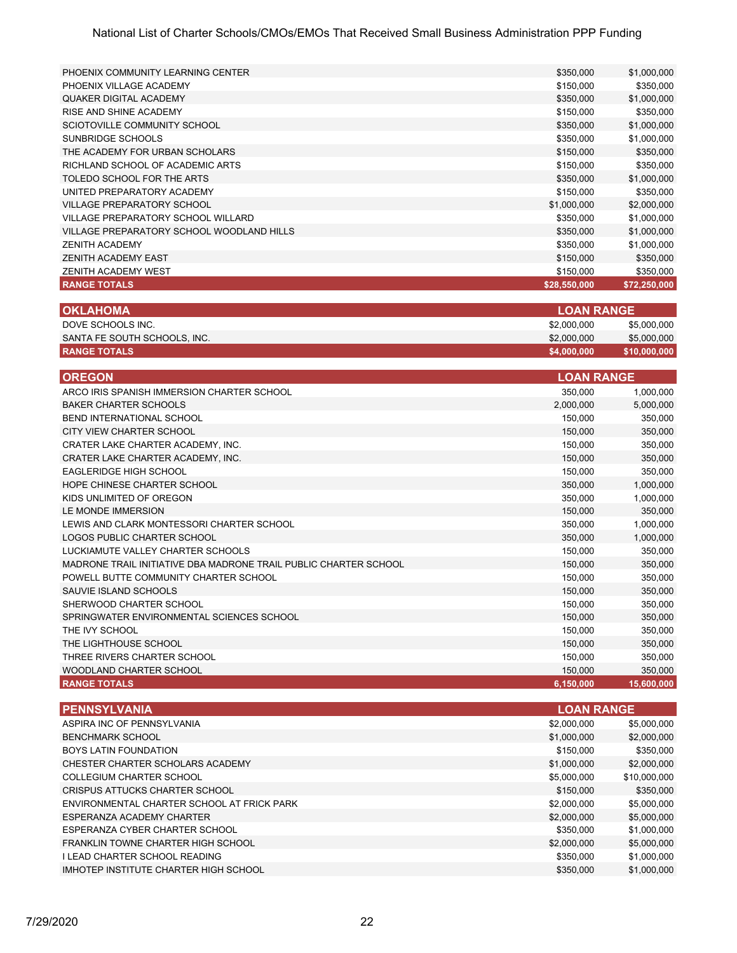| <b>RANGE TOTALS</b>                       | \$28,550,000 | \$72,250,000 |
|-------------------------------------------|--------------|--------------|
| ZENITH ACADEMY WEST                       | \$150,000    | \$350,000    |
| ZENITH ACADEMY EAST                       | \$150,000    | \$350,000    |
| <b>ZENITH ACADEMY</b>                     | \$350,000    | \$1,000,000  |
| VILLAGE PREPARATORY SCHOOL WOODLAND HILLS | \$350,000    | \$1,000,000  |
| VILLAGE PREPARATORY SCHOOL WILLARD        | \$350,000    | \$1,000,000  |
| <b>VILLAGE PREPARATORY SCHOOL</b>         | \$1,000,000  | \$2,000,000  |
| UNITED PREPARATORY ACADEMY                | \$150,000    | \$350,000    |
| TOLEDO SCHOOL FOR THE ARTS                | \$350,000    | \$1,000,000  |
| RICHLAND SCHOOL OF ACADEMIC ARTS          | \$150,000    | \$350,000    |
| THE ACADEMY FOR URBAN SCHOLARS            | \$150,000    | \$350,000    |
| SUNBRIDGE SCHOOLS                         | \$350,000    | \$1,000,000  |
| SCIOTOVILLE COMMUNITY SCHOOL              | \$350,000    | \$1,000,000  |
| RISE AND SHINE ACADEMY                    | \$150,000    | \$350,000    |
| <b>QUAKER DIGITAL ACADEMY</b>             | \$350,000    | \$1,000,000  |
| PHOENIX VILLAGE ACADEMY                   | \$150,000    | \$350,000    |
| PHOENIX COMMUNITY LEARNING CENTER         | \$350,000    | \$1,000,000  |
|                                           |              |              |

| <b>OKLAHOMA</b>              | <b>LOAN RANGE</b> |              |
|------------------------------|-------------------|--------------|
| DOVE SCHOOLS INC.            | \$2,000,000       | \$5,000,000  |
| SANTA FE SOUTH SCHOOLS, INC. | \$2,000,000       | \$5,000,000  |
| <b>RANGE TOTALS</b>          | \$4,000,000       | \$10,000,000 |

| <b>OREGON</b>                                                    | <b>LOAN RANGE</b> |            |
|------------------------------------------------------------------|-------------------|------------|
| ARCO IRIS SPANISH IMMERSION CHARTER SCHOOL                       | 350,000           | 1,000,000  |
| BAKER CHARTER SCHOOLS                                            | 2,000,000         | 5,000,000  |
| BEND INTERNATIONAL SCHOOL                                        | 150.000           | 350,000    |
| CITY VIEW CHARTER SCHOOL                                         | 150.000           | 350,000    |
| CRATER LAKE CHARTER ACADEMY. INC.                                | 150,000           | 350,000    |
| CRATER LAKE CHARTER ACADEMY, INC.                                | 150,000           | 350,000    |
| EAGLERIDGE HIGH SCHOOL                                           | 150.000           | 350,000    |
| HOPE CHINESE CHARTER SCHOOL                                      | 350.000           | 1,000,000  |
| KIDS UNLIMITED OF OREGON                                         | 350,000           | 1,000,000  |
| LE MONDE IMMERSION                                               | 150,000           | 350,000    |
| LEWIS AND CLARK MONTESSORI CHARTER SCHOOL                        | 350.000           | 1,000,000  |
| LOGOS PUBLIC CHARTER SCHOOL                                      | 350,000           | 1,000,000  |
| LUCKIAMUTE VALLEY CHARTER SCHOOLS                                | 150,000           | 350,000    |
| MADRONE TRAIL INITIATIVE DBA MADRONE TRAIL PUBLIC CHARTER SCHOOL | 150,000           | 350,000    |
| POWELL BUTTE COMMUNITY CHARTER SCHOOL                            | 150,000           | 350,000    |
| SAUVIE ISLAND SCHOOLS                                            | 150.000           | 350,000    |
| SHERWOOD CHARTER SCHOOL                                          | 150,000           | 350,000    |
| SPRINGWATER ENVIRONMENTAL SCIENCES SCHOOL                        | 150,000           | 350,000    |
| THE IVY SCHOOL                                                   | 150.000           | 350,000    |
| THE LIGHTHOUSE SCHOOL                                            | 150,000           | 350,000    |
| THREE RIVERS CHARTER SCHOOL                                      | 150,000           | 350,000    |
| WOODLAND CHARTER SCHOOL                                          | 150,000           | 350,000    |
| <b>RANGE TOTALS</b>                                              | 6,150,000         | 15,600,000 |

| <b>PENNSYLVANIA</b>                        | <b>LOAN RANGE</b> |              |
|--------------------------------------------|-------------------|--------------|
| ASPIRA INC OF PENNSYLVANIA                 | \$2,000,000       | \$5,000,000  |
| <b>BENCHMARK SCHOOL</b>                    | \$1,000,000       | \$2,000,000  |
| <b>BOYS LATIN FOUNDATION</b>               | \$150,000         | \$350,000    |
| CHESTER CHARTER SCHOLARS ACADEMY           | \$1,000,000       | \$2,000,000  |
| COLLEGIUM CHARTER SCHOOL                   | \$5,000,000       | \$10,000,000 |
| CRISPUS ATTUCKS CHARTER SCHOOL             | \$150,000         | \$350,000    |
| ENVIRONMENTAL CHARTER SCHOOL AT FRICK PARK | \$2,000,000       | \$5,000,000  |
| ESPERANZA ACADEMY CHARTER                  | \$2,000,000       | \$5,000,000  |
| ESPERANZA CYBER CHARTER SCHOOL             | \$350,000         | \$1,000,000  |
| FRANKLIN TOWNE CHARTER HIGH SCHOOL         | \$2,000,000       | \$5,000,000  |
| I LEAD CHARTER SCHOOL READING              | \$350,000         | \$1,000,000  |
| IMHOTEP INSTITUTE CHARTER HIGH SCHOOL      | \$350,000         | \$1,000,000  |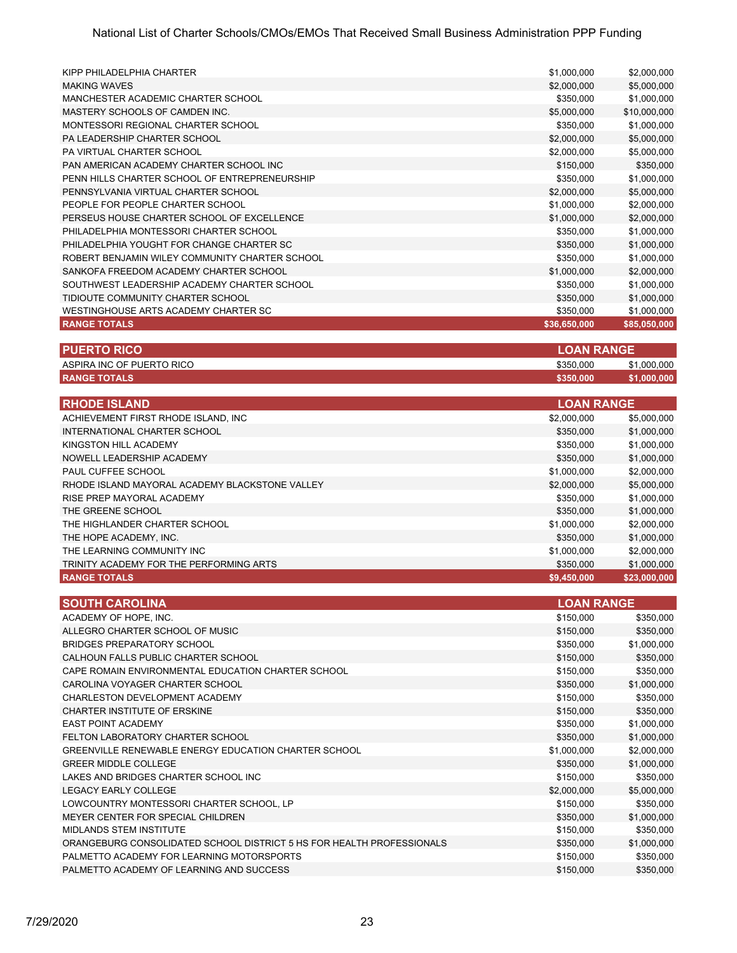| KIPP PHILADELPHIA CHARTER                      | \$1,000,000  | \$2,000,000  |
|------------------------------------------------|--------------|--------------|
| <b>MAKING WAVES</b>                            | \$2,000,000  | \$5,000,000  |
| MANCHESTER ACADEMIC CHARTER SCHOOL             | \$350,000    | \$1,000,000  |
| MASTERY SCHOOLS OF CAMDEN INC.                 | \$5,000,000  | \$10,000,000 |
| MONTESSORI REGIONAL CHARTER SCHOOL             | \$350,000    | \$1,000,000  |
| PA LEADERSHIP CHARTER SCHOOL                   | \$2,000,000  | \$5,000,000  |
| PA VIRTUAL CHARTER SCHOOL                      | \$2,000,000  | \$5,000,000  |
| PAN AMERICAN ACADEMY CHARTER SCHOOL INC        | \$150,000    | \$350,000    |
| PENN HILLS CHARTER SCHOOL OF ENTREPRENEURSHIP  | \$350,000    | \$1,000,000  |
| PENNSYLVANIA VIRTUAL CHARTER SCHOOL            | \$2,000,000  | \$5,000,000  |
| PEOPLE FOR PEOPLE CHARTER SCHOOL               | \$1,000,000  | \$2,000,000  |
| PERSEUS HOUSE CHARTER SCHOOL OF EXCELLENCE     | \$1,000,000  | \$2,000,000  |
| PHILADELPHIA MONTESSORI CHARTER SCHOOL         | \$350,000    | \$1,000,000  |
| PHILADELPHIA YOUGHT FOR CHANGE CHARTER SC      | \$350,000    | \$1,000,000  |
| ROBERT BENJAMIN WILEY COMMUNITY CHARTER SCHOOL | \$350,000    | \$1,000,000  |
| SANKOFA FREEDOM ACADEMY CHARTER SCHOOL         | \$1,000,000  | \$2,000,000  |
| SOUTHWEST LEADERSHIP ACADEMY CHARTER SCHOOL    | \$350,000    | \$1,000,000  |
| TIDIOUTE COMMUNITY CHARTER SCHOOL              | \$350,000    | \$1,000,000  |
| WESTINGHOUSE ARTS ACADEMY CHARTER SC           | \$350,000    | \$1,000,000  |
| <b>RANGE TOTALS</b>                            | \$36,650,000 | \$85,050,000 |

| <b>PUERTO RICO</b>        | <b>LLOAN RANGE</b> |             |
|---------------------------|--------------------|-------------|
| ASPIRA INC OF PUERTO RICO | \$350,000          | \$1,000,000 |
| <b>RANGE TOTALS</b>       | \$350,000          | \$1,000,000 |

| <b>RHODE ISLAND</b>                            | <b>LOAN RANGE</b> |              |
|------------------------------------------------|-------------------|--------------|
| ACHIEVEMENT FIRST RHODE ISLAND, INC            | \$2,000,000       | \$5,000,000  |
| INTERNATIONAL CHARTER SCHOOL                   | \$350,000         | \$1,000,000  |
| KINGSTON HILL ACADEMY                          | \$350,000         | \$1,000,000  |
| NOWELL LEADERSHIP ACADEMY                      | \$350,000         | \$1,000,000  |
| PAUL CUFFEE SCHOOL                             | \$1,000,000       | \$2,000,000  |
| RHODE ISLAND MAYORAL ACADEMY BLACKSTONE VALLEY | \$2,000,000       | \$5,000,000  |
| RISE PREP MAYORAL ACADEMY                      | \$350,000         | \$1,000,000  |
| THE GREENE SCHOOL                              | \$350,000         | \$1,000,000  |
| THE HIGHLANDER CHARTER SCHOOL                  | \$1,000,000       | \$2,000,000  |
| THE HOPE ACADEMY, INC.                         | \$350,000         | \$1,000,000  |
| THE LEARNING COMMUNITY INC.                    | \$1,000,000       | \$2,000,000  |
| TRINITY ACADEMY FOR THE PERFORMING ARTS        | \$350,000         | \$1,000,000  |
| <b>RANGE TOTALS</b>                            | \$9,450,000       | \$23,000,000 |

| <b>SOUTH CAROLINA</b>                                                 |             | <b>LOAN RANGE</b> |  |
|-----------------------------------------------------------------------|-------------|-------------------|--|
| ACADEMY OF HOPE, INC.                                                 | \$150,000   | \$350,000         |  |
| ALLEGRO CHARTER SCHOOL OF MUSIC                                       | \$150,000   | \$350,000         |  |
| BRIDGES PREPARATORY SCHOOL                                            | \$350,000   | \$1,000,000       |  |
| CALHOUN FALLS PUBLIC CHARTER SCHOOL                                   | \$150,000   | \$350,000         |  |
| CAPE ROMAIN ENVIRONMENTAL EDUCATION CHARTER SCHOOL                    | \$150,000   | \$350,000         |  |
| CAROLINA VOYAGER CHARTER SCHOOL                                       | \$350,000   | \$1,000,000       |  |
| CHARLESTON DEVELOPMENT ACADEMY                                        | \$150,000   | \$350,000         |  |
| CHARTER INSTITUTE OF ERSKINE                                          | \$150,000   | \$350,000         |  |
| <b>EAST POINT ACADEMY</b>                                             | \$350,000   | \$1,000,000       |  |
| FELTON LABORATORY CHARTER SCHOOL                                      | \$350,000   | \$1,000,000       |  |
| <b>GREENVILLE RENEWABLE ENERGY EDUCATION CHARTER SCHOOL</b>           | \$1,000,000 | \$2,000,000       |  |
| <b>GREER MIDDLE COLLEGE</b>                                           | \$350,000   | \$1,000,000       |  |
| LAKES AND BRIDGES CHARTER SCHOOL INC                                  | \$150,000   | \$350,000         |  |
| <b>LEGACY EARLY COLLEGE</b>                                           | \$2,000,000 | \$5,000,000       |  |
| LOWCOUNTRY MONTESSORI CHARTER SCHOOL, LP                              | \$150,000   | \$350,000         |  |
| MEYER CENTER FOR SPECIAL CHILDREN                                     | \$350,000   | \$1,000,000       |  |
| <b>MIDLANDS STEM INSTITUTE</b>                                        | \$150,000   | \$350,000         |  |
| ORANGEBURG CONSOLIDATED SCHOOL DISTRICT 5 HS FOR HEALTH PROFESSIONALS | \$350,000   | \$1,000,000       |  |
| PALMETTO ACADEMY FOR LEARNING MOTORSPORTS                             | \$150,000   | \$350,000         |  |
| PALMETTO ACADEMY OF LEARNING AND SUCCESS                              | \$150,000   | \$350,000         |  |
|                                                                       |             |                   |  |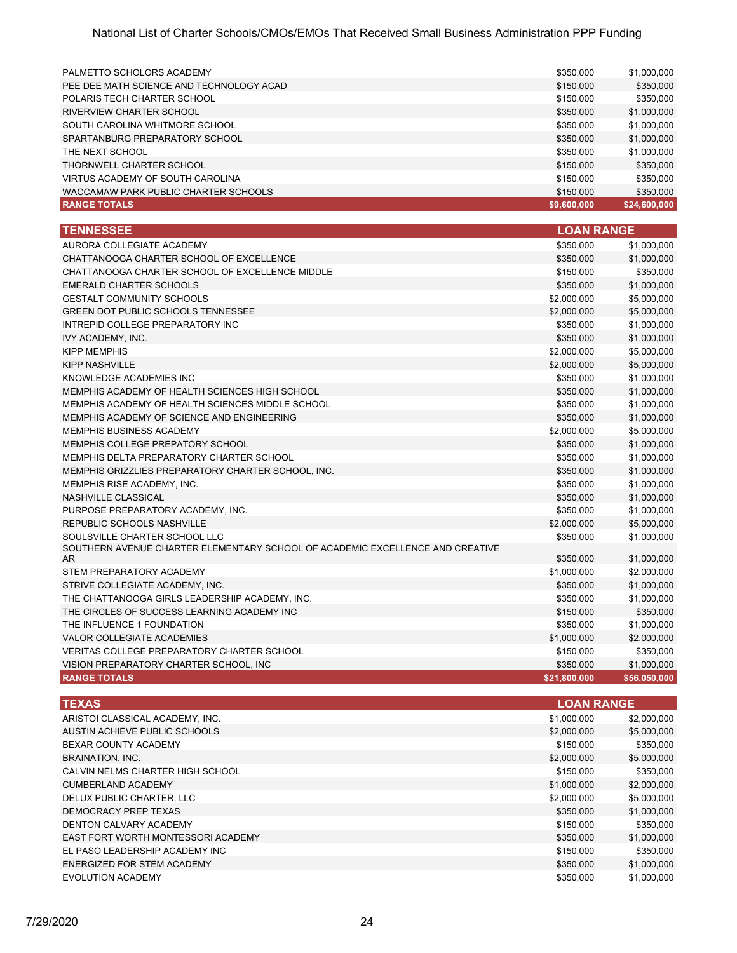| <b>RANGE TOTALS</b>                      | \$9,600,000 | \$24,600,000 |
|------------------------------------------|-------------|--------------|
| WACCAMAW PARK PUBLIC CHARTER SCHOOLS     | \$150,000   | \$350,000    |
| VIRTUS ACADEMY OF SOUTH CAROLINA         | \$150,000   | \$350,000    |
| THORNWELL CHARTER SCHOOL                 | \$150,000   | \$350,000    |
| THE NEXT SCHOOL                          | \$350,000   | \$1,000,000  |
| SPARTANBURG PREPARATORY SCHOOL           | \$350,000   | \$1,000,000  |
| SOUTH CAROLINA WHITMORE SCHOOL           | \$350,000   | \$1,000,000  |
| RIVERVIEW CHARTER SCHOOL                 | \$350,000   | \$1,000,000  |
| POLARIS TECH CHARTER SCHOOL              | \$150,000   | \$350,000    |
| PEE DEE MATH SCIENCE AND TECHNOLOGY ACAD | \$150,000   | \$350,000    |
| PALMETTO SCHOLORS ACADEMY                | \$350,000   | \$1,000,000  |
|                                          |             |              |

| <b>TENNESSEE</b>                                                                     | <b>LOAN RANGE</b> |              |
|--------------------------------------------------------------------------------------|-------------------|--------------|
| AURORA COLLEGIATE ACADEMY                                                            | \$350,000         | \$1,000,000  |
| CHATTANOOGA CHARTER SCHOOL OF EXCELLENCE                                             | \$350,000         | \$1,000,000  |
| CHATTANOOGA CHARTER SCHOOL OF EXCELLENCE MIDDLE                                      | \$150,000         | \$350,000    |
| <b>EMERALD CHARTER SCHOOLS</b>                                                       | \$350,000         | \$1,000,000  |
| <b>GESTALT COMMUNITY SCHOOLS</b>                                                     | \$2,000,000       | \$5,000,000  |
| <b>GREEN DOT PUBLIC SCHOOLS TENNESSEE</b>                                            | \$2,000,000       | \$5,000,000  |
| INTREPID COLLEGE PREPARATORY INC                                                     | \$350,000         | \$1,000,000  |
| IVY ACADEMY, INC.                                                                    | \$350,000         | \$1,000,000  |
| <b>KIPP MEMPHIS</b>                                                                  | \$2,000,000       | \$5,000,000  |
| KIPP NASHVILLE                                                                       | \$2,000,000       | \$5,000,000  |
| KNOWLEDGE ACADEMIES INC                                                              | \$350,000         | \$1,000,000  |
| MEMPHIS ACADEMY OF HEALTH SCIENCES HIGH SCHOOL                                       | \$350,000         | \$1,000,000  |
| MEMPHIS ACADEMY OF HEALTH SCIENCES MIDDLE SCHOOL                                     | \$350,000         | \$1,000,000  |
| MEMPHIS ACADEMY OF SCIENCE AND ENGINEERING                                           | \$350,000         | \$1,000,000  |
| <b>MEMPHIS BUSINESS ACADEMY</b>                                                      | \$2,000,000       | \$5,000,000  |
| MEMPHIS COLLEGE PREPATORY SCHOOL                                                     | \$350,000         | \$1,000,000  |
| MEMPHIS DELTA PREPARATORY CHARTER SCHOOL                                             | \$350,000         | \$1,000,000  |
| MEMPHIS GRIZZLIES PREPARATORY CHARTER SCHOOL, INC.                                   | \$350,000         | \$1,000,000  |
| MEMPHIS RISE ACADEMY, INC.                                                           | \$350,000         | \$1,000,000  |
| NASHVILLE CLASSICAL                                                                  | \$350,000         | \$1,000,000  |
| PURPOSE PREPARATORY ACADEMY. INC.                                                    | \$350,000         | \$1,000,000  |
| REPUBLIC SCHOOLS NASHVILLE                                                           | \$2,000,000       | \$5,000,000  |
| SOULSVILLE CHARTER SCHOOL LLC                                                        | \$350,000         | \$1,000,000  |
| SOUTHERN AVENUE CHARTER ELEMENTARY SCHOOL OF ACADEMIC EXCELLENCE AND CREATIVE<br>AR. | \$350,000         | \$1,000,000  |
| STEM PREPARATORY ACADEMY                                                             | \$1,000,000       | \$2,000,000  |
| STRIVE COLLEGIATE ACADEMY, INC.                                                      | \$350,000         | \$1,000,000  |
| THE CHATTANOOGA GIRLS LEADERSHIP ACADEMY, INC.                                       | \$350,000         | \$1,000,000  |
| THE CIRCLES OF SUCCESS LEARNING ACADEMY INC                                          | \$150,000         | \$350,000    |
| THE INFLUENCE 1 FOUNDATION                                                           | \$350,000         | \$1,000,000  |
| <b>VALOR COLLEGIATE ACADEMIES</b>                                                    | \$1,000,000       | \$2,000,000  |
| VERITAS COLLEGE PREPARATORY CHARTER SCHOOL                                           | \$150,000         | \$350,000    |
| VISION PREPARATORY CHARTER SCHOOL, INC                                               | \$350,000         | \$1,000,000  |
| <b>RANGE TOTALS</b>                                                                  | \$21,800,000      | \$56,050,000 |

| <b>TEXAS</b>                       |             | <b>LOAN RANGE</b> |  |
|------------------------------------|-------------|-------------------|--|
| ARISTOI CLASSICAL ACADEMY, INC.    | \$1,000,000 | \$2,000,000       |  |
| AUSTIN ACHIEVE PUBLIC SCHOOLS      | \$2,000,000 | \$5,000,000       |  |
| BEXAR COUNTY ACADEMY               | \$150,000   | \$350,000         |  |
| <b>BRAINATION, INC.</b>            | \$2,000,000 | \$5,000,000       |  |
| CALVIN NELMS CHARTER HIGH SCHOOL   | \$150,000   | \$350,000         |  |
| CUMBERLAND ACADEMY                 | \$1,000,000 | \$2,000,000       |  |
| DELUX PUBLIC CHARTER. LLC          | \$2,000,000 | \$5,000,000       |  |
| DEMOCRACY PREP TEXAS               | \$350,000   | \$1,000,000       |  |
| DENTON CALVARY ACADEMY             | \$150,000   | \$350,000         |  |
| EAST FORT WORTH MONTESSORI ACADEMY | \$350,000   | \$1,000,000       |  |
| EL PASO LEADERSHIP ACADEMY INC     | \$150,000   | \$350,000         |  |
| ENERGIZED FOR STEM ACADEMY         | \$350,000   | \$1,000,000       |  |
| EVOLUTION ACADEMY                  | \$350,000   | \$1,000,000       |  |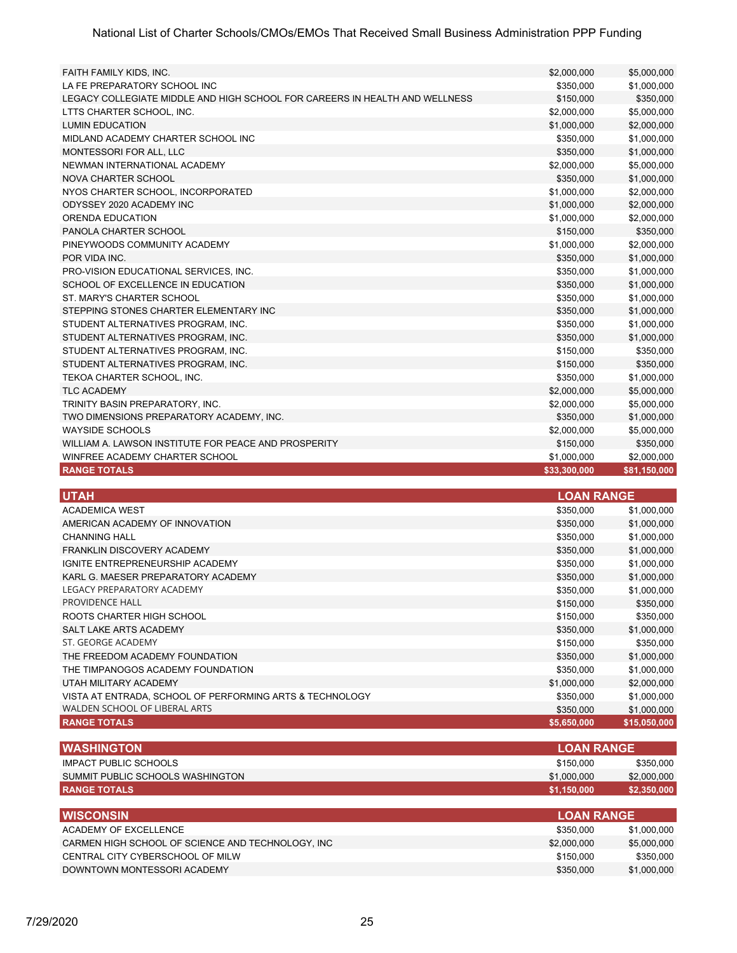| FAITH FAMILY KIDS, INC.                                                     | \$2,000,000       | \$5,000,000  |
|-----------------------------------------------------------------------------|-------------------|--------------|
| LA FE PREPARATORY SCHOOL INC                                                | \$350,000         | \$1,000,000  |
| LEGACY COLLEGIATE MIDDLE AND HIGH SCHOOL FOR CAREERS IN HEALTH AND WELLNESS | \$150,000         | \$350,000    |
| LTTS CHARTER SCHOOL, INC.                                                   | \$2,000,000       | \$5,000,000  |
| <b>LUMIN EDUCATION</b>                                                      | \$1,000,000       | \$2,000,000  |
| MIDLAND ACADEMY CHARTER SCHOOL INC                                          | \$350,000         | \$1,000,000  |
| MONTESSORI FOR ALL, LLC                                                     | \$350,000         | \$1,000,000  |
| NEWMAN INTERNATIONAL ACADEMY                                                | \$2,000,000       | \$5,000,000  |
| NOVA CHARTER SCHOOL                                                         | \$350,000         | \$1,000,000  |
| NYOS CHARTER SCHOOL, INCORPORATED                                           | \$1,000,000       | \$2,000,000  |
| ODYSSEY 2020 ACADEMY INC                                                    | \$1,000,000       | \$2,000,000  |
| ORENDA EDUCATION                                                            | \$1,000,000       | \$2,000,000  |
| PANOLA CHARTER SCHOOL                                                       | \$150,000         | \$350,000    |
| PINEYWOODS COMMUNITY ACADEMY                                                | \$1,000,000       | \$2,000,000  |
| POR VIDA INC.                                                               | \$350,000         | \$1,000,000  |
| PRO-VISION EDUCATIONAL SERVICES, INC.                                       | \$350,000         | \$1,000,000  |
| SCHOOL OF EXCELLENCE IN EDUCATION                                           | \$350,000         | \$1,000,000  |
| ST. MARY'S CHARTER SCHOOL                                                   | \$350,000         | \$1,000,000  |
| STEPPING STONES CHARTER ELEMENTARY INC                                      | \$350,000         | \$1,000,000  |
| STUDENT ALTERNATIVES PROGRAM, INC.                                          | \$350,000         | \$1,000,000  |
| STUDENT ALTERNATIVES PROGRAM, INC.                                          | \$350,000         | \$1,000,000  |
| STUDENT ALTERNATIVES PROGRAM, INC.                                          | \$150,000         | \$350,000    |
| STUDENT ALTERNATIVES PROGRAM, INC.                                          | \$150,000         | \$350,000    |
| TEKOA CHARTER SCHOOL, INC.                                                  | \$350,000         | \$1,000,000  |
| <b>TLC ACADEMY</b>                                                          | \$2,000,000       | \$5,000,000  |
| TRINITY BASIN PREPARATORY, INC.                                             | \$2,000,000       | \$5,000,000  |
| TWO DIMENSIONS PREPARATORY ACADEMY, INC.                                    | \$350,000         | \$1,000,000  |
| <b>WAYSIDE SCHOOLS</b>                                                      | \$2,000,000       | \$5,000,000  |
| WILLIAM A. LAWSON INSTITUTE FOR PEACE AND PROSPERITY                        | \$150,000         | \$350,000    |
| WINFREE ACADEMY CHARTER SCHOOL                                              | \$1,000,000       | \$2,000,000  |
| <b>RANGE TOTALS</b>                                                         | \$33,300,000      | \$81,150,000 |
|                                                                             |                   |              |
| <b>UTAH</b>                                                                 | <b>LOAN RANGE</b> |              |
| <b>ACADEMICA WEST</b>                                                       | \$350,000         | \$1,000,000  |
| AMERICAN ACADEMY OF INNOVATION                                              | \$350,000         | \$1,000,000  |
| <b>CHANNING HALL</b>                                                        | \$350,000         | \$1,000,000  |
| FRANKLIN DISCOVERY ACADEMY                                                  | \$350,000         | \$1,000,000  |
| IGNITE ENTREPRENEURSHIP ACADEMY                                             | \$350,000         | \$1,000,000  |
| KARL G. MAESER PREPARATORY ACADEMY                                          | \$350,000         | \$1,000,000  |
| LEGACY PREPARATORY ACADEMY                                                  | \$350,000         | \$1,000,000  |
| PROVIDENCE HALL                                                             | \$150,000         | \$350,000    |
| ROOTS CHARTER HIGH SCHOOL                                                   | \$150,000         | \$350,000    |
| SALT LAKE ARTS ACADEMY                                                      | \$350,000         | \$1,000,000  |
| ST. GEORGE ACADEMY                                                          | \$150,000         | \$350,000    |
| THE FREEDOM ACADEMY FOUNDATION                                              | \$350,000         | \$1,000,000  |
| THE TIMPANOGOS ACADEMY FOUNDATION                                           | \$350,000         | \$1,000,000  |
| UTAH MILITARY ACADEMY                                                       | \$1,000,000       | \$2,000,000  |
| VISTA AT ENTRADA, SCHOOL OF PERFORMING ARTS & TECHNOLOGY                    | \$350,000         | \$1,000,000  |
| WALDEN SCHOOL OF LIBERAL ARTS                                               | \$350,000         | \$1,000,000  |
| <b>RANGE TOTALS</b>                                                         | \$5,650,000       | \$15,050,000 |
|                                                                             |                   |              |

| <b>IWASHINGTON</b>               |             | <b>LLOAN RANGE</b> ! |  |
|----------------------------------|-------------|----------------------|--|
| IMPACT PUBLIC SCHOOLS            | \$150,000   | \$350,000            |  |
| SUMMIT PUBLIC SCHOOLS WASHINGTON | \$1,000,000 | \$2,000,000          |  |
| <b>RANGE TOTALS</b>              | \$1.150.000 | \$2,350,000          |  |

| <b>IWISCONSIN</b>                                 | <b>LOAN RANGE</b> |             |
|---------------------------------------------------|-------------------|-------------|
| ACADEMY OF EXCELLENCE                             | \$350,000         | \$1.000.000 |
| CARMEN HIGH SCHOOL OF SCIENCE AND TECHNOLOGY. INC | \$2,000,000       | \$5,000,000 |
| CENTRAL CITY CYBERSCHOOL OF MILW                  | \$150,000         | \$350.000   |
| DOWNTOWN MONTESSORI ACADEMY                       | \$350,000         | \$1,000,000 |